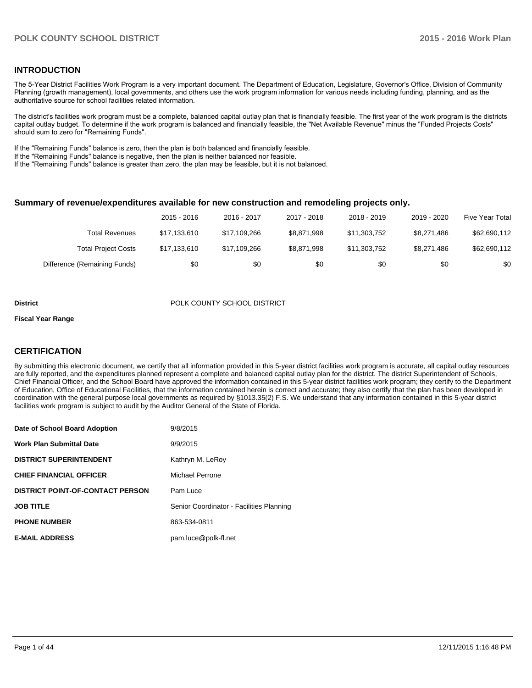#### **INTRODUCTION**

The 5-Year District Facilities Work Program is a very important document. The Department of Education, Legislature, Governor's Office, Division of Community Planning (growth management), local governments, and others use the work program information for various needs including funding, planning, and as the authoritative source for school facilities related information.

The district's facilities work program must be a complete, balanced capital outlay plan that is financially feasible. The first year of the work program is the districts capital outlay budget. To determine if the work program is balanced and financially feasible, the "Net Available Revenue" minus the "Funded Projects Costs" should sum to zero for "Remaining Funds".

If the "Remaining Funds" balance is zero, then the plan is both balanced and financially feasible.

If the "Remaining Funds" balance is negative, then the plan is neither balanced nor feasible.

If the "Remaining Funds" balance is greater than zero, the plan may be feasible, but it is not balanced.

#### **Summary of revenue/expenditures available for new construction and remodeling projects only.**

|                              | 2015 - 2016  | 2016 - 2017  | 2017 - 2018 | 2018 - 2019  | 2019 - 2020 | Five Year Total |
|------------------------------|--------------|--------------|-------------|--------------|-------------|-----------------|
| Total Revenues               | \$17.133.610 | \$17.109.266 | \$8.871.998 | \$11,303,752 | \$8.271.486 | \$62,690,112    |
| <b>Total Project Costs</b>   | \$17.133.610 | \$17,109,266 | \$8.871.998 | \$11,303,752 | \$8.271.486 | \$62,690,112    |
| Difference (Remaining Funds) | \$0          | \$0          | \$0         | \$0          | \$0         | \$0             |

#### **District District POLK COUNTY SCHOOL DISTRICT**

#### **Fiscal Year Range**

### **CERTIFICATION**

By submitting this electronic document, we certify that all information provided in this 5-year district facilities work program is accurate, all capital outlay resources are fully reported, and the expenditures planned represent a complete and balanced capital outlay plan for the district. The district Superintendent of Schools, Chief Financial Officer, and the School Board have approved the information contained in this 5-year district facilities work program; they certify to the Department of Education, Office of Educational Facilities, that the information contained herein is correct and accurate; they also certify that the plan has been developed in coordination with the general purpose local governments as required by §1013.35(2) F.S. We understand that any information contained in this 5-year district facilities work program is subject to audit by the Auditor General of the State of Florida.

| Date of School Board Adoption           | 9/8/2015                                 |
|-----------------------------------------|------------------------------------------|
| <b>Work Plan Submittal Date</b>         | 9/9/2015                                 |
| <b>DISTRICT SUPERINTENDENT</b>          | Kathryn M. LeRoy                         |
| <b>CHIEF FINANCIAL OFFICER</b>          | Michael Perrone                          |
| <b>DISTRICT POINT-OF-CONTACT PERSON</b> | Pam Luce                                 |
| <b>JOB TITLE</b>                        | Senior Coordinator - Facilities Planning |
| <b>PHONE NUMBER</b>                     | 863-534-0811                             |
| <b>E-MAIL ADDRESS</b>                   | pam.luce@polk-fl.net                     |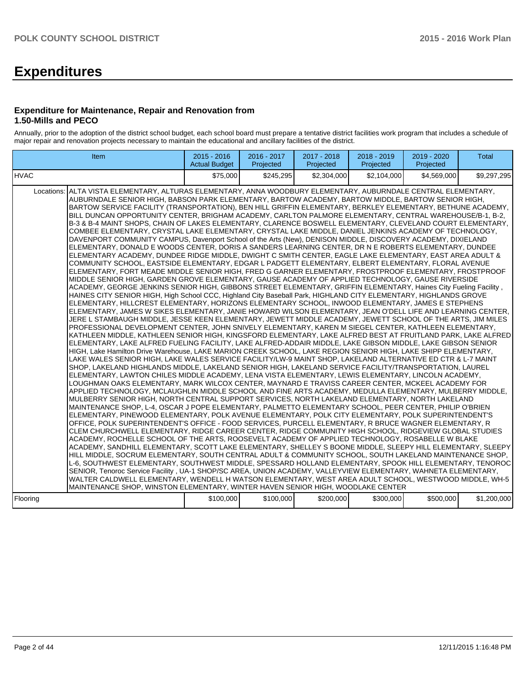## **Expenditures**

#### **Expenditure for Maintenance, Repair and Renovation from 1.50-Mills and PECO**

Annually, prior to the adoption of the district school budget, each school board must prepare a tentative district facilities work program that includes a schedule of major repair and renovation projects necessary to maintain the educational and ancillary facilities of the district.

| Item                                                                                                                                                                                                                                                                                                                                                                                                                                                                                                                                                                                                                                                                                                                                                                                                                                                                                                                                                                                                                                                                                                                                                                                                                                                                                                                                                                                                                                                                                                                                                                                                                                                                                                                                                                                                                                                                                                                                                                                                                                                                                                                                                                                                                                                                                                                                                                                                                                                                                                                                                                                                                                                                                                                                                                                                                                                                                                                                                                                                                                                                                                                                                                                                                                                                                                                                                                                                                                                                                                                                                                                                                                                                                                                                                                                                                                                                                                                                                                                                                                                                                                                                                                                                                                        | $2015 - 2016$<br><b>Actual Budget</b> | 2016 - 2017<br>Projected | 2017 - 2018<br>Projected | 2018 - 2019<br>Projected | 2019 - 2020<br>Projected | <b>Total</b> |
|---------------------------------------------------------------------------------------------------------------------------------------------------------------------------------------------------------------------------------------------------------------------------------------------------------------------------------------------------------------------------------------------------------------------------------------------------------------------------------------------------------------------------------------------------------------------------------------------------------------------------------------------------------------------------------------------------------------------------------------------------------------------------------------------------------------------------------------------------------------------------------------------------------------------------------------------------------------------------------------------------------------------------------------------------------------------------------------------------------------------------------------------------------------------------------------------------------------------------------------------------------------------------------------------------------------------------------------------------------------------------------------------------------------------------------------------------------------------------------------------------------------------------------------------------------------------------------------------------------------------------------------------------------------------------------------------------------------------------------------------------------------------------------------------------------------------------------------------------------------------------------------------------------------------------------------------------------------------------------------------------------------------------------------------------------------------------------------------------------------------------------------------------------------------------------------------------------------------------------------------------------------------------------------------------------------------------------------------------------------------------------------------------------------------------------------------------------------------------------------------------------------------------------------------------------------------------------------------------------------------------------------------------------------------------------------------------------------------------------------------------------------------------------------------------------------------------------------------------------------------------------------------------------------------------------------------------------------------------------------------------------------------------------------------------------------------------------------------------------------------------------------------------------------------------------------------------------------------------------------------------------------------------------------------------------------------------------------------------------------------------------------------------------------------------------------------------------------------------------------------------------------------------------------------------------------------------------------------------------------------------------------------------------------------------------------------------------------------------------------------------------------------------------------------------------------------------------------------------------------------------------------------------------------------------------------------------------------------------------------------------------------------------------------------------------------------------------------------------------------------------------------------------------------------------------------------------------------------------------------------|---------------------------------------|--------------------------|--------------------------|--------------------------|--------------------------|--------------|
| <b>IHVAC</b>                                                                                                                                                                                                                                                                                                                                                                                                                                                                                                                                                                                                                                                                                                                                                                                                                                                                                                                                                                                                                                                                                                                                                                                                                                                                                                                                                                                                                                                                                                                                                                                                                                                                                                                                                                                                                                                                                                                                                                                                                                                                                                                                                                                                                                                                                                                                                                                                                                                                                                                                                                                                                                                                                                                                                                                                                                                                                                                                                                                                                                                                                                                                                                                                                                                                                                                                                                                                                                                                                                                                                                                                                                                                                                                                                                                                                                                                                                                                                                                                                                                                                                                                                                                                                                | \$75,000                              | \$245.295                | \$2,304,000              | \$2.104.000              | \$4.569.000              | \$9,297,295  |
| Locations: ALTA VISTA ELEMENTARY, ALTURAS ELEMENTARY, ANNA WOODBURY ELEMENTARY, AUBURNDALE CENTRAL ELEMENTARY,<br>AUBURNDALE SENIOR HIGH, BABSON PARK ELEMENTARY, BARTOW ACADEMY, BARTOW MIDDLE, BARTOW SENIOR HIGH,<br>BARTOW SERVICE FACILITY (TRANSPORTATION), BEN HILL GRIFFIN ELEMENTARY, BERKLEY ELEMENTARY, BETHUNE ACADEMY,<br>BILL DUNCAN OPPORTUNITY CENTER, BRIGHAM ACADEMY, CARLTON PALMORE ELEMENTARY, CENTRAL WAREHOUSE/B-1, B-2,<br>B-3 & B-4 MAINT SHOPS, CHAIN OF LAKES ELEMENTARY, CLARENCE BOSWELL ELEMENTARY, CLEVELAND COURT ELEMENTARY,<br>COMBEE ELEMENTARY, CRYSTAL LAKE ELEMENTARY, CRYSTAL LAKE MIDDLE, DANIEL JENKINS ACADEMY OF TECHNOLOGY,<br>DAVENPORT COMMUNITY CAMPUS, Davenport School of the Arts (New), DENISON MIDDLE, DISCOVERY ACADEMY, DIXIELAND<br>ELEMENTARY, DONALD E WOODS CENTER, DORIS A SANDERS LEARNING CENTER, DR N E ROBERTS ELEMENTARY, DUNDEE<br>ELEMENTARY ACADEMY, DUNDEE RIDGE MIDDLE, DWIGHT C SMITH CENTER, EAGLE LAKE ELEMENTARY, EAST AREA ADULT &<br>COMMUNITY SCHOOL, EASTSIDE ELEMENTARY, EDGAR L PADGETT ELEMENTARY, ELBERT ELEMENTARY, FLORAL AVENUE<br>ELEMENTARY, FORT MEADE MIDDLE SENIOR HIGH, FRED G GARNER ELEMENTARY, FROSTPROOF ELEMENTARY, FROSTPROOF<br>MIDDLE SENIOR HIGH, GARDEN GROVE ELEMENTARY, GAUSE ACADEMY OF APPLIED TECHNOLOGY, GAUSE RIVERSIDE<br>ACADEMY, GEORGE JENKINS SENIOR HIGH, GIBBONS STREET ELEMENTARY, GRIFFIN ELEMENTARY, Haines City Fueling Facility,<br>HAINES CITY SENIOR HIGH, High School CCC, Highland City Baseball Park, HIGHLAND CITY ELEMENTARY, HIGHLANDS GROVE<br>ELEMENTARY, HILLCREST ELEMENTARY, HORIZONS ELEMENTARY SCHOOL, INWOOD ELEMENTARY, JAMES E STEPHENS<br>ELEMENTARY, JAMES W SIKES ELEMENTARY, JANIE HOWARD WILSON ELEMENTARY, JEAN O'DELL LIFE AND LEARNING CENTER,<br>JERE L STAMBAUGH MIDDLE, JESSE KEEN ELEMENTARY, JEWETT MIDDLE ACADEMY, JEWETT SCHOOL OF THE ARTS, JIM MILES<br>PROFESSIONAL DEVELOPMENT CENTER, JOHN SNIVELY ELEMENTARY, KAREN M SIEGEL CENTER, KATHLEEN ELEMENTARY,<br>KATHLEEN MIDDLE, KATHLEEN SENIOR HIGH, KINGSFORD ELEMENTARY, LAKE ALFRED BEST AT FRUITLAND PARK, LAKE ALFRED<br>ELEMENTARY, LAKE ALFRED FUELING FACILITY, LAKE ALFRED-ADDAIR MIDDLE, LAKE GIBSON MIDDLE, LAKE GIBSON SENIOR<br>HIGH, Lake Hamilton Drive Warehouse, LAKE MARION CREEK SCHOOL, LAKE REGION SENIOR HIGH, LAKE SHIPP ELEMENTARY,<br>LAKE WALES SENIOR HIGH, LAKE WALES SERVICE FACILITY/LW-9 MAINT SHOP, LAKELAND ALTERNATIVE ED CTR & L-7 MAINT<br>SHOP, LAKELAND HIGHLANDS MIDDLE, LAKELAND SENIOR HIGH, LAKELAND SERVICE FACILITY/TRANSPORTATION, LAUREL<br>ELEMENTARY, LAWTON CHILES MIDDLE ACADEMY, LENA VISTA ELEMENTARY, LEWIS ELEMENTARY, LINCOLN ACADEMY,<br>LOUGHMAN OAKS ELEMENTARY, MARK WILCOX CENTER, MAYNARD E TRAVISS CAREER CENTER, MCKEEL ACADEMY FOR<br>APPLIED TECHNOLOGY, MCLAUGHLIN MIDDLE SCHOOL AND FINE ARTS ACADEMY, MEDULLA ELEMENTARY, MULBERRY MIDDLE,<br>MULBERRY SENIOR HIGH, NORTH CENTRAL SUPPORT SERVICES, NORTH LAKELAND ELEMENTARY, NORTH LAKELAND<br>MAINTENANCE SHOP, L-4, OSCAR J POPE ELEMENTARY, PALMETTO ELEMENTARY SCHOOL, PEER CENTER, PHILIP O'BRIEN<br>ELEMENTARY, PINEWOOD ELEMENTARY, POLK AVENUE ELEMENTARY, POLK CITY ELEMENTARY, POLK SUPERINTENDENT'S<br>OFFICE, POLK SUPERINTENDENT'S OFFICE - FOOD SERVICES, PURCELL ELEMENTARY, R BRUCE WAGNER ELEMENTARY, R<br>CLEM CHURCHWELL ELEMENTARY, RIDGE CAREER CENTER, RIDGE COMMUNITY HIGH SCHOOL, RIDGEVIEW GLOBAL STUDIES<br>ACADEMY, ROCHELLE SCHOOL OF THE ARTS, ROOSEVELT ACADEMY OF APPLIED TECHNOLOGY, ROSABELLE W BLAKE<br>ACADEMY, SANDHILL ELEMENTARY, SCOTT LAKE ELEMENTARY, SHELLEY S BOONE MIDDLE, SLEEPY HILL ELEMENTARY, SLEEPY<br>HILL MIDDLE, SOCRUM ELEMENTARY, SOUTH CENTRAL ADULT & COMMUNITY SCHOOL, SOUTH LAKELAND MAINTENANCE SHOP,<br>L-6, SOUTHWEST ELEMENTARY, SOUTHWEST MIDDLE, SPESSARD HOLLAND ELEMENTARY, SPOOK HILL ELEMENTARY, TENOROC<br>SENIOR, Tenoroc Service Facility, UA-1 SHOP/SC AREA, UNION ACADEMY, VALLEYVIEW ELEMENTARY, WAHNETA ELEMENTARY,<br>WALTER CALDWELL ELEMENTARY, WENDELL H WATSON ELEMENTARY, WEST AREA ADULT SCHOOL, WESTWOOD MIDDLE, WH-5<br>MAINTENANCE SHOP, WINSTON ELEMENTARY, WINTER HAVEN SENIOR HIGH, WOODLAKE CENTER<br>Flooring | \$100,000                             | \$100,000                | \$200,000                | \$300,000                | \$500,000                | \$1,200,000  |
|                                                                                                                                                                                                                                                                                                                                                                                                                                                                                                                                                                                                                                                                                                                                                                                                                                                                                                                                                                                                                                                                                                                                                                                                                                                                                                                                                                                                                                                                                                                                                                                                                                                                                                                                                                                                                                                                                                                                                                                                                                                                                                                                                                                                                                                                                                                                                                                                                                                                                                                                                                                                                                                                                                                                                                                                                                                                                                                                                                                                                                                                                                                                                                                                                                                                                                                                                                                                                                                                                                                                                                                                                                                                                                                                                                                                                                                                                                                                                                                                                                                                                                                                                                                                                                             |                                       |                          |                          |                          |                          |              |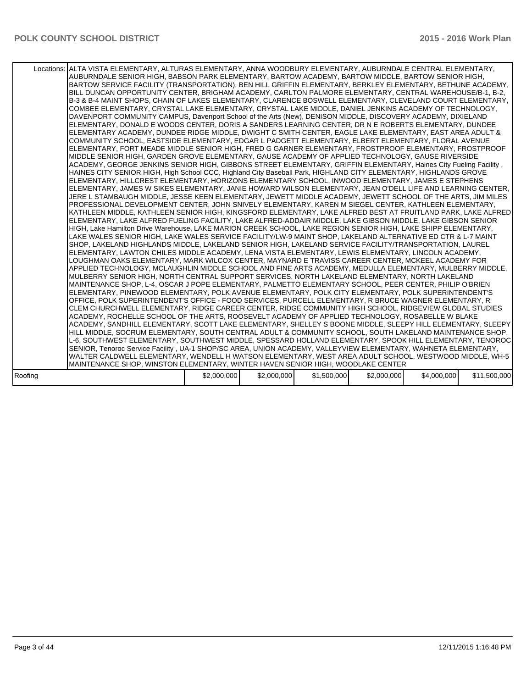|         | Locations: ALTA VISTA ELEMENTARY, ALTURAS ELEMENTARY, ANNA WOODBURY ELEMENTARY, AUBURNDALE CENTRAL ELEMENTARY,<br>AUBURNDALE SENIOR HIGH, BABSON PARK ELEMENTARY, BARTOW ACADEMY, BARTOW MIDDLE, BARTOW SENIOR HIGH,<br>BARTOW SERVICE FACILITY (TRANSPORTATION), BEN HILL GRIFFIN ELEMENTARY, BERKLEY ELEMENTARY, BETHUNE ACADEMY,<br>BILL DUNCAN OPPORTUNITY CENTER, BRIGHAM ACADEMY, CARLTON PALMORE ELEMENTARY, CENTRAL WAREHOUSE/B-1, B-2,<br>B-3 & B-4 MAINT SHOPS, CHAIN OF LAKES ELEMENTARY, CLARENCE BOSWELL ELEMENTARY, CLEVELAND COURT ELEMENTARY,<br>COMBEE ELEMENTARY, CRYSTAL LAKE ELEMENTARY, CRYSTAL LAKE MIDDLE, DANIEL JENKINS ACADEMY OF TECHNOLOGY,<br>DAVENPORT COMMUNITY CAMPUS, Davenport School of the Arts (New), DENISON MIDDLE, DISCOVERY ACADEMY, DIXIELAND<br>ELEMENTARY, DONALD E WOODS CENTER, DORIS A SANDERS LEARNING CENTER, DR N E ROBERTS ELEMENTARY, DUNDEE<br>ELEMENTARY ACADEMY, DUNDEE RIDGE MIDDLE, DWIGHT C SMITH CENTER, EAGLE LAKE ELEMENTARY, EAST AREA ADULT &<br>COMMUNITY SCHOOL, EASTSIDE ELEMENTARY, EDGAR L PADGETT ELEMENTARY, ELBERT ELEMENTARY, FLORAL AVENUE<br>ELEMENTARY, FORT MEADE MIDDLE SENIOR HIGH, FRED G GARNER ELEMENTARY, FROSTPROOF ELEMENTARY, FROSTPROOF<br>MIDDLE SENIOR HIGH, GARDEN GROVE ELEMENTARY, GAUSE ACADEMY OF APPLIED TECHNOLOGY, GAUSE RIVERSIDE<br>ACADEMY, GEORGE JENKINS SENIOR HIGH, GIBBONS STREET ELEMENTARY, GRIFFIN ELEMENTARY, Haines City Fueling Facility,<br>HAINES CITY SENIOR HIGH, High School CCC, Highland City Baseball Park, HIGHLAND CITY ELEMENTARY, HIGHLANDS GROVE<br>ELEMENTARY, HILLCREST ELEMENTARY, HORIZONS ELEMENTARY SCHOOL, INWOOD ELEMENTARY, JAMES E STEPHENS<br>ELEMENTARY, JAMES W SIKES ELEMENTARY, JANIE HOWARD WILSON ELEMENTARY, JEAN O'DELL LIFE AND LEARNING CENTER,<br>JERE L STAMBAUGH MIDDLE, JESSE KEEN ELEMENTARY, JEWETT MIDDLE ACADEMY, JEWETT SCHOOL OF THE ARTS, JIM MILES<br>PROFESSIONAL DEVELOPMENT CENTER, JOHN SNIVELY ELEMENTARY, KAREN M SIEGEL CENTER, KATHLEEN ELEMENTARY,<br>KATHLEEN MIDDLE, KATHLEEN SENIOR HIGH, KINGSFORD ELEMENTARY, LAKE ALFRED BEST AT FRUITLAND PARK, LAKE ALFRED  <br>ELEMENTARY, LAKE ALFRED FUELING FACILITY, LAKE ALFRED-ADDAIR MIDDLE, LAKE GIBSON MIDDLE, LAKE GIBSON SENIOR<br>HIGH, Lake Hamilton Drive Warehouse, LAKE MARION CREEK SCHOOL, LAKE REGION SENIOR HIGH, LAKE SHIPP ELEMENTARY,<br>LAKE WALES SENIOR HIGH, LAKE WALES SERVICE FACILITY/LW-9 MAINT SHOP, LAKELAND ALTERNATIVE ED CTR & L-7 MAINT<br>SHOP, LAKELAND HIGHLANDS MIDDLE, LAKELAND SENIOR HIGH, LAKELAND SERVICE FACILITY/TRANSPORTATION, LAUREL<br>ELEMENTARY, LAWTON CHILES MIDDLE ACADEMY, LENA VISTA ELEMENTARY, LEWIS ELEMENTARY, LINCOLN ACADEMY,<br>LOUGHMAN OAKS ELEMENTARY, MARK WILCOX CENTER, MAYNARD E TRAVISS CAREER CENTER, MCKEEL ACADEMY FOR<br>APPLIED TECHNOLOGY, MCLAUGHLIN MIDDLE SCHOOL AND FINE ARTS ACADEMY, MEDULLA ELEMENTARY, MULBERRY MIDDLE,<br>MULBERRY SENIOR HIGH, NORTH CENTRAL SUPPORT SERVICES, NORTH LAKELAND ELEMENTARY, NORTH LAKELAND<br>MAINTENANCE SHOP, L-4, OSCAR J POPE ELEMENTARY, PALMETTO ELEMENTARY SCHOOL, PEER CENTER, PHILIP O'BRIEN<br>ELEMENTARY, PINEWOOD ELEMENTARY, POLK AVENUE ELEMENTARY, POLK CITY ELEMENTARY, POLK SUPERINTENDENT'S<br>OFFICE, POLK SUPERINTENDENT'S OFFICE - FOOD SERVICES, PURCELL ELEMENTARY, R BRUCE WAGNER ELEMENTARY, R<br>CLEM CHURCHWELL ELEMENTARY, RIDGE CAREER CENTER, RIDGE COMMUNITY HIGH SCHOOL, RIDGEVIEW GLOBAL STUDIES<br>ACADEMY, ROCHELLE SCHOOL OF THE ARTS, ROOSEVELT ACADEMY OF APPLIED TECHNOLOGY, ROSABELLE W BLAKE<br>ACADEMY, SANDHILL ELEMENTARY, SCOTT LAKE ELEMENTARY, SHELLEY S BOONE MIDDLE, SLEEPY HILL ELEMENTARY, SLEEPY  <br>HILL MIDDLE, SOCRUM ELEMENTARY, SOUTH CENTRAL ADULT & COMMUNITY SCHOOL, SOUTH LAKELAND MAINTENANCE SHOP,<br>L-6, SOUTHWEST ELEMENTARY, SOUTHWEST MIDDLE, SPESSARD HOLLAND ELEMENTARY, SPOOK HILL ELEMENTARY, TENOROC<br>SENIOR, Tenoroc Service Facility, UA-1 SHOP/SC AREA, UNION ACADEMY, VALLEYVIEW ELEMENTARY, WAHNETA ELEMENTARY,<br>WALTER CALDWELL ELEMENTARY, WENDELL H WATSON ELEMENTARY, WEST AREA ADULT SCHOOL, WESTWOOD MIDDLE, WH-5 |             |             |             |             |             |              |
|---------|--------------------------------------------------------------------------------------------------------------------------------------------------------------------------------------------------------------------------------------------------------------------------------------------------------------------------------------------------------------------------------------------------------------------------------------------------------------------------------------------------------------------------------------------------------------------------------------------------------------------------------------------------------------------------------------------------------------------------------------------------------------------------------------------------------------------------------------------------------------------------------------------------------------------------------------------------------------------------------------------------------------------------------------------------------------------------------------------------------------------------------------------------------------------------------------------------------------------------------------------------------------------------------------------------------------------------------------------------------------------------------------------------------------------------------------------------------------------------------------------------------------------------------------------------------------------------------------------------------------------------------------------------------------------------------------------------------------------------------------------------------------------------------------------------------------------------------------------------------------------------------------------------------------------------------------------------------------------------------------------------------------------------------------------------------------------------------------------------------------------------------------------------------------------------------------------------------------------------------------------------------------------------------------------------------------------------------------------------------------------------------------------------------------------------------------------------------------------------------------------------------------------------------------------------------------------------------------------------------------------------------------------------------------------------------------------------------------------------------------------------------------------------------------------------------------------------------------------------------------------------------------------------------------------------------------------------------------------------------------------------------------------------------------------------------------------------------------------------------------------------------------------------------------------------------------------------------------------------------------------------------------------------------------------------------------------------------------------------------------------------------------------------------------------------------------------------------------------------------------------------------------------------------------------------------------------------------------------------------------------------------------------------------------------------------------------------------------------------------------------------------------------------------------------------------------------------------------------------------------------------------------------------------------------------------------------------------------------------------------------------------------------------------------------------------------------------------------------------------------------------------------------------|-------------|-------------|-------------|-------------|-------------|--------------|
|         | MAINTENANCE SHOP, WINSTON ELEMENTARY, WINTER HAVEN SENIOR HIGH, WOODLAKE CENTER                                                                                                                                                                                                                                                                                                                                                                                                                                                                                                                                                                                                                                                                                                                                                                                                                                                                                                                                                                                                                                                                                                                                                                                                                                                                                                                                                                                                                                                                                                                                                                                                                                                                                                                                                                                                                                                                                                                                                                                                                                                                                                                                                                                                                                                                                                                                                                                                                                                                                                                                                                                                                                                                                                                                                                                                                                                                                                                                                                                                                                                                                                                                                                                                                                                                                                                                                                                                                                                                                                                                                                                                                                                                                                                                                                                                                                                                                                                                                                                                                                                                  |             |             |             |             |             |              |
|         |                                                                                                                                                                                                                                                                                                                                                                                                                                                                                                                                                                                                                                                                                                                                                                                                                                                                                                                                                                                                                                                                                                                                                                                                                                                                                                                                                                                                                                                                                                                                                                                                                                                                                                                                                                                                                                                                                                                                                                                                                                                                                                                                                                                                                                                                                                                                                                                                                                                                                                                                                                                                                                                                                                                                                                                                                                                                                                                                                                                                                                                                                                                                                                                                                                                                                                                                                                                                                                                                                                                                                                                                                                                                                                                                                                                                                                                                                                                                                                                                                                                                                                                                                  |             |             |             |             |             |              |
| Roofing |                                                                                                                                                                                                                                                                                                                                                                                                                                                                                                                                                                                                                                                                                                                                                                                                                                                                                                                                                                                                                                                                                                                                                                                                                                                                                                                                                                                                                                                                                                                                                                                                                                                                                                                                                                                                                                                                                                                                                                                                                                                                                                                                                                                                                                                                                                                                                                                                                                                                                                                                                                                                                                                                                                                                                                                                                                                                                                                                                                                                                                                                                                                                                                                                                                                                                                                                                                                                                                                                                                                                                                                                                                                                                                                                                                                                                                                                                                                                                                                                                                                                                                                                                  | \$2,000,000 | \$2,000,000 | \$1,500,000 | \$2,000,000 | \$4,000,000 | \$11,500,000 |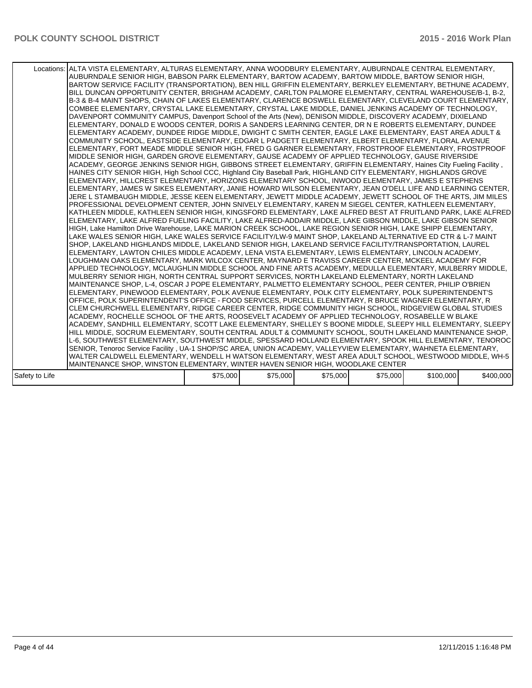|                | Locations: ALTA VISTA ELEMENTARY, ALTURAS ELEMENTARY, ANNA WOODBURY ELEMENTARY, AUBURNDALE CENTRAL ELEMENTARY,<br>AUBURNDALE SENIOR HIGH, BABSON PARK ELEMENTARY, BARTOW ACADEMY, BARTOW MIDDLE, BARTOW SENIOR HIGH,<br>BARTOW SERVICE FACILITY (TRANSPORTATION), BEN HILL GRIFFIN ELEMENTARY, BERKLEY ELEMENTARY, BETHUNE ACADEMY,<br>BILL DUNCAN OPPORTUNITY CENTER, BRIGHAM ACADEMY, CARLTON PALMORE ELEMENTARY, CENTRAL WAREHOUSE/B-1, B-2,<br>B-3 & B-4 MAINT SHOPS. CHAIN OF LAKES ELEMENTARY. CLARENCE BOSWELL ELEMENTARY. CLEVELAND COURT ELEMENTARY.<br>COMBEE ELEMENTARY, CRYSTAL LAKE ELEMENTARY, CRYSTAL LAKE MIDDLE, DANIEL JENKINS ACADEMY OF TECHNOLOGY,<br>DAVENPORT COMMUNITY CAMPUS, Davenport School of the Arts (New), DENISON MIDDLE, DISCOVERY ACADEMY, DIXIELAND<br>ELEMENTARY, DONALD E WOODS CENTER, DORIS A SANDERS LEARNING CENTER, DR N E ROBERTS ELEMENTARY, DUNDEE<br>ELEMENTARY ACADEMY, DUNDEE RIDGE MIDDLE, DWIGHT C SMITH CENTER, EAGLE LAKE ELEMENTARY, EAST AREA ADULT &<br>COMMUNITY SCHOOL, EASTSIDE ELEMENTARY, EDGAR L PADGETT ELEMENTARY, ELBERT ELEMENTARY, FLORAL AVENUE<br>ELEMENTARY, FORT MEADE MIDDLE SENIOR HIGH, FRED G GARNER ELEMENTARY, FROSTPROOF ELEMENTARY, FROSTPROOF<br>MIDDLE SENIOR HIGH, GARDEN GROVE ELEMENTARY, GAUSE ACADEMY OF APPLIED TECHNOLOGY, GAUSE RIVERSIDE<br>ACADEMY, GEORGE JENKINS SENIOR HIGH, GIBBONS STREET ELEMENTARY, GRIFFIN ELEMENTARY, Haines City Fueling Facility,<br>HAINES CITY SENIOR HIGH, High School CCC, Highland City Baseball Park, HIGHLAND CITY ELEMENTARY, HIGHLANDS GROVE<br>ELEMENTARY, HILLCREST ELEMENTARY, HORIZONS ELEMENTARY SCHOOL, INWOOD ELEMENTARY, JAMES E STEPHENS<br>ELEMENTARY, JAMES W SIKES ELEMENTARY, JANIE HOWARD WILSON ELEMENTARY, JEAN O'DELL LIFE AND LEARNING CENTER,<br>JERE L STAMBAUGH MIDDLE, JESSE KEEN ELEMENTARY, JEWETT MIDDLE ACADEMY, JEWETT SCHOOL OF THE ARTS, JIM MILES<br>PROFESSIONAL DEVELOPMENT CENTER, JOHN SNIVELY ELEMENTARY, KAREN M SIEGEL CENTER, KATHLEEN ELEMENTARY,<br>KATHLEEN MIDDLE, KATHLEEN SENIOR HIGH, KINGSFORD ELEMENTARY, LAKE ALFRED BEST AT FRUITLAND PARK, LAKE ALFRED<br>ELEMENTARY, LAKE ALFRED FUELING FACILITY, LAKE ALFRED-ADDAIR MIDDLE, LAKE GIBSON MIDDLE, LAKE GIBSON SENIOR<br>HIGH, Lake Hamilton Drive Warehouse, LAKE MARION CREEK SCHOOL, LAKE REGION SENIOR HIGH, LAKE SHIPP ELEMENTARY,<br>LAKE WALES SENIOR HIGH, LAKE WALES SERVICE FACILITY/LW-9 MAINT SHOP, LAKELAND ALTERNATIVE ED CTR & L-7 MAINT<br>SHOP, LAKELAND HIGHLANDS MIDDLE, LAKELAND SENIOR HIGH, LAKELAND SERVICE FACILITY/TRANSPORTATION, LAUREL<br>ELEMENTARY, LAWTON CHILES MIDDLE ACADEMY, LENA VISTA ELEMENTARY, LEWIS ELEMENTARY, LINCOLN ACADEMY,<br>LOUGHMAN OAKS ELEMENTARY, MARK WILCOX CENTER, MAYNARD E TRAVISS CAREER CENTER, MCKEEL ACADEMY FOR<br>APPLIED TECHNOLOGY, MCLAUGHLIN MIDDLE SCHOOL AND FINE ARTS ACADEMY, MEDULLA ELEMENTARY, MULBERRY MIDDLE,<br>MULBERRY SENIOR HIGH, NORTH CENTRAL SUPPORT SERVICES, NORTH LAKELAND ELEMENTARY, NORTH LAKELAND<br>MAINTENANCE SHOP, L-4, OSCAR J POPE ELEMENTARY, PALMETTO ELEMENTARY SCHOOL, PEER CENTER, PHILIP O'BRIEN<br>ELEMENTARY, PINEWOOD ELEMENTARY, POLK AVENUE ELEMENTARY, POLK CITY ELEMENTARY, POLK SUPERINTENDENT'S<br>OFFICE. POLK SUPERINTENDENT'S OFFICE - FOOD SERVICES. PURCELL ELEMENTARY. R BRUCE WAGNER ELEMENTARY. R<br>CLEM CHURCHWELL ELEMENTARY, RIDGE CAREER CENTER, RIDGE COMMUNITY HIGH SCHOOL, RIDGEVIEW GLOBAL STUDIES<br>ACADEMY, ROCHELLE SCHOOL OF THE ARTS, ROOSEVELT ACADEMY OF APPLIED TECHNOLOGY, ROSABELLE W BLAKE<br>ACADEMY, SANDHILL ELEMENTARY, SCOTT LAKE ELEMENTARY, SHELLEY S BOONE MIDDLE, SLEEPY HILL ELEMENTARY, SLEEPY  <br>HILL MIDDLE, SOCRUM ELEMENTARY, SOUTH CENTRAL ADULT & COMMUNITY SCHOOL, SOUTH LAKELAND MAINTENANCE SHOP,<br>L-6, SOUTHWEST ELEMENTARY, SOUTHWEST MIDDLE, SPESSARD HOLLAND ELEMENTARY, SPOOK HILL ELEMENTARY, TENOROC<br>SENIOR, Tenoroc Service Facility, UA-1 SHOP/SC AREA, UNION ACADEMY, VALLEYVIEW ELEMENTARY, WAHNETA ELEMENTARY,<br>WALTER CALDWELL ELEMENTARY, WENDELL H WATSON ELEMENTARY, WEST AREA ADULT SCHOOL, WESTWOOD MIDDLE, WH-5 |          |          |          |          |           |           |
|----------------|------------------------------------------------------------------------------------------------------------------------------------------------------------------------------------------------------------------------------------------------------------------------------------------------------------------------------------------------------------------------------------------------------------------------------------------------------------------------------------------------------------------------------------------------------------------------------------------------------------------------------------------------------------------------------------------------------------------------------------------------------------------------------------------------------------------------------------------------------------------------------------------------------------------------------------------------------------------------------------------------------------------------------------------------------------------------------------------------------------------------------------------------------------------------------------------------------------------------------------------------------------------------------------------------------------------------------------------------------------------------------------------------------------------------------------------------------------------------------------------------------------------------------------------------------------------------------------------------------------------------------------------------------------------------------------------------------------------------------------------------------------------------------------------------------------------------------------------------------------------------------------------------------------------------------------------------------------------------------------------------------------------------------------------------------------------------------------------------------------------------------------------------------------------------------------------------------------------------------------------------------------------------------------------------------------------------------------------------------------------------------------------------------------------------------------------------------------------------------------------------------------------------------------------------------------------------------------------------------------------------------------------------------------------------------------------------------------------------------------------------------------------------------------------------------------------------------------------------------------------------------------------------------------------------------------------------------------------------------------------------------------------------------------------------------------------------------------------------------------------------------------------------------------------------------------------------------------------------------------------------------------------------------------------------------------------------------------------------------------------------------------------------------------------------------------------------------------------------------------------------------------------------------------------------------------------------------------------------------------------------------------------------------------------------------------------------------------------------------------------------------------------------------------------------------------------------------------------------------------------------------------------------------------------------------------------------------------------------------------------------------------------------------------------------------------------------------------------------------------------------------------------------|----------|----------|----------|----------|-----------|-----------|
|                |                                                                                                                                                                                                                                                                                                                                                                                                                                                                                                                                                                                                                                                                                                                                                                                                                                                                                                                                                                                                                                                                                                                                                                                                                                                                                                                                                                                                                                                                                                                                                                                                                                                                                                                                                                                                                                                                                                                                                                                                                                                                                                                                                                                                                                                                                                                                                                                                                                                                                                                                                                                                                                                                                                                                                                                                                                                                                                                                                                                                                                                                                                                                                                                                                                                                                                                                                                                                                                                                                                                                                                                                                                                                                                                                                                                                                                                                                                                                                                                                                                                                                                                                                |          |          |          |          |           |           |
|                | MAINTENANCE SHOP, WINSTON ELEMENTARY, WINTER HAVEN SENIOR HIGH, WOODLAKE CENTER                                                                                                                                                                                                                                                                                                                                                                                                                                                                                                                                                                                                                                                                                                                                                                                                                                                                                                                                                                                                                                                                                                                                                                                                                                                                                                                                                                                                                                                                                                                                                                                                                                                                                                                                                                                                                                                                                                                                                                                                                                                                                                                                                                                                                                                                                                                                                                                                                                                                                                                                                                                                                                                                                                                                                                                                                                                                                                                                                                                                                                                                                                                                                                                                                                                                                                                                                                                                                                                                                                                                                                                                                                                                                                                                                                                                                                                                                                                                                                                                                                                                |          |          |          |          |           |           |
|                |                                                                                                                                                                                                                                                                                                                                                                                                                                                                                                                                                                                                                                                                                                                                                                                                                                                                                                                                                                                                                                                                                                                                                                                                                                                                                                                                                                                                                                                                                                                                                                                                                                                                                                                                                                                                                                                                                                                                                                                                                                                                                                                                                                                                                                                                                                                                                                                                                                                                                                                                                                                                                                                                                                                                                                                                                                                                                                                                                                                                                                                                                                                                                                                                                                                                                                                                                                                                                                                                                                                                                                                                                                                                                                                                                                                                                                                                                                                                                                                                                                                                                                                                                |          |          |          |          |           |           |
| Safety to Life |                                                                                                                                                                                                                                                                                                                                                                                                                                                                                                                                                                                                                                                                                                                                                                                                                                                                                                                                                                                                                                                                                                                                                                                                                                                                                                                                                                                                                                                                                                                                                                                                                                                                                                                                                                                                                                                                                                                                                                                                                                                                                                                                                                                                                                                                                                                                                                                                                                                                                                                                                                                                                                                                                                                                                                                                                                                                                                                                                                                                                                                                                                                                                                                                                                                                                                                                                                                                                                                                                                                                                                                                                                                                                                                                                                                                                                                                                                                                                                                                                                                                                                                                                | \$75,000 | \$75,000 | \$75,000 | \$75,000 | \$100,000 | \$400,000 |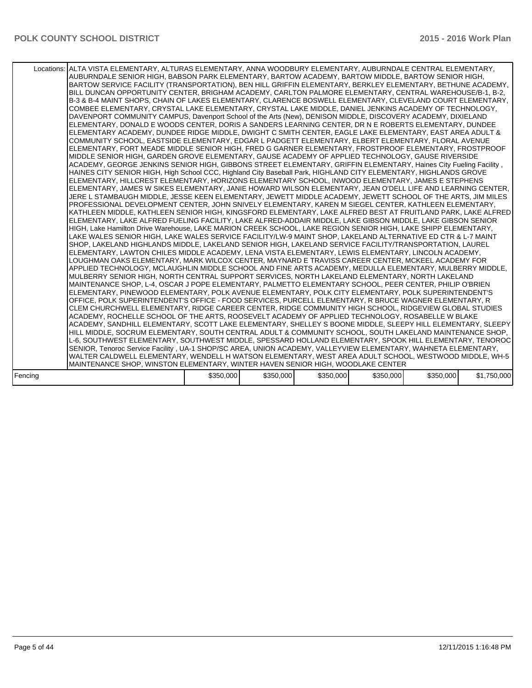|         | Locations: ALTA VISTA ELEMENTARY, ALTURAS ELEMENTARY, ANNA WOODBURY ELEMENTARY, AUBURNDALE CENTRAL ELEMENTARY,<br>AUBURNDALE SENIOR HIGH, BABSON PARK ELEMENTARY, BARTOW ACADEMY, BARTOW MIDDLE, BARTOW SENIOR HIGH,<br>BARTOW SERVICE FACILITY (TRANSPORTATION), BEN HILL GRIFFIN ELEMENTARY, BERKLEY ELEMENTARY, BETHUNE ACADEMY,<br>BILL DUNCAN OPPORTUNITY CENTER, BRIGHAM ACADEMY, CARLTON PALMORE ELEMENTARY, CENTRAL WAREHOUSE/B-1, B-2,<br>B-3 & B-4 MAINT SHOPS, CHAIN OF LAKES ELEMENTARY, CLARENCE BOSWELL ELEMENTARY, CLEVELAND COURT ELEMENTARY,<br>COMBEE ELEMENTARY, CRYSTAL LAKE ELEMENTARY, CRYSTAL LAKE MIDDLE, DANIEL JENKINS ACADEMY OF TECHNOLOGY,<br>DAVENPORT COMMUNITY CAMPUS, Davenport School of the Arts (New), DENISON MIDDLE, DISCOVERY ACADEMY, DIXIELAND<br>ELEMENTARY, DONALD E WOODS CENTER, DORIS A SANDERS LEARNING CENTER, DR N E ROBERTS ELEMENTARY, DUNDEE<br>ELEMENTARY ACADEMY, DUNDEE RIDGE MIDDLE, DWIGHT C SMITH CENTER, EAGLE LAKE ELEMENTARY, EAST AREA ADULT &<br>COMMUNITY SCHOOL, EASTSIDE ELEMENTARY, EDGAR L PADGETT ELEMENTARY, ELBERT ELEMENTARY, FLORAL AVENUE<br>ELEMENTARY, FORT MEADE MIDDLE SENIOR HIGH, FRED G GARNER ELEMENTARY, FROSTPROOF ELEMENTARY, FROSTPROOF<br>MIDDLE SENIOR HIGH, GARDEN GROVE ELEMENTARY, GAUSE ACADEMY OF APPLIED TECHNOLOGY, GAUSE RIVERSIDE<br>ACADEMY, GEORGE JENKINS SENIOR HIGH, GIBBONS STREET ELEMENTARY, GRIFFIN ELEMENTARY, Haines City Fueling Facility,<br>HAINES CITY SENIOR HIGH, High School CCC, Highland City Baseball Park, HIGHLAND CITY ELEMENTARY, HIGHLANDS GROVE<br>ELEMENTARY, HILLCREST ELEMENTARY, HORIZONS ELEMENTARY SCHOOL, INWOOD ELEMENTARY, JAMES E STEPHENS<br>ELEMENTARY, JAMES W SIKES ELEMENTARY, JANIE HOWARD WILSON ELEMENTARY, JEAN O'DELL LIFE AND LEARNING CENTER,<br>JERE L STAMBAUGH MIDDLE, JESSE KEEN ELEMENTARY, JEWETT MIDDLE ACADEMY, JEWETT SCHOOL OF THE ARTS, JIM MILES<br>PROFESSIONAL DEVELOPMENT CENTER, JOHN SNIVELY ELEMENTARY, KAREN M SIEGEL CENTER, KATHLEEN ELEMENTARY,<br>KATHLEEN MIDDLE, KATHLEEN SENIOR HIGH, KINGSFORD ELEMENTARY, LAKE ALFRED BEST AT FRUITLAND PARK, LAKE ALFRED  <br>ELEMENTARY, LAKE ALFRED FUELING FACILITY, LAKE ALFRED-ADDAIR MIDDLE, LAKE GIBSON MIDDLE, LAKE GIBSON SENIOR<br>HIGH, Lake Hamilton Drive Warehouse, LAKE MARION CREEK SCHOOL, LAKE REGION SENIOR HIGH, LAKE SHIPP ELEMENTARY,<br>LAKE WALES SENIOR HIGH, LAKE WALES SERVICE FACILITY/LW-9 MAINT SHOP, LAKELAND ALTERNATIVE ED CTR & L-7 MAINT<br>SHOP, LAKELAND HIGHLANDS MIDDLE, LAKELAND SENIOR HIGH, LAKELAND SERVICE FACILITY/TRANSPORTATION, LAUREL<br>ELEMENTARY, LAWTON CHILES MIDDLE ACADEMY, LENA VISTA ELEMENTARY, LEWIS ELEMENTARY, LINCOLN ACADEMY,<br>LOUGHMAN OAKS ELEMENTARY, MARK WILCOX CENTER, MAYNARD E TRAVISS CAREER CENTER, MCKEEL ACADEMY FOR<br>APPLIED TECHNOLOGY, MCLAUGHLIN MIDDLE SCHOOL AND FINE ARTS ACADEMY, MEDULLA ELEMENTARY, MULBERRY MIDDLE,<br>MULBERRY SENIOR HIGH, NORTH CENTRAL SUPPORT SERVICES, NORTH LAKELAND ELEMENTARY, NORTH LAKELAND<br>MAINTENANCE SHOP, L-4, OSCAR J POPE ELEMENTARY, PALMETTO ELEMENTARY SCHOOL, PEER CENTER, PHILIP O'BRIEN<br>ELEMENTARY, PINEWOOD ELEMENTARY, POLK AVENUE ELEMENTARY, POLK CITY ELEMENTARY, POLK SUPERINTENDENT'S<br>OFFICE, POLK SUPERINTENDENT'S OFFICE - FOOD SERVICES, PURCELL ELEMENTARY, R BRUCE WAGNER ELEMENTARY, R<br>CLEM CHURCHWELL ELEMENTARY, RIDGE CAREER CENTER, RIDGE COMMUNITY HIGH SCHOOL, RIDGEVIEW GLOBAL STUDIES<br>ACADEMY, ROCHELLE SCHOOL OF THE ARTS, ROOSEVELT ACADEMY OF APPLIED TECHNOLOGY, ROSABELLE W BLAKE<br>ACADEMY, SANDHILL ELEMENTARY, SCOTT LAKE ELEMENTARY, SHELLEY S BOONE MIDDLE, SLEEPY HILL ELEMENTARY, SLEEPY  <br>HILL MIDDLE, SOCRUM ELEMENTARY, SOUTH CENTRAL ADULT & COMMUNITY SCHOOL, SOUTH LAKELAND MAINTENANCE SHOP,<br>L-6, SOUTHWEST ELEMENTARY, SOUTHWEST MIDDLE, SPESSARD HOLLAND ELEMENTARY, SPOOK HILL ELEMENTARY, TENOROC<br>SENIOR, Tenoroc Service Facility, UA-1 SHOP/SC AREA, UNION ACADEMY, VALLEYVIEW ELEMENTARY, WAHNETA ELEMENTARY,<br>WALTER CALDWELL ELEMENTARY, WENDELL H WATSON ELEMENTARY, WEST AREA ADULT SCHOOL, WESTWOOD MIDDLE, WH-5 |           |           |           |           |           |             |
|---------|--------------------------------------------------------------------------------------------------------------------------------------------------------------------------------------------------------------------------------------------------------------------------------------------------------------------------------------------------------------------------------------------------------------------------------------------------------------------------------------------------------------------------------------------------------------------------------------------------------------------------------------------------------------------------------------------------------------------------------------------------------------------------------------------------------------------------------------------------------------------------------------------------------------------------------------------------------------------------------------------------------------------------------------------------------------------------------------------------------------------------------------------------------------------------------------------------------------------------------------------------------------------------------------------------------------------------------------------------------------------------------------------------------------------------------------------------------------------------------------------------------------------------------------------------------------------------------------------------------------------------------------------------------------------------------------------------------------------------------------------------------------------------------------------------------------------------------------------------------------------------------------------------------------------------------------------------------------------------------------------------------------------------------------------------------------------------------------------------------------------------------------------------------------------------------------------------------------------------------------------------------------------------------------------------------------------------------------------------------------------------------------------------------------------------------------------------------------------------------------------------------------------------------------------------------------------------------------------------------------------------------------------------------------------------------------------------------------------------------------------------------------------------------------------------------------------------------------------------------------------------------------------------------------------------------------------------------------------------------------------------------------------------------------------------------------------------------------------------------------------------------------------------------------------------------------------------------------------------------------------------------------------------------------------------------------------------------------------------------------------------------------------------------------------------------------------------------------------------------------------------------------------------------------------------------------------------------------------------------------------------------------------------------------------------------------------------------------------------------------------------------------------------------------------------------------------------------------------------------------------------------------------------------------------------------------------------------------------------------------------------------------------------------------------------------------------------------------------------------------------------------------------------|-----------|-----------|-----------|-----------|-----------|-------------|
|         |                                                                                                                                                                                                                                                                                                                                                                                                                                                                                                                                                                                                                                                                                                                                                                                                                                                                                                                                                                                                                                                                                                                                                                                                                                                                                                                                                                                                                                                                                                                                                                                                                                                                                                                                                                                                                                                                                                                                                                                                                                                                                                                                                                                                                                                                                                                                                                                                                                                                                                                                                                                                                                                                                                                                                                                                                                                                                                                                                                                                                                                                                                                                                                                                                                                                                                                                                                                                                                                                                                                                                                                                                                                                                                                                                                                                                                                                                                                                                                                                                                                                                                                                                  |           |           |           |           |           |             |
|         | MAINTENANCE SHOP, WINSTON ELEMENTARY, WINTER HAVEN SENIOR HIGH, WOODLAKE CENTER                                                                                                                                                                                                                                                                                                                                                                                                                                                                                                                                                                                                                                                                                                                                                                                                                                                                                                                                                                                                                                                                                                                                                                                                                                                                                                                                                                                                                                                                                                                                                                                                                                                                                                                                                                                                                                                                                                                                                                                                                                                                                                                                                                                                                                                                                                                                                                                                                                                                                                                                                                                                                                                                                                                                                                                                                                                                                                                                                                                                                                                                                                                                                                                                                                                                                                                                                                                                                                                                                                                                                                                                                                                                                                                                                                                                                                                                                                                                                                                                                                                                  |           |           |           |           |           |             |
| Fencing |                                                                                                                                                                                                                                                                                                                                                                                                                                                                                                                                                                                                                                                                                                                                                                                                                                                                                                                                                                                                                                                                                                                                                                                                                                                                                                                                                                                                                                                                                                                                                                                                                                                                                                                                                                                                                                                                                                                                                                                                                                                                                                                                                                                                                                                                                                                                                                                                                                                                                                                                                                                                                                                                                                                                                                                                                                                                                                                                                                                                                                                                                                                                                                                                                                                                                                                                                                                                                                                                                                                                                                                                                                                                                                                                                                                                                                                                                                                                                                                                                                                                                                                                                  | \$350,000 | \$350,000 | \$350,000 | \$350,000 | \$350,000 | \$1,750,000 |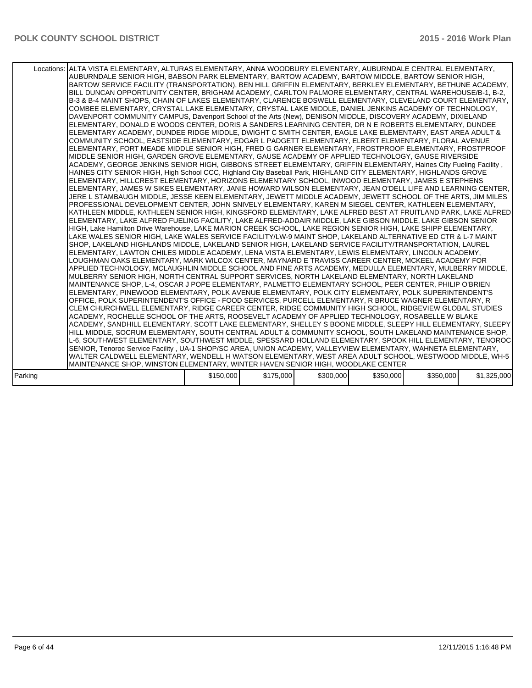|         | Locations: ALTA VISTA ELEMENTARY, ALTURAS ELEMENTARY, ANNA WOODBURY ELEMENTARY, AUBURNDALE CENTRAL ELEMENTARY,<br>AUBURNDALE SENIOR HIGH, BABSON PARK ELEMENTARY, BARTOW ACADEMY, BARTOW MIDDLE, BARTOW SENIOR HIGH,<br>BARTOW SERVICE FACILITY (TRANSPORTATION), BEN HILL GRIFFIN ELEMENTARY, BERKLEY ELEMENTARY, BETHUNE ACADEMY,<br>BILL DUNCAN OPPORTUNITY CENTER, BRIGHAM ACADEMY, CARLTON PALMORE ELEMENTARY, CENTRAL WAREHOUSE/B-1, B-2,<br>B-3 & B-4 MAINT SHOPS, CHAIN OF LAKES ELEMENTARY, CLARENCE BOSWELL ELEMENTARY, CLEVELAND COURT ELEMENTARY,<br>COMBEE ELEMENTARY, CRYSTAL LAKE ELEMENTARY, CRYSTAL LAKE MIDDLE, DANIEL JENKINS ACADEMY OF TECHNOLOGY,<br>DAVENPORT COMMUNITY CAMPUS, Davenport School of the Arts (New), DENISON MIDDLE, DISCOVERY ACADEMY, DIXIELAND<br>ELEMENTARY, DONALD E WOODS CENTER, DORIS A SANDERS LEARNING CENTER, DR N E ROBERTS ELEMENTARY, DUNDEE<br>ELEMENTARY ACADEMY, DUNDEE RIDGE MIDDLE, DWIGHT C SMITH CENTER, EAGLE LAKE ELEMENTARY, EAST AREA ADULT &<br>COMMUNITY SCHOOL, EASTSIDE ELEMENTARY, EDGAR L PADGETT ELEMENTARY, ELBERT ELEMENTARY, FLORAL AVENUE<br>ELEMENTARY, FORT MEADE MIDDLE SENIOR HIGH, FRED G GARNER ELEMENTARY, FROSTPROOF ELEMENTARY, FROSTPROOF<br>MIDDLE SENIOR HIGH, GARDEN GROVE ELEMENTARY, GAUSE ACADEMY OF APPLIED TECHNOLOGY, GAUSE RIVERSIDE<br>ACADEMY, GEORGE JENKINS SENIOR HIGH, GIBBONS STREET ELEMENTARY, GRIFFIN ELEMENTARY, Haines City Fueling Facility,<br>HAINES CITY SENIOR HIGH, High School CCC, Highland City Baseball Park, HIGHLAND CITY ELEMENTARY, HIGHLANDS GROVE<br>ELEMENTARY, HILLCREST ELEMENTARY, HORIZONS ELEMENTARY SCHOOL, INWOOD ELEMENTARY, JAMES E STEPHENS<br>ELEMENTARY, JAMES W SIKES ELEMENTARY, JANIE HOWARD WILSON ELEMENTARY, JEAN O'DELL LIFE AND LEARNING CENTER,<br>JERE L STAMBAUGH MIDDLE, JESSE KEEN ELEMENTARY, JEWETT MIDDLE ACADEMY, JEWETT SCHOOL OF THE ARTS, JIM MILES<br>PROFESSIONAL DEVELOPMENT CENTER, JOHN SNIVELY ELEMENTARY, KAREN M SIEGEL CENTER, KATHLEEN ELEMENTARY,<br>KATHLEEN MIDDLE, KATHLEEN SENIOR HIGH, KINGSFORD ELEMENTARY, LAKE ALFRED BEST AT FRUITLAND PARK, LAKE ALFRED  <br>ELEMENTARY, LAKE ALFRED FUELING FACILITY, LAKE ALFRED-ADDAIR MIDDLE, LAKE GIBSON MIDDLE, LAKE GIBSON SENIOR<br>HIGH, Lake Hamilton Drive Warehouse, LAKE MARION CREEK SCHOOL, LAKE REGION SENIOR HIGH, LAKE SHIPP ELEMENTARY,<br>LAKE WALES SENIOR HIGH, LAKE WALES SERVICE FACILITY/LW-9 MAINT SHOP, LAKELAND ALTERNATIVE ED CTR & L-7 MAINT<br>SHOP, LAKELAND HIGHLANDS MIDDLE, LAKELAND SENIOR HIGH, LAKELAND SERVICE FACILITY/TRANSPORTATION, LAUREL<br>ELEMENTARY, LAWTON CHILES MIDDLE ACADEMY, LENA VISTA ELEMENTARY, LEWIS ELEMENTARY, LINCOLN ACADEMY,<br>LOUGHMAN OAKS ELEMENTARY, MARK WILCOX CENTER, MAYNARD E TRAVISS CAREER CENTER, MCKEEL ACADEMY FOR<br>APPLIED TECHNOLOGY, MCLAUGHLIN MIDDLE SCHOOL AND FINE ARTS ACADEMY, MEDULLA ELEMENTARY, MULBERRY MIDDLE,<br>MULBERRY SENIOR HIGH, NORTH CENTRAL SUPPORT SERVICES, NORTH LAKELAND ELEMENTARY, NORTH LAKELAND<br>MAINTENANCE SHOP, L-4, OSCAR J POPE ELEMENTARY, PALMETTO ELEMENTARY SCHOOL, PEER CENTER, PHILIP O'BRIEN<br>ELEMENTARY, PINEWOOD ELEMENTARY, POLK AVENUE ELEMENTARY, POLK CITY ELEMENTARY, POLK SUPERINTENDENT'S<br>OFFICE, POLK SUPERINTENDENT'S OFFICE - FOOD SERVICES, PURCELL ELEMENTARY, R BRUCE WAGNER ELEMENTARY, R<br>CLEM CHURCHWELL ELEMENTARY, RIDGE CAREER CENTER, RIDGE COMMUNITY HIGH SCHOOL, RIDGEVIEW GLOBAL STUDIES<br>ACADEMY, ROCHELLE SCHOOL OF THE ARTS, ROOSEVELT ACADEMY OF APPLIED TECHNOLOGY, ROSABELLE W BLAKE<br>ACADEMY, SANDHILL ELEMENTARY, SCOTT LAKE ELEMENTARY, SHELLEY S BOONE MIDDLE, SLEEPY HILL ELEMENTARY, SLEEPY  <br>HILL MIDDLE, SOCRUM ELEMENTARY, SOUTH CENTRAL ADULT & COMMUNITY SCHOOL, SOUTH LAKELAND MAINTENANCE SHOP,<br>L-6, SOUTHWEST ELEMENTARY, SOUTHWEST MIDDLE, SPESSARD HOLLAND ELEMENTARY, SPOOK HILL ELEMENTARY, TENOROC<br>SENIOR, Tenoroc Service Facility, UA-1 SHOP/SC AREA, UNION ACADEMY, VALLEYVIEW ELEMENTARY, WAHNETA ELEMENTARY,<br>WALTER CALDWELL ELEMENTARY, WENDELL H WATSON ELEMENTARY, WEST AREA ADULT SCHOOL, WESTWOOD MIDDLE, WH-5 |           |           |           |           |           |             |
|---------|--------------------------------------------------------------------------------------------------------------------------------------------------------------------------------------------------------------------------------------------------------------------------------------------------------------------------------------------------------------------------------------------------------------------------------------------------------------------------------------------------------------------------------------------------------------------------------------------------------------------------------------------------------------------------------------------------------------------------------------------------------------------------------------------------------------------------------------------------------------------------------------------------------------------------------------------------------------------------------------------------------------------------------------------------------------------------------------------------------------------------------------------------------------------------------------------------------------------------------------------------------------------------------------------------------------------------------------------------------------------------------------------------------------------------------------------------------------------------------------------------------------------------------------------------------------------------------------------------------------------------------------------------------------------------------------------------------------------------------------------------------------------------------------------------------------------------------------------------------------------------------------------------------------------------------------------------------------------------------------------------------------------------------------------------------------------------------------------------------------------------------------------------------------------------------------------------------------------------------------------------------------------------------------------------------------------------------------------------------------------------------------------------------------------------------------------------------------------------------------------------------------------------------------------------------------------------------------------------------------------------------------------------------------------------------------------------------------------------------------------------------------------------------------------------------------------------------------------------------------------------------------------------------------------------------------------------------------------------------------------------------------------------------------------------------------------------------------------------------------------------------------------------------------------------------------------------------------------------------------------------------------------------------------------------------------------------------------------------------------------------------------------------------------------------------------------------------------------------------------------------------------------------------------------------------------------------------------------------------------------------------------------------------------------------------------------------------------------------------------------------------------------------------------------------------------------------------------------------------------------------------------------------------------------------------------------------------------------------------------------------------------------------------------------------------------------------------------------------------------------------------------------------|-----------|-----------|-----------|-----------|-----------|-------------|
|         |                                                                                                                                                                                                                                                                                                                                                                                                                                                                                                                                                                                                                                                                                                                                                                                                                                                                                                                                                                                                                                                                                                                                                                                                                                                                                                                                                                                                                                                                                                                                                                                                                                                                                                                                                                                                                                                                                                                                                                                                                                                                                                                                                                                                                                                                                                                                                                                                                                                                                                                                                                                                                                                                                                                                                                                                                                                                                                                                                                                                                                                                                                                                                                                                                                                                                                                                                                                                                                                                                                                                                                                                                                                                                                                                                                                                                                                                                                                                                                                                                                                                                                                                                  |           |           |           |           |           |             |
|         | MAINTENANCE SHOP, WINSTON ELEMENTARY, WINTER HAVEN SENIOR HIGH, WOODLAKE CENTER                                                                                                                                                                                                                                                                                                                                                                                                                                                                                                                                                                                                                                                                                                                                                                                                                                                                                                                                                                                                                                                                                                                                                                                                                                                                                                                                                                                                                                                                                                                                                                                                                                                                                                                                                                                                                                                                                                                                                                                                                                                                                                                                                                                                                                                                                                                                                                                                                                                                                                                                                                                                                                                                                                                                                                                                                                                                                                                                                                                                                                                                                                                                                                                                                                                                                                                                                                                                                                                                                                                                                                                                                                                                                                                                                                                                                                                                                                                                                                                                                                                                  |           |           |           |           |           |             |
| Parking |                                                                                                                                                                                                                                                                                                                                                                                                                                                                                                                                                                                                                                                                                                                                                                                                                                                                                                                                                                                                                                                                                                                                                                                                                                                                                                                                                                                                                                                                                                                                                                                                                                                                                                                                                                                                                                                                                                                                                                                                                                                                                                                                                                                                                                                                                                                                                                                                                                                                                                                                                                                                                                                                                                                                                                                                                                                                                                                                                                                                                                                                                                                                                                                                                                                                                                                                                                                                                                                                                                                                                                                                                                                                                                                                                                                                                                                                                                                                                                                                                                                                                                                                                  | \$150,000 | \$175,000 | \$300,000 | \$350,000 | \$350,000 | \$1,325,000 |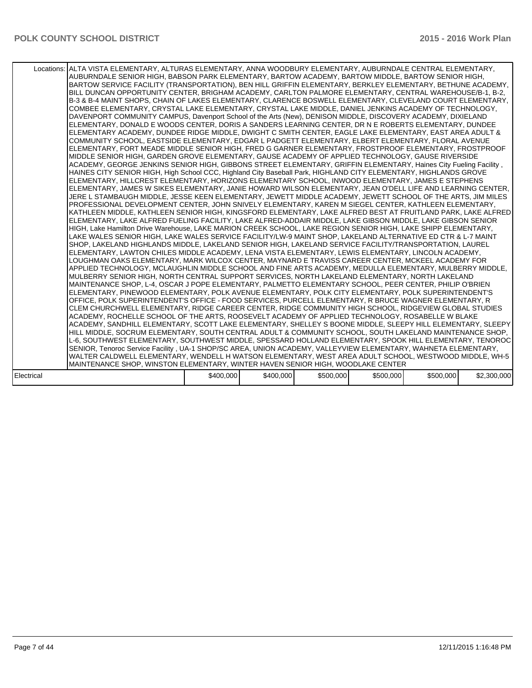| Locations: ALTA VISTA ELEMENTARY, ALTURAS ELEMENTARY, ANNA WOODBURY ELEMENTARY, AUBURNDALE CENTRAL ELEMENTARY,<br>AUBURNDALE SENIOR HIGH, BABSON PARK ELEMENTARY, BARTOW ACADEMY, BARTOW MIDDLE, BARTOW SENIOR HIGH,<br>BARTOW SERVICE FACILITY (TRANSPORTATION), BEN HILL GRIFFIN ELEMENTARY, BERKLEY ELEMENTARY, BETHUNE ACADEMY,<br>BILL DUNCAN OPPORTUNITY CENTER, BRIGHAM ACADEMY, CARLTON PALMORE ELEMENTARY, CENTRAL WAREHOUSE/B-1, B-2,<br>B-3 & B-4 MAINT SHOPS, CHAIN OF LAKES ELEMENTARY, CLARENCE BOSWELL ELEMENTARY, CLEVELAND COURT ELEMENTARY,<br>COMBEE ELEMENTARY, CRYSTAL LAKE ELEMENTARY, CRYSTAL LAKE MIDDLE, DANIEL JENKINS ACADEMY OF TECHNOLOGY,<br>DAVENPORT COMMUNITY CAMPUS, Davenport School of the Arts (New), DENISON MIDDLE, DISCOVERY ACADEMY, DIXIELAND<br>ELEMENTARY, DONALD E WOODS CENTER, DORIS A SANDERS LEARNING CENTER, DR N E ROBERTS ELEMENTARY, DUNDEE<br>ELEMENTARY ACADEMY, DUNDEE RIDGE MIDDLE, DWIGHT C SMITH CENTER, EAGLE LAKE ELEMENTARY, EAST AREA ADULT &<br>COMMUNITY SCHOOL, EASTSIDE ELEMENTARY, EDGAR L PADGETT ELEMENTARY, ELBERT ELEMENTARY, FLORAL AVENUE<br>ELEMENTARY, FORT MEADE MIDDLE SENIOR HIGH, FRED G GARNER ELEMENTARY, FROSTPROOF ELEMENTARY, FROSTPROOF<br>MIDDLE SENIOR HIGH, GARDEN GROVE ELEMENTARY, GAUSE ACADEMY OF APPLIED TECHNOLOGY, GAUSE RIVERSIDE<br>ACADEMY, GEORGE JENKINS SENIOR HIGH, GIBBONS STREET ELEMENTARY, GRIFFIN ELEMENTARY, Haines City Fueling Facility,<br>HAINES CITY SENIOR HIGH, High School CCC, Highland City Baseball Park, HIGHLAND CITY ELEMENTARY, HIGHLANDS GROVE<br>ELEMENTARY, HILLCREST ELEMENTARY, HORIZONS ELEMENTARY SCHOOL, INWOOD ELEMENTARY, JAMES E STEPHENS<br>IELEMENTARY, JAMES W SIKES ELEMENTARY, JANIE HOWARD WILSON ELEMENTARY, JEAN O'DELL LIFE AND LEARNING CENTER,<br>JERE L STAMBAUGH MIDDLE, JESSE KEEN ELEMENTARY, JEWETT MIDDLE ACADEMY, JEWETT SCHOOL OF THE ARTS, JIM MILES<br>PROFESSIONAL DEVELOPMENT CENTER. JOHN SNIVELY ELEMENTARY. KAREN M SIEGEL CENTER. KATHLEEN ELEMENTARY.<br>KATHLEEN MIDDLE, KATHLEEN SENIOR HIGH, KINGSFORD ELEMENTARY, LAKE ALFRED BEST AT FRUITLAND PARK, LAKE ALFRED  <br>ELEMENTARY, LAKE ALFRED FUELING FACILITY, LAKE ALFRED-ADDAIR MIDDLE, LAKE GIBSON MIDDLE, LAKE GIBSON SENIOR<br>HIGH, Lake Hamilton Drive Warehouse, LAKE MARION CREEK SCHOOL, LAKE REGION SENIOR HIGH, LAKE SHIPP ELEMENTARY,<br>LAKE WALES SENIOR HIGH, LAKE WALES SERVICE FACILITY/LW-9 MAINT SHOP, LAKELAND ALTERNATIVE ED CTR & L-7 MAINT<br>SHOP, LAKELAND HIGHLANDS MIDDLE, LAKELAND SENIOR HIGH, LAKELAND SERVICE FACILITY/TRANSPORTATION, LAUREL<br>ELEMENTARY, LAWTON CHILES MIDDLE ACADEMY, LENA VISTA ELEMENTARY, LEWIS ELEMENTARY, LINCOLN ACADEMY,<br>LOUGHMAN OAKS ELEMENTARY, MARK WILCOX CENTER, MAYNARD E TRAVISS CAREER CENTER, MCKEEL ACADEMY FOR<br>APPLIED TECHNOLOGY, MCLAUGHLIN MIDDLE SCHOOL AND FINE ARTS ACADEMY, MEDULLA ELEMENTARY, MULBERRY MIDDLE,<br>MULBERRY SENIOR HIGH, NORTH CENTRAL SUPPORT SERVICES, NORTH LAKELAND ELEMENTARY, NORTH LAKELAND<br>MAINTENANCE SHOP, L-4, OSCAR J POPE ELEMENTARY, PALMETTO ELEMENTARY SCHOOL, PEER CENTER, PHILIP O'BRIEN<br>ELEMENTARY, PINEWOOD ELEMENTARY, POLK AVENUE ELEMENTARY, POLK CITY ELEMENTARY, POLK SUPERINTENDENT'S<br>OFFICE, POLK SUPERINTENDENT'S OFFICE - FOOD SERVICES, PURCELL ELEMENTARY, R BRUCE WAGNER ELEMENTARY, R<br>CLEM CHURCHWELL ELEMENTARY, RIDGE CAREER CENTER, RIDGE COMMUNITY HIGH SCHOOL, RIDGEVIEW GLOBAL STUDIES<br>ACADEMY, ROCHELLE SCHOOL OF THE ARTS, ROOSEVELT ACADEMY OF APPLIED TECHNOLOGY, ROSABELLE W BLAKE<br>ACADEMY, SANDHILL ELEMENTARY, SCOTT LAKE ELEMENTARY, SHELLEY S BOONE MIDDLE, SLEEPY HILL ELEMENTARY, SLEEPY  <br>HILL MIDDLE, SOCRUM ELEMENTARY, SOUTH CENTRAL ADULT & COMMUNITY SCHOOL, SOUTH LAKELAND MAINTENANCE SHOP,<br>L-6, SOUTHWEST ELEMENTARY, SOUTHWEST MIDDLE, SPESSARD HOLLAND ELEMENTARY, SPOOK HILL ELEMENTARY, TENOROC<br>SENIOR, Tenoroc Service Facility, UA-1 SHOP/SC AREA, UNION ACADEMY, VALLEYVIEW ELEMENTARY, WAHNETA ELEMENTARY,<br>WALTER CALDWELL ELEMENTARY, WENDELL H WATSON ELEMENTARY, WEST AREA ADULT SCHOOL, WESTWOOD MIDDLE, WH-5 |           |           |           |           |           |             |
|---------------------------------------------------------------------------------------------------------------------------------------------------------------------------------------------------------------------------------------------------------------------------------------------------------------------------------------------------------------------------------------------------------------------------------------------------------------------------------------------------------------------------------------------------------------------------------------------------------------------------------------------------------------------------------------------------------------------------------------------------------------------------------------------------------------------------------------------------------------------------------------------------------------------------------------------------------------------------------------------------------------------------------------------------------------------------------------------------------------------------------------------------------------------------------------------------------------------------------------------------------------------------------------------------------------------------------------------------------------------------------------------------------------------------------------------------------------------------------------------------------------------------------------------------------------------------------------------------------------------------------------------------------------------------------------------------------------------------------------------------------------------------------------------------------------------------------------------------------------------------------------------------------------------------------------------------------------------------------------------------------------------------------------------------------------------------------------------------------------------------------------------------------------------------------------------------------------------------------------------------------------------------------------------------------------------------------------------------------------------------------------------------------------------------------------------------------------------------------------------------------------------------------------------------------------------------------------------------------------------------------------------------------------------------------------------------------------------------------------------------------------------------------------------------------------------------------------------------------------------------------------------------------------------------------------------------------------------------------------------------------------------------------------------------------------------------------------------------------------------------------------------------------------------------------------------------------------------------------------------------------------------------------------------------------------------------------------------------------------------------------------------------------------------------------------------------------------------------------------------------------------------------------------------------------------------------------------------------------------------------------------------------------------------------------------------------------------------------------------------------------------------------------------------------------------------------------------------------------------------------------------------------------------------------------------------------------------------------------------------------------------------------------------------------------------------------------------------------------------------------------------------------|-----------|-----------|-----------|-----------|-----------|-------------|
| MAINTENANCE SHOP, WINSTON ELEMENTARY, WINTER HAVEN SENIOR HIGH, WOODLAKE CENTER                                                                                                                                                                                                                                                                                                                                                                                                                                                                                                                                                                                                                                                                                                                                                                                                                                                                                                                                                                                                                                                                                                                                                                                                                                                                                                                                                                                                                                                                                                                                                                                                                                                                                                                                                                                                                                                                                                                                                                                                                                                                                                                                                                                                                                                                                                                                                                                                                                                                                                                                                                                                                                                                                                                                                                                                                                                                                                                                                                                                                                                                                                                                                                                                                                                                                                                                                                                                                                                                                                                                                                                                                                                                                                                                                                                                                                                                                                                                                                                                                                                                   |           |           |           |           |           |             |
|                                                                                                                                                                                                                                                                                                                                                                                                                                                                                                                                                                                                                                                                                                                                                                                                                                                                                                                                                                                                                                                                                                                                                                                                                                                                                                                                                                                                                                                                                                                                                                                                                                                                                                                                                                                                                                                                                                                                                                                                                                                                                                                                                                                                                                                                                                                                                                                                                                                                                                                                                                                                                                                                                                                                                                                                                                                                                                                                                                                                                                                                                                                                                                                                                                                                                                                                                                                                                                                                                                                                                                                                                                                                                                                                                                                                                                                                                                                                                                                                                                                                                                                                                   |           |           |           |           |           |             |
| Electrical                                                                                                                                                                                                                                                                                                                                                                                                                                                                                                                                                                                                                                                                                                                                                                                                                                                                                                                                                                                                                                                                                                                                                                                                                                                                                                                                                                                                                                                                                                                                                                                                                                                                                                                                                                                                                                                                                                                                                                                                                                                                                                                                                                                                                                                                                                                                                                                                                                                                                                                                                                                                                                                                                                                                                                                                                                                                                                                                                                                                                                                                                                                                                                                                                                                                                                                                                                                                                                                                                                                                                                                                                                                                                                                                                                                                                                                                                                                                                                                                                                                                                                                                        | \$400,000 | \$400,000 | \$500,000 | \$500,000 | \$500,000 | \$2,300,000 |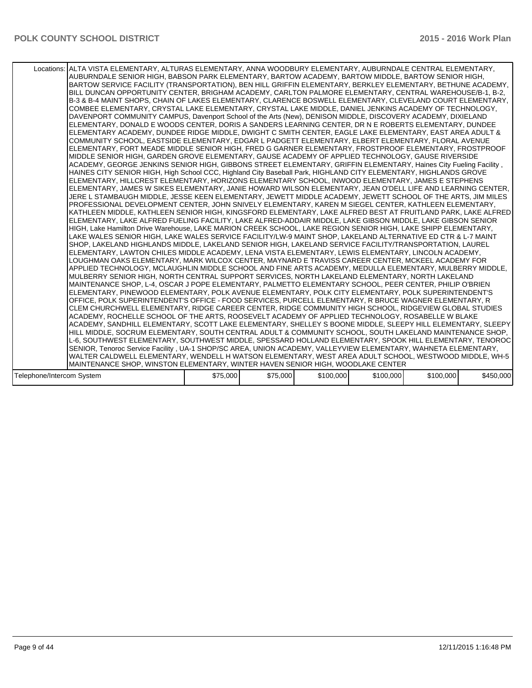|                           | Locations: ALTA VISTA ELEMENTARY, ALTURAS ELEMENTARY, ANNA WOODBURY ELEMENTARY, AUBURNDALE CENTRAL ELEMENTARY,<br>AUBURNDALE SENIOR HIGH, BABSON PARK ELEMENTARY, BARTOW ACADEMY, BARTOW MIDDLE, BARTOW SENIOR HIGH,<br>BARTOW SERVICE FACILITY (TRANSPORTATION), BEN HILL GRIFFIN ELEMENTARY, BERKLEY ELEMENTARY, BETHUNE ACADEMY,<br>BILL DUNCAN OPPORTUNITY CENTER, BRIGHAM ACADEMY, CARLTON PALMORE ELEMENTARY, CENTRAL WAREHOUSE/B-1, B-2,<br>B-3 & B-4 MAINT SHOPS, CHAIN OF LAKES ELEMENTARY, CLARENCE BOSWELL ELEMENTARY, CLEVELAND COURT ELEMENTARY,<br>COMBEE ELEMENTARY, CRYSTAL LAKE ELEMENTARY, CRYSTAL LAKE MIDDLE, DANIEL JENKINS ACADEMY OF TECHNOLOGY,<br>DAVENPORT COMMUNITY CAMPUS, Davenport School of the Arts (New), DENISON MIDDLE, DISCOVERY ACADEMY, DIXIELAND<br>ELEMENTARY, DONALD E WOODS CENTER, DORIS A SANDERS LEARNING CENTER, DR N E ROBERTS ELEMENTARY, DUNDEE<br>ELEMENTARY ACADEMY, DUNDEE RIDGE MIDDLE, DWIGHT C SMITH CENTER, EAGLE LAKE ELEMENTARY, EAST AREA ADULT &<br>COMMUNITY SCHOOL, EASTSIDE ELEMENTARY, EDGAR L PADGETT ELEMENTARY, ELBERT ELEMENTARY, FLORAL AVENUE<br>ELEMENTARY, FORT MEADE MIDDLE SENIOR HIGH, FRED G GARNER ELEMENTARY, FROSTPROOF ELEMENTARY, FROSTPROOF<br>MIDDLE SENIOR HIGH, GARDEN GROVE ELEMENTARY, GAUSE ACADEMY OF APPLIED TECHNOLOGY, GAUSE RIVERSIDE<br>ACADEMY, GEORGE JENKINS SENIOR HIGH, GIBBONS STREET ELEMENTARY, GRIFFIN ELEMENTARY, Haines City Fueling Facility,<br>HAINES CITY SENIOR HIGH, High School CCC, Highland City Baseball Park, HIGHLAND CITY ELEMENTARY, HIGHLANDS GROVE<br>ELEMENTARY, HILLCREST ELEMENTARY, HORIZONS ELEMENTARY SCHOOL, INWOOD ELEMENTARY, JAMES E STEPHENS<br>ELEMENTARY, JAMES W SIKES ELEMENTARY, JANIE HOWARD WILSON ELEMENTARY, JEAN O'DELL LIFE AND LEARNING CENTER,<br>JERE L STAMBAUGH MIDDLE, JESSE KEEN ELEMENTARY, JEWETT MIDDLE ACADEMY, JEWETT SCHOOL OF THE ARTS, JIM MILES<br>PROFESSIONAL DEVELOPMENT CENTER, JOHN SNIVELY ELEMENTARY, KAREN M SIEGEL CENTER, KATHLEEN ELEMENTARY,<br>KATHLEEN MIDDLE. KATHLEEN SENIOR HIGH. KINGSFORD ELEMENTARY. LAKE ALFRED BEST AT FRUITLAND PARK. LAKE ALFRED I<br>ELEMENTARY, LAKE ALFRED FUELING FACILITY, LAKE ALFRED-ADDAIR MIDDLE, LAKE GIBSON MIDDLE, LAKE GIBSON SENIOR<br>HIGH, Lake Hamilton Drive Warehouse, LAKE MARION CREEK SCHOOL, LAKE REGION SENIOR HIGH, LAKE SHIPP ELEMENTARY,<br>LAKE WALES SENIOR HIGH, LAKE WALES SERVICE FACILITY/LW-9 MAINT SHOP, LAKELAND ALTERNATIVE ED CTR & L-7 MAINT<br>SHOP, LAKELAND HIGHLANDS MIDDLE, LAKELAND SENIOR HIGH, LAKELAND SERVICE FACILITY/TRANSPORTATION, LAUREL<br>ELEMENTARY, LAWTON CHILES MIDDLE ACADEMY, LENA VISTA ELEMENTARY, LEWIS ELEMENTARY, LINCOLN ACADEMY,<br>LOUGHMAN OAKS ELEMENTARY, MARK WILCOX CENTER, MAYNARD E TRAVISS CAREER CENTER, MCKEEL ACADEMY FOR<br>APPLIED TECHNOLOGY, MCLAUGHLIN MIDDLE SCHOOL AND FINE ARTS ACADEMY, MEDULLA ELEMENTARY, MULBERRY MIDDLE,<br>MULBERRY SENIOR HIGH, NORTH CENTRAL SUPPORT SERVICES, NORTH LAKELAND ELEMENTARY, NORTH LAKELAND<br>MAINTENANCE SHOP, L-4, OSCAR J POPE ELEMENTARY, PALMETTO ELEMENTARY SCHOOL, PEER CENTER, PHILIP O'BRIEN<br>ELEMENTARY, PINEWOOD ELEMENTARY, POLK AVENUE ELEMENTARY, POLK CITY ELEMENTARY, POLK SUPERINTENDENT'S<br>OFFICE. POLK SUPERINTENDENT'S OFFICE - FOOD SERVICES. PURCELL ELEMENTARY. R BRUCE WAGNER ELEMENTARY. R<br>CLEM CHURCHWELL ELEMENTARY, RIDGE CAREER CENTER, RIDGE COMMUNITY HIGH SCHOOL, RIDGEVIEW GLOBAL STUDIES<br>ACADEMY. ROCHELLE SCHOOL OF THE ARTS. ROOSEVELT ACADEMY OF APPLIED TECHNOLOGY. ROSABELLE W BLAKE<br>ACADEMY, SANDHILL ELEMENTARY, SCOTT LAKE ELEMENTARY, SHELLEY S BOONE MIDDLE, SLEEPY HILL ELEMENTARY, SLEEPY  <br>HILL MIDDLE, SOCRUM ELEMENTARY, SOUTH CENTRAL ADULT & COMMUNITY SCHOOL, SOUTH LAKELAND MAINTENANCE SHOP,<br>L-6, SOUTHWEST ELEMENTARY, SOUTHWEST MIDDLE, SPESSARD HOLLAND ELEMENTARY, SPOOK HILL ELEMENTARY, TENOROC<br>SENIOR, Tenoroc Service Facility, UA-1 SHOP/SC AREA, UNION ACADEMY, VALLEYVIEW ELEMENTARY, WAHNETA ELEMENTARY,<br>WALTER CALDWELL ELEMENTARY, WENDELL H WATSON ELEMENTARY, WEST AREA ADULT SCHOOL, WESTWOOD MIDDLE, WH-5 |          |          |           |           |           |           |
|---------------------------|--------------------------------------------------------------------------------------------------------------------------------------------------------------------------------------------------------------------------------------------------------------------------------------------------------------------------------------------------------------------------------------------------------------------------------------------------------------------------------------------------------------------------------------------------------------------------------------------------------------------------------------------------------------------------------------------------------------------------------------------------------------------------------------------------------------------------------------------------------------------------------------------------------------------------------------------------------------------------------------------------------------------------------------------------------------------------------------------------------------------------------------------------------------------------------------------------------------------------------------------------------------------------------------------------------------------------------------------------------------------------------------------------------------------------------------------------------------------------------------------------------------------------------------------------------------------------------------------------------------------------------------------------------------------------------------------------------------------------------------------------------------------------------------------------------------------------------------------------------------------------------------------------------------------------------------------------------------------------------------------------------------------------------------------------------------------------------------------------------------------------------------------------------------------------------------------------------------------------------------------------------------------------------------------------------------------------------------------------------------------------------------------------------------------------------------------------------------------------------------------------------------------------------------------------------------------------------------------------------------------------------------------------------------------------------------------------------------------------------------------------------------------------------------------------------------------------------------------------------------------------------------------------------------------------------------------------------------------------------------------------------------------------------------------------------------------------------------------------------------------------------------------------------------------------------------------------------------------------------------------------------------------------------------------------------------------------------------------------------------------------------------------------------------------------------------------------------------------------------------------------------------------------------------------------------------------------------------------------------------------------------------------------------------------------------------------------------------------------------------------------------------------------------------------------------------------------------------------------------------------------------------------------------------------------------------------------------------------------------------------------------------------------------------------------------------------------------------------------------------------------------------------------|----------|----------|-----------|-----------|-----------|-----------|
|                           | MAINTENANCE SHOP, WINSTON ELEMENTARY, WINTER HAVEN SENIOR HIGH, WOODLAKE CENTER                                                                                                                                                                                                                                                                                                                                                                                                                                                                                                                                                                                                                                                                                                                                                                                                                                                                                                                                                                                                                                                                                                                                                                                                                                                                                                                                                                                                                                                                                                                                                                                                                                                                                                                                                                                                                                                                                                                                                                                                                                                                                                                                                                                                                                                                                                                                                                                                                                                                                                                                                                                                                                                                                                                                                                                                                                                                                                                                                                                                                                                                                                                                                                                                                                                                                                                                                                                                                                                                                                                                                                                                                                                                                                                                                                                                                                                                                                                                                                                                                                                                  |          |          |           |           |           |           |
|                           |                                                                                                                                                                                                                                                                                                                                                                                                                                                                                                                                                                                                                                                                                                                                                                                                                                                                                                                                                                                                                                                                                                                                                                                                                                                                                                                                                                                                                                                                                                                                                                                                                                                                                                                                                                                                                                                                                                                                                                                                                                                                                                                                                                                                                                                                                                                                                                                                                                                                                                                                                                                                                                                                                                                                                                                                                                                                                                                                                                                                                                                                                                                                                                                                                                                                                                                                                                                                                                                                                                                                                                                                                                                                                                                                                                                                                                                                                                                                                                                                                                                                                                                                                  |          |          |           |           |           |           |
| Telephone/Intercom System |                                                                                                                                                                                                                                                                                                                                                                                                                                                                                                                                                                                                                                                                                                                                                                                                                                                                                                                                                                                                                                                                                                                                                                                                                                                                                                                                                                                                                                                                                                                                                                                                                                                                                                                                                                                                                                                                                                                                                                                                                                                                                                                                                                                                                                                                                                                                                                                                                                                                                                                                                                                                                                                                                                                                                                                                                                                                                                                                                                                                                                                                                                                                                                                                                                                                                                                                                                                                                                                                                                                                                                                                                                                                                                                                                                                                                                                                                                                                                                                                                                                                                                                                                  | \$75,000 | \$75,000 | \$100,000 | \$100,000 | \$100,000 | \$450,000 |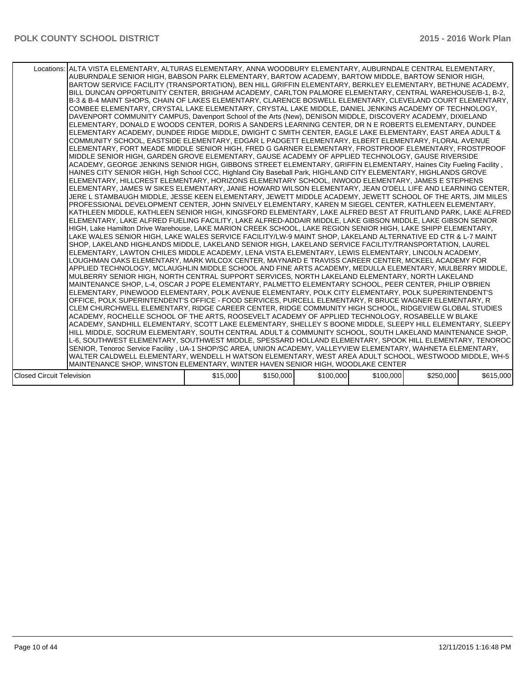| Locations: ALTA VISTA ELEMENTARY, ALTURAS ELEMENTARY, ANNA WOODBURY ELEMENTARY, AUBURNDALE CENTRAL ELEMENTARY,<br>AUBURNDALE SENIOR HIGH, BABSON PARK ELEMENTARY, BARTOW ACADEMY, BARTOW MIDDLE, BARTOW SENIOR HIGH,<br>BARTOW SERVICE FACILITY (TRANSPORTATION), BEN HILL GRIFFIN ELEMENTARY, BERKLEY ELEMENTARY, BETHUNE ACADEMY,<br>BILL DUNCAN OPPORTUNITY CENTER, BRIGHAM ACADEMY, CARLTON PALMORE ELEMENTARY, CENTRAL WAREHOUSE/B-1, B-2,<br>B-3 & B-4 MAINT SHOPS, CHAIN OF LAKES ELEMENTARY, CLARENCE BOSWELL ELEMENTARY, CLEVELAND COURT ELEMENTARY,<br>COMBEE ELEMENTARY, CRYSTAL LAKE ELEMENTARY, CRYSTAL LAKE MIDDLE, DANIEL JENKINS ACADEMY OF TECHNOLOGY,<br>DAVENPORT COMMUNITY CAMPUS, Davenport School of the Arts (New), DENISON MIDDLE, DISCOVERY ACADEMY, DIXIELAND<br>ELEMENTARY, DONALD E WOODS CENTER, DORIS A SANDERS LEARNING CENTER, DR N E ROBERTS ELEMENTARY, DUNDEE<br>ELEMENTARY ACADEMY, DUNDEE RIDGE MIDDLE, DWIGHT C SMITH CENTER, EAGLE LAKE ELEMENTARY, EAST AREA ADULT &<br>COMMUNITY SCHOOL, EASTSIDE ELEMENTARY, EDGAR L PADGETT ELEMENTARY, ELBERT ELEMENTARY, FLORAL AVENUE<br>ELEMENTARY, FORT MEADE MIDDLE SENIOR HIGH, FRED G GARNER ELEMENTARY, FROSTPROOF ELEMENTARY, FROSTPROOF<br>MIDDLE SENIOR HIGH, GARDEN GROVE ELEMENTARY, GAUSE ACADEMY OF APPLIED TECHNOLOGY, GAUSE RIVERSIDE<br>ACADEMY, GEORGE JENKINS SENIOR HIGH, GIBBONS STREET ELEMENTARY, GRIFFIN ELEMENTARY, Haines City Fueling Facility,<br>HAINES CITY SENIOR HIGH, High School CCC, Highland City Baseball Park, HIGHLAND CITY ELEMENTARY, HIGHLANDS GROVE<br>ELEMENTARY, HILLCREST ELEMENTARY, HORIZONS ELEMENTARY SCHOOL, INWOOD ELEMENTARY, JAMES E STEPHENS<br>ELEMENTARY, JAMES W SIKES ELEMENTARY, JANIE HOWARD WILSON ELEMENTARY, JEAN O'DELL LIFE AND LEARNING CENTER,<br>JERE L STAMBAUGH MIDDLE, JESSE KEEN ELEMENTARY, JEWETT MIDDLE ACADEMY, JEWETT SCHOOL OF THE ARTS, JIM MILES<br>PROFESSIONAL DEVELOPMENT CENTER, JOHN SNIVELY ELEMENTARY, KAREN M SIEGEL CENTER, KATHLEEN ELEMENTARY,<br>KATHLEEN MIDDLE, KATHLEEN SENIOR HIGH, KINGSFORD ELEMENTARY, LAKE ALFRED BEST AT FRUITLAND PARK, LAKE ALFRED<br>ELEMENTARY, LAKE ALFRED FUELING FACILITY, LAKE ALFRED-ADDAIR MIDDLE, LAKE GIBSON MIDDLE, LAKE GIBSON SENIOR<br>HIGH, Lake Hamilton Drive Warehouse, LAKE MARION CREEK SCHOOL, LAKE REGION SENIOR HIGH, LAKE SHIPP ELEMENTARY,<br>LAKE WALES SENIOR HIGH, LAKE WALES SERVICE FACILITY/LW-9 MAINT SHOP, LAKELAND ALTERNATIVE ED CTR & L-7 MAINT<br>SHOP, LAKELAND HIGHLANDS MIDDLE, LAKELAND SENIOR HIGH, LAKELAND SERVICE FACILITY/TRANSPORTATION, LAUREL<br>ELEMENTARY, LAWTON CHILES MIDDLE ACADEMY, LENA VISTA ELEMENTARY, LEWIS ELEMENTARY, LINCOLN ACADEMY,<br>LOUGHMAN OAKS ELEMENTARY. MARK WILCOX CENTER. MAYNARD E TRAVISS CAREER CENTER. MCKEEL ACADEMY FOR<br>APPLIED TECHNOLOGY, MCLAUGHLIN MIDDLE SCHOOL AND FINE ARTS ACADEMY, MEDULLA ELEMENTARY, MULBERRY MIDDLE,<br>MULBERRY SENIOR HIGH, NORTH CENTRAL SUPPORT SERVICES, NORTH LAKELAND ELEMENTARY, NORTH LAKELAND<br>MAINTENANCE SHOP, L-4, OSCAR J POPE ELEMENTARY, PALMETTO ELEMENTARY SCHOOL, PEER CENTER, PHILIP O'BRIEN<br>ELEMENTARY, PINEWOOD ELEMENTARY, POLK AVENUE ELEMENTARY, POLK CITY ELEMENTARY, POLK SUPERINTENDENT'S<br>OFFICE, POLK SUPERINTENDENT'S OFFICE - FOOD SERVICES, PURCELL ELEMENTARY, R BRUCE WAGNER ELEMENTARY, R<br>CLEM CHURCHWELL ELEMENTARY. RIDGE CAREER CENTER. RIDGE COMMUNITY HIGH SCHOOL. RIDGEVIEW GLOBAL STUDIES<br>ACADEMY. ROCHELLE SCHOOL OF THE ARTS. ROOSEVELT ACADEMY OF APPLIED TECHNOLOGY. ROSABELLE W BLAKE<br>ACADEMY, SANDHILL ELEMENTARY, SCOTT LAKE ELEMENTARY, SHELLEY S BOONE MIDDLE, SLEEPY HILL ELEMENTARY, SLEEPY  <br>HILL MIDDLE, SOCRUM ELEMENTARY, SOUTH CENTRAL ADULT & COMMUNITY SCHOOL, SOUTH LAKELAND MAINTENANCE SHOP,<br>L-6, SOUTHWEST ELEMENTARY, SOUTHWEST MIDDLE, SPESSARD HOLLAND ELEMENTARY, SPOOK HILL ELEMENTARY, TENOROC<br>SENIOR, Tenoroc Service Facility, UA-1 SHOP/SC AREA, UNION ACADEMY, VALLEYVIEW ELEMENTARY, WAHNETA ELEMENTARY,<br>WALTER CALDWELL ELEMENTARY, WENDELL H WATSON ELEMENTARY, WEST AREA ADULT SCHOOL, WESTWOOD MIDDLE, WH-5 |          |           |           |           |           |           |
|------------------------------------------------------------------------------------------------------------------------------------------------------------------------------------------------------------------------------------------------------------------------------------------------------------------------------------------------------------------------------------------------------------------------------------------------------------------------------------------------------------------------------------------------------------------------------------------------------------------------------------------------------------------------------------------------------------------------------------------------------------------------------------------------------------------------------------------------------------------------------------------------------------------------------------------------------------------------------------------------------------------------------------------------------------------------------------------------------------------------------------------------------------------------------------------------------------------------------------------------------------------------------------------------------------------------------------------------------------------------------------------------------------------------------------------------------------------------------------------------------------------------------------------------------------------------------------------------------------------------------------------------------------------------------------------------------------------------------------------------------------------------------------------------------------------------------------------------------------------------------------------------------------------------------------------------------------------------------------------------------------------------------------------------------------------------------------------------------------------------------------------------------------------------------------------------------------------------------------------------------------------------------------------------------------------------------------------------------------------------------------------------------------------------------------------------------------------------------------------------------------------------------------------------------------------------------------------------------------------------------------------------------------------------------------------------------------------------------------------------------------------------------------------------------------------------------------------------------------------------------------------------------------------------------------------------------------------------------------------------------------------------------------------------------------------------------------------------------------------------------------------------------------------------------------------------------------------------------------------------------------------------------------------------------------------------------------------------------------------------------------------------------------------------------------------------------------------------------------------------------------------------------------------------------------------------------------------------------------------------------------------------------------------------------------------------------------------------------------------------------------------------------------------------------------------------------------------------------------------------------------------------------------------------------------------------------------------------------------------------------------------------------------------------------------------------------------------------------------------------------------------------|----------|-----------|-----------|-----------|-----------|-----------|
| MAINTENANCE SHOP, WINSTON ELEMENTARY, WINTER HAVEN SENIOR HIGH, WOODLAKE CENTER                                                                                                                                                                                                                                                                                                                                                                                                                                                                                                                                                                                                                                                                                                                                                                                                                                                                                                                                                                                                                                                                                                                                                                                                                                                                                                                                                                                                                                                                                                                                                                                                                                                                                                                                                                                                                                                                                                                                                                                                                                                                                                                                                                                                                                                                                                                                                                                                                                                                                                                                                                                                                                                                                                                                                                                                                                                                                                                                                                                                                                                                                                                                                                                                                                                                                                                                                                                                                                                                                                                                                                                                                                                                                                                                                                                                                                                                                                                                                                                                                                                                |          |           |           |           |           |           |
|                                                                                                                                                                                                                                                                                                                                                                                                                                                                                                                                                                                                                                                                                                                                                                                                                                                                                                                                                                                                                                                                                                                                                                                                                                                                                                                                                                                                                                                                                                                                                                                                                                                                                                                                                                                                                                                                                                                                                                                                                                                                                                                                                                                                                                                                                                                                                                                                                                                                                                                                                                                                                                                                                                                                                                                                                                                                                                                                                                                                                                                                                                                                                                                                                                                                                                                                                                                                                                                                                                                                                                                                                                                                                                                                                                                                                                                                                                                                                                                                                                                                                                                                                |          |           |           |           |           |           |
| <b>Closed Circuit Television</b>                                                                                                                                                                                                                                                                                                                                                                                                                                                                                                                                                                                                                                                                                                                                                                                                                                                                                                                                                                                                                                                                                                                                                                                                                                                                                                                                                                                                                                                                                                                                                                                                                                                                                                                                                                                                                                                                                                                                                                                                                                                                                                                                                                                                                                                                                                                                                                                                                                                                                                                                                                                                                                                                                                                                                                                                                                                                                                                                                                                                                                                                                                                                                                                                                                                                                                                                                                                                                                                                                                                                                                                                                                                                                                                                                                                                                                                                                                                                                                                                                                                                                                               | \$15,000 | \$150,000 | \$100,000 | \$100,000 | \$250,000 | \$615,000 |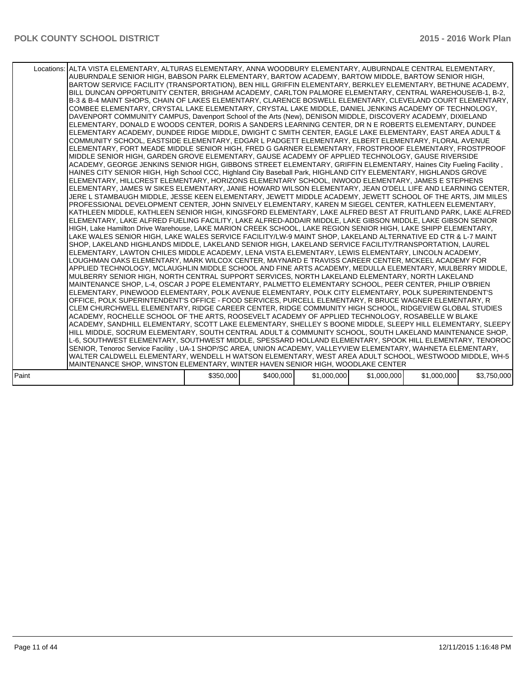| Locations: ALTA VISTA ELEMENTARY, ALTURAS ELEMENTARY, ANNA WOODBURY ELEMENTARY, AUBURNDALE CENTRAL ELEMENTARY,<br>AUBURNDALE SENIOR HIGH, BABSON PARK ELEMENTARY, BARTOW ACADEMY, BARTOW MIDDLE, BARTOW SENIOR HIGH,<br>BARTOW SERVICE FACILITY (TRANSPORTATION), BEN HILL GRIFFIN ELEMENTARY, BERKLEY ELEMENTARY, BETHUNE ACADEMY,<br>BILL DUNCAN OPPORTUNITY CENTER, BRIGHAM ACADEMY, CARLTON PALMORE ELEMENTARY, CENTRAL WAREHOUSE/B-1, B-2,<br>B-3 & B-4 MAINT SHOPS, CHAIN OF LAKES ELEMENTARY, CLARENCE BOSWELL ELEMENTARY, CLEVELAND COURT ELEMENTARY,<br>COMBEE ELEMENTARY, CRYSTAL LAKE ELEMENTARY, CRYSTAL LAKE MIDDLE, DANIEL JENKINS ACADEMY OF TECHNOLOGY,<br>DAVENPORT COMMUNITY CAMPUS, Davenport School of the Arts (New), DENISON MIDDLE, DISCOVERY ACADEMY, DIXIELAND<br>ELEMENTARY, DONALD E WOODS CENTER, DORIS A SANDERS LEARNING CENTER, DR N E ROBERTS ELEMENTARY, DUNDEE<br>ELEMENTARY ACADEMY, DUNDEE RIDGE MIDDLE, DWIGHT C SMITH CENTER, EAGLE LAKE ELEMENTARY, EAST AREA ADULT &<br>COMMUNITY SCHOOL, EASTSIDE ELEMENTARY, EDGAR L PADGETT ELEMENTARY, ELBERT ELEMENTARY, FLORAL AVENUE<br>ELEMENTARY, FORT MEADE MIDDLE SENIOR HIGH, FRED G GARNER ELEMENTARY, FROSTPROOF ELEMENTARY, FROSTPROOF<br>MIDDLE SENIOR HIGH, GARDEN GROVE ELEMENTARY, GAUSE ACADEMY OF APPLIED TECHNOLOGY, GAUSE RIVERSIDE<br>ACADEMY, GEORGE JENKINS SENIOR HIGH, GIBBONS STREET ELEMENTARY, GRIFFIN ELEMENTARY, Haines City Fueling Facility,<br>HAINES CITY SENIOR HIGH, High School CCC, Highland City Baseball Park, HIGHLAND CITY ELEMENTARY, HIGHLANDS GROVE<br>ELEMENTARY, HILLCREST ELEMENTARY, HORIZONS ELEMENTARY SCHOOL, INWOOD ELEMENTARY, JAMES E STEPHENS<br>IELEMENTARY, JAMES W SIKES ELEMENTARY, JANIE HOWARD WILSON ELEMENTARY, JEAN O'DELL LIFE AND LEARNING CENTER,<br>JERE L STAMBAUGH MIDDLE, JESSE KEEN ELEMENTARY, JEWETT MIDDLE ACADEMY, JEWETT SCHOOL OF THE ARTS, JIM MILES<br>PROFESSIONAL DEVELOPMENT CENTER. JOHN SNIVELY ELEMENTARY. KAREN M SIEGEL CENTER. KATHLEEN ELEMENTARY.<br>KATHLEEN MIDDLE, KATHLEEN SENIOR HIGH, KINGSFORD ELEMENTARY, LAKE ALFRED BEST AT FRUITLAND PARK, LAKE ALFRED  <br>ELEMENTARY, LAKE ALFRED FUELING FACILITY, LAKE ALFRED-ADDAIR MIDDLE, LAKE GIBSON MIDDLE, LAKE GIBSON SENIOR<br>HIGH, Lake Hamilton Drive Warehouse, LAKE MARION CREEK SCHOOL, LAKE REGION SENIOR HIGH, LAKE SHIPP ELEMENTARY,<br>LAKE WALES SENIOR HIGH, LAKE WALES SERVICE FACILITY/LW-9 MAINT SHOP, LAKELAND ALTERNATIVE ED CTR & L-7 MAINT<br>SHOP, LAKELAND HIGHLANDS MIDDLE, LAKELAND SENIOR HIGH, LAKELAND SERVICE FACILITY/TRANSPORTATION, LAUREL<br>ELEMENTARY, LAWTON CHILES MIDDLE ACADEMY, LENA VISTA ELEMENTARY, LEWIS ELEMENTARY, LINCOLN ACADEMY,<br>LOUGHMAN OAKS ELEMENTARY, MARK WILCOX CENTER, MAYNARD E TRAVISS CAREER CENTER, MCKEEL ACADEMY FOR<br>APPLIED TECHNOLOGY, MCLAUGHLIN MIDDLE SCHOOL AND FINE ARTS ACADEMY, MEDULLA ELEMENTARY, MULBERRY MIDDLE,<br>MULBERRY SENIOR HIGH, NORTH CENTRAL SUPPORT SERVICES, NORTH LAKELAND ELEMENTARY, NORTH LAKELAND<br>MAINTENANCE SHOP, L-4, OSCAR J POPE ELEMENTARY, PALMETTO ELEMENTARY SCHOOL, PEER CENTER, PHILIP O'BRIEN<br>ELEMENTARY, PINEWOOD ELEMENTARY, POLK AVENUE ELEMENTARY, POLK CITY ELEMENTARY, POLK SUPERINTENDENT'S<br>OFFICE, POLK SUPERINTENDENT'S OFFICE - FOOD SERVICES, PURCELL ELEMENTARY, R BRUCE WAGNER ELEMENTARY, R<br>CLEM CHURCHWELL ELEMENTARY, RIDGE CAREER CENTER, RIDGE COMMUNITY HIGH SCHOOL, RIDGEVIEW GLOBAL STUDIES<br>ACADEMY, ROCHELLE SCHOOL OF THE ARTS, ROOSEVELT ACADEMY OF APPLIED TECHNOLOGY, ROSABELLE W BLAKE<br>ACADEMY, SANDHILL ELEMENTARY, SCOTT LAKE ELEMENTARY, SHELLEY S BOONE MIDDLE, SLEEPY HILL ELEMENTARY, SLEEPY  <br>HILL MIDDLE, SOCRUM ELEMENTARY, SOUTH CENTRAL ADULT & COMMUNITY SCHOOL, SOUTH LAKELAND MAINTENANCE SHOP,<br>L-6, SOUTHWEST ELEMENTARY, SOUTHWEST MIDDLE, SPESSARD HOLLAND ELEMENTARY, SPOOK HILL ELEMENTARY, TENOROC<br>SENIOR, Tenoroc Service Facility, UA-1 SHOP/SC AREA, UNION ACADEMY, VALLEYVIEW ELEMENTARY, WAHNETA ELEMENTARY,<br>WALTER CALDWELL ELEMENTARY, WENDELL H WATSON ELEMENTARY, WEST AREA ADULT SCHOOL, WESTWOOD MIDDLE, WH-5 |           |           |             |             |             |             |
|---------------------------------------------------------------------------------------------------------------------------------------------------------------------------------------------------------------------------------------------------------------------------------------------------------------------------------------------------------------------------------------------------------------------------------------------------------------------------------------------------------------------------------------------------------------------------------------------------------------------------------------------------------------------------------------------------------------------------------------------------------------------------------------------------------------------------------------------------------------------------------------------------------------------------------------------------------------------------------------------------------------------------------------------------------------------------------------------------------------------------------------------------------------------------------------------------------------------------------------------------------------------------------------------------------------------------------------------------------------------------------------------------------------------------------------------------------------------------------------------------------------------------------------------------------------------------------------------------------------------------------------------------------------------------------------------------------------------------------------------------------------------------------------------------------------------------------------------------------------------------------------------------------------------------------------------------------------------------------------------------------------------------------------------------------------------------------------------------------------------------------------------------------------------------------------------------------------------------------------------------------------------------------------------------------------------------------------------------------------------------------------------------------------------------------------------------------------------------------------------------------------------------------------------------------------------------------------------------------------------------------------------------------------------------------------------------------------------------------------------------------------------------------------------------------------------------------------------------------------------------------------------------------------------------------------------------------------------------------------------------------------------------------------------------------------------------------------------------------------------------------------------------------------------------------------------------------------------------------------------------------------------------------------------------------------------------------------------------------------------------------------------------------------------------------------------------------------------------------------------------------------------------------------------------------------------------------------------------------------------------------------------------------------------------------------------------------------------------------------------------------------------------------------------------------------------------------------------------------------------------------------------------------------------------------------------------------------------------------------------------------------------------------------------------------------------------------------------------------------------------------------------------|-----------|-----------|-------------|-------------|-------------|-------------|
| MAINTENANCE SHOP, WINSTON ELEMENTARY, WINTER HAVEN SENIOR HIGH, WOODLAKE CENTER                                                                                                                                                                                                                                                                                                                                                                                                                                                                                                                                                                                                                                                                                                                                                                                                                                                                                                                                                                                                                                                                                                                                                                                                                                                                                                                                                                                                                                                                                                                                                                                                                                                                                                                                                                                                                                                                                                                                                                                                                                                                                                                                                                                                                                                                                                                                                                                                                                                                                                                                                                                                                                                                                                                                                                                                                                                                                                                                                                                                                                                                                                                                                                                                                                                                                                                                                                                                                                                                                                                                                                                                                                                                                                                                                                                                                                                                                                                                                                                                                                                                   |           |           |             |             |             |             |
| Paint                                                                                                                                                                                                                                                                                                                                                                                                                                                                                                                                                                                                                                                                                                                                                                                                                                                                                                                                                                                                                                                                                                                                                                                                                                                                                                                                                                                                                                                                                                                                                                                                                                                                                                                                                                                                                                                                                                                                                                                                                                                                                                                                                                                                                                                                                                                                                                                                                                                                                                                                                                                                                                                                                                                                                                                                                                                                                                                                                                                                                                                                                                                                                                                                                                                                                                                                                                                                                                                                                                                                                                                                                                                                                                                                                                                                                                                                                                                                                                                                                                                                                                                                             | \$350,000 | \$400,000 | \$1,000,000 | \$1,000,000 | \$1,000,000 | \$3,750,000 |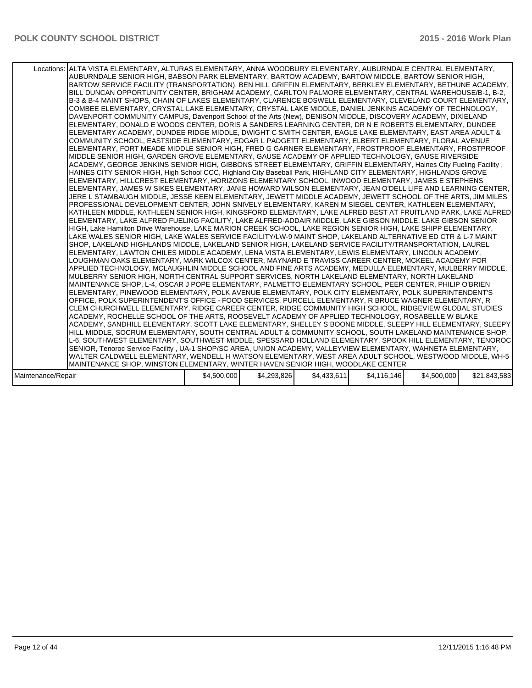|                    | Locations: ALTA VISTA ELEMENTARY, ALTURAS ELEMENTARY, ANNA WOODBURY ELEMENTARY, AUBURNDALE CENTRAL ELEMENTARY,<br>AUBURNDALE SENIOR HIGH, BABSON PARK ELEMENTARY, BARTOW ACADEMY, BARTOW MIDDLE, BARTOW SENIOR HIGH,<br>BARTOW SERVICE FACILITY (TRANSPORTATION), BEN HILL GRIFFIN ELEMENTARY, BERKLEY ELEMENTARY, BETHUNE ACADEMY,<br>BILL DUNCAN OPPORTUNITY CENTER, BRIGHAM ACADEMY, CARLTON PALMORE ELEMENTARY, CENTRAL WAREHOUSE/B-1, B-2,<br>B-3 & B-4 MAINT SHOPS, CHAIN OF LAKES ELEMENTARY, CLARENCE BOSWELL ELEMENTARY, CLEVELAND COURT ELEMENTARY,<br>COMBEE ELEMENTARY, CRYSTAL LAKE ELEMENTARY, CRYSTAL LAKE MIDDLE, DANIEL JENKINS ACADEMY OF TECHNOLOGY,<br>DAVENPORT COMMUNITY CAMPUS, Davenport School of the Arts (New), DENISON MIDDLE, DISCOVERY ACADEMY, DIXIELAND<br>ELEMENTARY, DONALD E WOODS CENTER, DORIS A SANDERS LEARNING CENTER, DR N E ROBERTS ELEMENTARY, DUNDEE<br>ELEMENTARY ACADEMY, DUNDEE RIDGE MIDDLE, DWIGHT C SMITH CENTER, EAGLE LAKE ELEMENTARY, EAST AREA ADULT &<br>COMMUNITY SCHOOL, EASTSIDE ELEMENTARY, EDGAR L PADGETT ELEMENTARY, ELBERT ELEMENTARY, FLORAL AVENUE<br>IELEMENTARY, FORT MEADE MIDDLE SENIOR HIGH, FRED G GARNER ELEMENTARY, FROSTPROOF ELEMENTARY, FROSTPROOF<br>MIDDLE SENIOR HIGH, GARDEN GROVE ELEMENTARY, GAUSE ACADEMY OF APPLIED TECHNOLOGY, GAUSE RIVERSIDE<br>ACADEMY, GEORGE JENKINS SENIOR HIGH, GIBBONS STREET ELEMENTARY, GRIFFIN ELEMENTARY, Haines City Fueling Facility,<br>HAINES CITY SENIOR HIGH, High School CCC, Highland City Baseball Park, HIGHLAND CITY ELEMENTARY, HIGHLANDS GROVE<br>ELEMENTARY, HILLCREST ELEMENTARY, HORIZONS ELEMENTARY SCHOOL, INWOOD ELEMENTARY, JAMES E STEPHENS<br> ELEMENTARY, JAMES W SIKES ELEMENTARY, JANIE HOWARD WILSON ELEMENTARY, JEAN O'DELL LIFE AND LEARNING CENTER,<br>JERE L STAMBAUGH MIDDLE, JESSE KEEN ELEMENTARY, JEWETT MIDDLE ACADEMY, JEWETT SCHOOL OF THE ARTS, JIM MILES<br>PROFESSIONAL DEVELOPMENT CENTER, JOHN SNIVELY ELEMENTARY, KAREN M SIEGEL CENTER, KATHLEEN ELEMENTARY,<br>KATHLEEN MIDDLE, KATHLEEN SENIOR HIGH, KINGSFORD ELEMENTARY, LAKE ALFRED BEST AT FRUITLAND PARK, LAKE ALFRED  <br>ELEMENTARY, LAKE ALFRED FUELING FACILITY, LAKE ALFRED-ADDAIR MIDDLE, LAKE GIBSON MIDDLE, LAKE GIBSON SENIOR<br>HIGH, Lake Hamilton Drive Warehouse, LAKE MARION CREEK SCHOOL, LAKE REGION SENIOR HIGH, LAKE SHIPP ELEMENTARY,<br>LAKE WALES SENIOR HIGH, LAKE WALES SERVICE FACILITY/LW-9 MAINT SHOP, LAKELAND ALTERNATIVE ED CTR & L-7 MAINT<br>SHOP, LAKELAND HIGHLANDS MIDDLE, LAKELAND SENIOR HIGH, LAKELAND SERVICE FACILITY/TRANSPORTATION, LAUREL<br>[ELEMENTARY, LAWTON CHILES MIDDLE ACADEMY, LENA VISTA ELEMENTARY, LEWIS ELEMENTARY, LINCOLN ACADEMY,<br>ILOUGHMAN OAKS ELEMENTARY. MARK WILCOX CENTER. MAYNARD E TRAVISS CAREER CENTER. MCKEEL ACADEMY FOR<br>APPLIED TECHNOLOGY, MCLAUGHLIN MIDDLE SCHOOL AND FINE ARTS ACADEMY, MEDULLA ELEMENTARY, MULBERRY MIDDLE,<br>MULBERRY SENIOR HIGH, NORTH CENTRAL SUPPORT SERVICES, NORTH LAKELAND ELEMENTARY, NORTH LAKELAND<br>MAINTENANCE SHOP, L-4, OSCAR J POPE ELEMENTARY, PALMETTO ELEMENTARY SCHOOL, PEER CENTER, PHILIP O'BRIEN<br>ELEMENTARY, PINEWOOD ELEMENTARY, POLK AVENUE ELEMENTARY, POLK CITY ELEMENTARY, POLK SUPERINTENDENT'S<br>OFFICE, POLK SUPERINTENDENT'S OFFICE - FOOD SERVICES, PURCELL ELEMENTARY, R BRUCE WAGNER ELEMENTARY, R<br>CLEM CHURCHWELL ELEMENTARY, RIDGE CAREER CENTER, RIDGE COMMUNITY HIGH SCHOOL, RIDGEVIEW GLOBAL STUDIES<br>ACADEMY, ROCHELLE SCHOOL OF THE ARTS, ROOSEVELT ACADEMY OF APPLIED TECHNOLOGY, ROSABELLE W BLAKE<br>ACADEMY, SANDHILL ELEMENTARY, SCOTT LAKE ELEMENTARY, SHELLEY S BOONE MIDDLE, SLEEPY HILL ELEMENTARY, SLEEPY  <br>HILL MIDDLE, SOCRUM ELEMENTARY, SOUTH CENTRAL ADULT & COMMUNITY SCHOOL, SOUTH LAKELAND MAINTENANCE SHOP,<br>L-6, SOUTHWEST ELEMENTARY, SOUTHWEST MIDDLE, SPESSARD HOLLAND ELEMENTARY, SPOOK HILL ELEMENTARY, TENOROC<br>SENIOR, Tenoroc Service Facility, UA-1 SHOP/SC AREA, UNION ACADEMY, VALLEYVIEW ELEMENTARY, WAHNETA ELEMENTARY,<br>WALTER CALDWELL ELEMENTARY, WENDELL H WATSON ELEMENTARY, WEST AREA ADULT SCHOOL, WESTWOOD MIDDLE, WH-5  <br>MAINTENANCE SHOP, WINSTON ELEMENTARY, WINTER HAVEN SENIOR HIGH, WOODLAKE CENTER |             |             |             |             |             |              |
|--------------------|-------------------------------------------------------------------------------------------------------------------------------------------------------------------------------------------------------------------------------------------------------------------------------------------------------------------------------------------------------------------------------------------------------------------------------------------------------------------------------------------------------------------------------------------------------------------------------------------------------------------------------------------------------------------------------------------------------------------------------------------------------------------------------------------------------------------------------------------------------------------------------------------------------------------------------------------------------------------------------------------------------------------------------------------------------------------------------------------------------------------------------------------------------------------------------------------------------------------------------------------------------------------------------------------------------------------------------------------------------------------------------------------------------------------------------------------------------------------------------------------------------------------------------------------------------------------------------------------------------------------------------------------------------------------------------------------------------------------------------------------------------------------------------------------------------------------------------------------------------------------------------------------------------------------------------------------------------------------------------------------------------------------------------------------------------------------------------------------------------------------------------------------------------------------------------------------------------------------------------------------------------------------------------------------------------------------------------------------------------------------------------------------------------------------------------------------------------------------------------------------------------------------------------------------------------------------------------------------------------------------------------------------------------------------------------------------------------------------------------------------------------------------------------------------------------------------------------------------------------------------------------------------------------------------------------------------------------------------------------------------------------------------------------------------------------------------------------------------------------------------------------------------------------------------------------------------------------------------------------------------------------------------------------------------------------------------------------------------------------------------------------------------------------------------------------------------------------------------------------------------------------------------------------------------------------------------------------------------------------------------------------------------------------------------------------------------------------------------------------------------------------------------------------------------------------------------------------------------------------------------------------------------------------------------------------------------------------------------------------------------------------------------------------------------------------------------------------------------------------------------------------------------------------------------------------------------------------------------------------------------|-------------|-------------|-------------|-------------|-------------|--------------|
|                    |                                                                                                                                                                                                                                                                                                                                                                                                                                                                                                                                                                                                                                                                                                                                                                                                                                                                                                                                                                                                                                                                                                                                                                                                                                                                                                                                                                                                                                                                                                                                                                                                                                                                                                                                                                                                                                                                                                                                                                                                                                                                                                                                                                                                                                                                                                                                                                                                                                                                                                                                                                                                                                                                                                                                                                                                                                                                                                                                                                                                                                                                                                                                                                                                                                                                                                                                                                                                                                                                                                                                                                                                                                                                                                                                                                                                                                                                                                                                                                                                                                                                                                                                                                                                                                           |             |             |             |             |             |              |
| Maintenance/Repair |                                                                                                                                                                                                                                                                                                                                                                                                                                                                                                                                                                                                                                                                                                                                                                                                                                                                                                                                                                                                                                                                                                                                                                                                                                                                                                                                                                                                                                                                                                                                                                                                                                                                                                                                                                                                                                                                                                                                                                                                                                                                                                                                                                                                                                                                                                                                                                                                                                                                                                                                                                                                                                                                                                                                                                                                                                                                                                                                                                                                                                                                                                                                                                                                                                                                                                                                                                                                                                                                                                                                                                                                                                                                                                                                                                                                                                                                                                                                                                                                                                                                                                                                                                                                                                           | \$4,500,000 | \$4,293,826 | \$4,433,611 | \$4,116,146 | \$4,500,000 | \$21,843,583 |
|                    |                                                                                                                                                                                                                                                                                                                                                                                                                                                                                                                                                                                                                                                                                                                                                                                                                                                                                                                                                                                                                                                                                                                                                                                                                                                                                                                                                                                                                                                                                                                                                                                                                                                                                                                                                                                                                                                                                                                                                                                                                                                                                                                                                                                                                                                                                                                                                                                                                                                                                                                                                                                                                                                                                                                                                                                                                                                                                                                                                                                                                                                                                                                                                                                                                                                                                                                                                                                                                                                                                                                                                                                                                                                                                                                                                                                                                                                                                                                                                                                                                                                                                                                                                                                                                                           |             |             |             |             |             |              |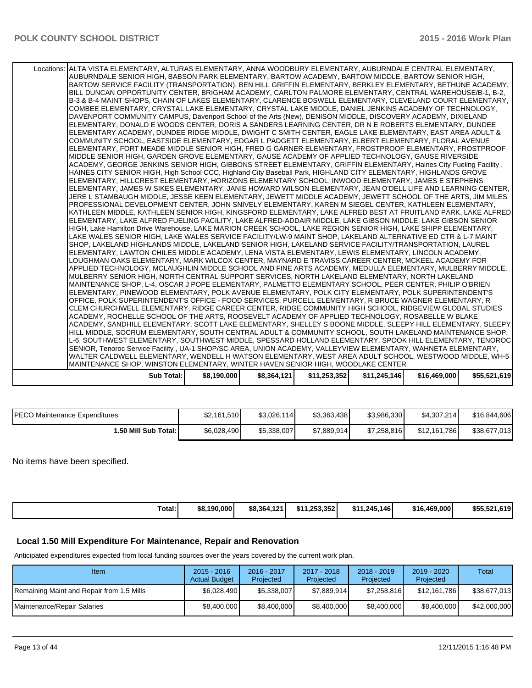| Sub Total:                                                                                                                                                                                                                | \$8,190,000 | \$8,364,121 | \$11,253,352 | \$11.245.146 | \$16,469,000 | \$55,521,619 |
|---------------------------------------------------------------------------------------------------------------------------------------------------------------------------------------------------------------------------|-------------|-------------|--------------|--------------|--------------|--------------|
|                                                                                                                                                                                                                           |             |             |              |              |              |              |
| MAINTENANCE SHOP, WINSTON ELEMENTARY, WINTER HAVEN SENIOR HIGH, WOODLAKE CENTER                                                                                                                                           |             |             |              |              |              |              |
| WALTER CALDWELL ELEMENTARY, WENDELL H WATSON ELEMENTARY, WEST AREA ADULT SCHOOL, WESTWOOD MIDDLE, WH-5                                                                                                                    |             |             |              |              |              |              |
| SENIOR, Tenoroc Service Facility, UA-1 SHOP/SC AREA, UNION ACADEMY, VALLEYVIEW ELEMENTARY, WAHNETA ELEMENTARY,                                                                                                            |             |             |              |              |              |              |
| L-6, SOUTHWEST ELEMENTARY, SOUTHWEST MIDDLE, SPESSARD HOLLAND ELEMENTARY, SPOOK HILL ELEMENTARY, TENOROC                                                                                                                  |             |             |              |              |              |              |
| ACADEMY, SANDHILL ELEMENTARY, SCOTT LAKE ELEMENTARY, SHELLEY S BOONE MIDDLE, SLEEPY HILL ELEMENTARY, SLEEPY  <br>HILL MIDDLE, SOCRUM ELEMENTARY, SOUTH CENTRAL ADULT & COMMUNITY SCHOOL, SOUTH LAKELAND MAINTENANCE SHOP, |             |             |              |              |              |              |
| ACADEMY, ROCHELLE SCHOOL OF THE ARTS, ROOSEVELT ACADEMY OF APPLIED TECHNOLOGY, ROSABELLE W BLAKE                                                                                                                          |             |             |              |              |              |              |
| CLEM CHURCHWELL ELEMENTARY, RIDGE CAREER CENTER, RIDGE COMMUNITY HIGH SCHOOL, RIDGEVIEW GLOBAL STUDIES                                                                                                                    |             |             |              |              |              |              |
| OFFICE, POLK SUPERINTENDENT'S OFFICE - FOOD SERVICES, PURCELL ELEMENTARY, R BRUCE WAGNER ELEMENTARY, R                                                                                                                    |             |             |              |              |              |              |
| ELEMENTARY, PINEWOOD ELEMENTARY, POLK AVENUE ELEMENTARY, POLK CITY ELEMENTARY, POLK SUPERINTENDENT'S                                                                                                                      |             |             |              |              |              |              |
| MAINTENANCE SHOP, L-4, OSCAR J POPE ELEMENTARY, PALMETTO ELEMENTARY SCHOOL, PEER CENTER, PHILIP O'BRIEN                                                                                                                   |             |             |              |              |              |              |
| MULBERRY SENIOR HIGH, NORTH CENTRAL SUPPORT SERVICES, NORTH LAKELAND ELEMENTARY, NORTH LAKELAND                                                                                                                           |             |             |              |              |              |              |
| APPLIED TECHNOLOGY, MCLAUGHLIN MIDDLE SCHOOL AND FINE ARTS ACADEMY, MEDULLA ELEMENTARY, MULBERRY MIDDLE,                                                                                                                  |             |             |              |              |              |              |
| LOUGHMAN OAKS ELEMENTARY, MARK WILCOX CENTER, MAYNARD E TRAVISS CAREER CENTER, MCKEEL ACADEMY FOR                                                                                                                         |             |             |              |              |              |              |
| ELEMENTARY, LAWTON CHILES MIDDLE ACADEMY, LENA VISTA ELEMENTARY, LEWIS ELEMENTARY, LINCOLN ACADEMY,                                                                                                                       |             |             |              |              |              |              |
| SHOP, LAKELAND HIGHLANDS MIDDLE, LAKELAND SENIOR HIGH, LAKELAND SERVICE FACILITY/TRANSPORTATION, LAUREL                                                                                                                   |             |             |              |              |              |              |
| LAKE WALES SENIOR HIGH, LAKE WALES SERVICE FACILITY/LW-9 MAINT SHOP, LAKELAND ALTERNATIVE ED CTR & L-7 MAINT                                                                                                              |             |             |              |              |              |              |
| HIGH, Lake Hamilton Drive Warehouse, LAKE MARION CREEK SCHOOL, LAKE REGION SENIOR HIGH, LAKE SHIPP ELEMENTARY,                                                                                                            |             |             |              |              |              |              |
| ELEMENTARY, LAKE ALFRED FUELING FACILITY, LAKE ALFRED-ADDAIR MIDDLE, LAKE GIBSON MIDDLE, LAKE GIBSON SENIOR                                                                                                               |             |             |              |              |              |              |
| KATHLEEN MIDDLE, KATHLEEN SENIOR HIGH, KINGSFORD ELEMENTARY, LAKE ALFRED BEST AT FRUITLAND PARK, LAKE ALFRED                                                                                                              |             |             |              |              |              |              |
| JERE L STAMBAUGH MIDDLE, JESSE KEEN ELEMENTARY, JEWETT MIDDLE ACADEMY, JEWETT SCHOOL OF THE ARTS, JIM MILES<br>PROFESSIONAL DEVELOPMENT CENTER, JOHN SNIVELY ELEMENTARY, KAREN M SIEGEL CENTER, KATHLEEN ELEMENTARY,      |             |             |              |              |              |              |
| ELEMENTARY, JAMES W SIKES ELEMENTARY, JANIE HOWARD WILSON ELEMENTARY, JEAN O'DELL LIFE AND LEARNING CENTER,                                                                                                               |             |             |              |              |              |              |
| ELEMENTARY, HILLCREST ELEMENTARY, HORIZONS ELEMENTARY SCHOOL, INWOOD ELEMENTARY, JAMES E STEPHENS                                                                                                                         |             |             |              |              |              |              |
| HAINES CITY SENIOR HIGH, High School CCC, Highland City Baseball Park, HIGHLAND CITY ELEMENTARY, HIGHLANDS GROVE                                                                                                          |             |             |              |              |              |              |
| ACADEMY, GEORGE JENKINS SENIOR HIGH, GIBBONS STREET ELEMENTARY, GRIFFIN ELEMENTARY, Haines City Fueling Facility,                                                                                                         |             |             |              |              |              |              |
| MIDDLE SENIOR HIGH, GARDEN GROVE ELEMENTARY, GAUSE ACADEMY OF APPLIED TECHNOLOGY, GAUSE RIVERSIDE                                                                                                                         |             |             |              |              |              |              |
| ELEMENTARY, FORT MEADE MIDDLE SENIOR HIGH, FRED G GARNER ELEMENTARY, FROSTPROOF ELEMENTARY, FROSTPROOF                                                                                                                    |             |             |              |              |              |              |
| COMMUNITY SCHOOL, EASTSIDE ELEMENTARY, EDGAR L PADGETT ELEMENTARY, ELBERT ELEMENTARY, FLORAL AVENUE                                                                                                                       |             |             |              |              |              |              |
| ELEMENTARY ACADEMY, DUNDEE RIDGE MIDDLE, DWIGHT C SMITH CENTER, EAGLE LAKE ELEMENTARY, EAST AREA ADULT &                                                                                                                  |             |             |              |              |              |              |
| ELEMENTARY, DONALD E WOODS CENTER, DORIS A SANDERS LEARNING CENTER, DR N E ROBERTS ELEMENTARY, DUNDEE                                                                                                                     |             |             |              |              |              |              |
| DAVENPORT COMMUNITY CAMPUS, Davenport School of the Arts (New), DENISON MIDDLE, DISCOVERY ACADEMY, DIXIELAND                                                                                                              |             |             |              |              |              |              |
| COMBEE ELEMENTARY, CRYSTAL LAKE ELEMENTARY, CRYSTAL LAKE MIDDLE, DANIEL JENKINS ACADEMY OF TECHNOLOGY,                                                                                                                    |             |             |              |              |              |              |
| B-3 & B-4 MAINT SHOPS. CHAIN OF LAKES ELEMENTARY. CLARENCE BOSWELL ELEMENTARY. CLEVELAND COURT ELEMENTARY.                                                                                                                |             |             |              |              |              |              |
| BILL DUNCAN OPPORTUNITY CENTER, BRIGHAM ACADEMY, CARLTON PALMORE ELEMENTARY, CENTRAL WAREHOUSE/B-1, B-2,                                                                                                                  |             |             |              |              |              |              |
| BARTOW SERVICE FACILITY (TRANSPORTATION), BEN HILL GRIFFIN ELEMENTARY, BERKLEY ELEMENTARY, BETHUNE ACADEMY,                                                                                                               |             |             |              |              |              |              |
| AUBURNDALE SENIOR HIGH, BABSON PARK ELEMENTARY, BARTOW ACADEMY, BARTOW MIDDLE, BARTOW SENIOR HIGH,                                                                                                                        |             |             |              |              |              |              |
| Locations: ALTA VISTA ELEMENTARY, ALTURAS ELEMENTARY, ANNA WOODBURY ELEMENTARY, AUBURNDALE CENTRAL ELEMENTARY,                                                                                                            |             |             |              |              |              |              |

| <b>PECO Maintenance Expenditures</b> | \$2,161,510 | \$3.026.114 | \$3.363.438 | \$3,986,330 | \$4.307.214] | \$16,844,606 |
|--------------------------------------|-------------|-------------|-------------|-------------|--------------|--------------|
| <b>⊥.50 Mill Sub Total: I</b>        | \$6,028,490 | \$5,338,007 | \$7,889,914 | \$7,258,816 | \$12.161.786 | \$38,677,013 |

No items have been specified.

|  | Total:<br>. | \$8.190,000 | 4.94<br>\$8,364,12 | \$11.253.352 | \$11.245.146 | \$16,469,000 | \$55,521,619<br><b>6101</b> |
|--|-------------|-------------|--------------------|--------------|--------------|--------------|-----------------------------|
|--|-------------|-------------|--------------------|--------------|--------------|--------------|-----------------------------|

## **Local 1.50 Mill Expenditure For Maintenance, Repair and Renovation**

Anticipated expenditures expected from local funding sources over the years covered by the current work plan.

| Item                                      | $2015 - 2016$<br><b>Actual Budget</b> | 2016 - 2017<br>Projected | $2017 - 2018$<br>Projected | $2018 - 2019$<br>Projected | $2019 - 2020$<br>Projected | Total        |
|-------------------------------------------|---------------------------------------|--------------------------|----------------------------|----------------------------|----------------------------|--------------|
| Remaining Maint and Repair from 1.5 Mills | \$6.028.490                           | \$5.338,007              | \$7.889.914                | \$7,258,816                | \$12,161,786               | \$38.677.013 |
| Maintenance/Repair Salaries               | \$8,400,000                           | \$8,400,000              | \$8,400,000                | \$8,400,000                | \$8,400,000                | \$42,000,000 |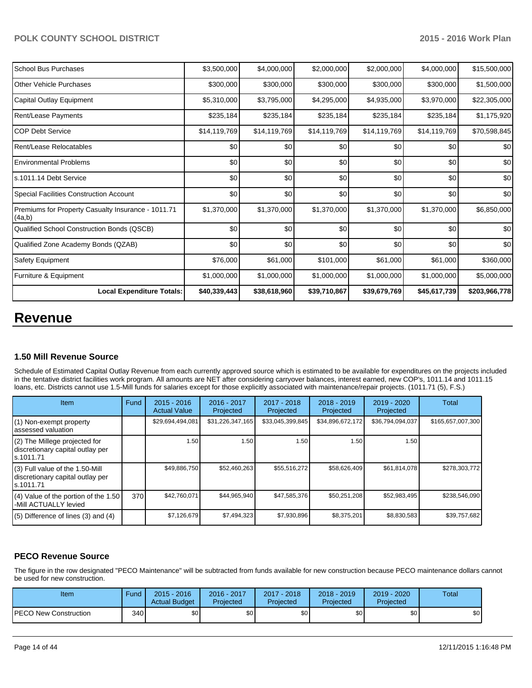| School Bus Purchases                                         | \$3,500,000  | \$4,000,000  | \$2,000,000  | \$2,000,000  | \$4,000,000  | \$15,500,000  |
|--------------------------------------------------------------|--------------|--------------|--------------|--------------|--------------|---------------|
| <b>Other Vehicle Purchases</b>                               | \$300,000    | \$300,000    | \$300,000    | \$300,000    | \$300,000    | \$1,500,000   |
| Capital Outlay Equipment                                     | \$5,310,000  | \$3,795,000  | \$4,295,000  | \$4,935,000  | \$3,970,000  | \$22,305,000  |
| <b>Rent/Lease Payments</b>                                   | \$235,184    | \$235,184    | \$235,184    | \$235,184    | \$235,184    | \$1,175,920   |
| <b>COP Debt Service</b>                                      | \$14,119,769 | \$14,119,769 | \$14,119,769 | \$14,119,769 | \$14,119,769 | \$70,598,845  |
| Rent/Lease Relocatables                                      | \$0          | \$0          | \$0          | \$0          | \$0          | \$0           |
| Environmental Problems                                       | \$0          | \$0          | \$0          | \$0          | \$0          | \$0           |
| s.1011.14 Debt Service                                       | \$0          | \$0          | \$0          | \$0          | \$0          | \$0           |
| Special Facilities Construction Account                      | \$0          | \$0          | \$0          | \$0          | \$0          | \$0           |
| Premiums for Property Casualty Insurance - 1011.71<br>(4a,b) | \$1,370,000  | \$1,370,000  | \$1,370,000  | \$1,370,000  | \$1,370,000  | \$6,850,000   |
| Qualified School Construction Bonds (QSCB)                   | \$0          | \$0          | \$0          | \$0          | \$0          | \$0           |
| Qualified Zone Academy Bonds (QZAB)                          | \$0          | \$0          | \$0          | \$0          | \$0          | \$0           |
| Safety Equipment                                             | \$76,000     | \$61,000     | \$101,000    | \$61,000     | \$61,000     | \$360,000     |
| Furniture & Equipment                                        | \$1,000,000  | \$1,000,000  | \$1,000,000  | \$1,000,000  | \$1,000,000  | \$5,000,000   |
| <b>Local Expenditure Totals:</b>                             | \$40,339,443 | \$38,618,960 | \$39,710,867 | \$39,679,769 | \$45,617,739 | \$203,966,778 |

## **Revenue**

## **1.50 Mill Revenue Source**

Schedule of Estimated Capital Outlay Revenue from each currently approved source which is estimated to be available for expenditures on the projects included in the tentative district facilities work program. All amounts are NET after considering carryover balances, interest earned, new COP's, 1011.14 and 1011.15 loans, etc. Districts cannot use 1.5-Mill funds for salaries except for those explicitly associated with maintenance/repair projects. (1011.71 (5), F.S.)

| Item                                                                              | Fund | $2015 - 2016$<br><b>Actual Value</b> | 2016 - 2017<br>Projected | $2017 - 2018$<br>Projected | $2018 - 2019$<br>Projected | $2019 - 2020$<br>Projected | Total             |
|-----------------------------------------------------------------------------------|------|--------------------------------------|--------------------------|----------------------------|----------------------------|----------------------------|-------------------|
| (1) Non-exempt property<br>lassessed valuation                                    |      | \$29,694,494,081                     | \$31,226,347,165         | \$33,045,399,845           | \$34,896,672,172           | \$36,794,094,037           | \$165,657,007,300 |
| (2) The Millege projected for<br>discretionary capital outlay per<br>ls.1011.71   |      | 1.50                                 | 1.50 <b>I</b>            | 1.50                       | 1.50                       | 1.50                       |                   |
| (3) Full value of the 1.50-Mill<br>discretionary capital outlay per<br>ls.1011.71 |      | \$49,886,750                         | \$52,460,263             | \$55,516,272               | \$58,626,409               | \$61.814.078               | \$278,303,772     |
| $(4)$ Value of the portion of the 1.50<br>-Mill ACTUALLY levied                   | 370  | \$42,760,071                         | \$44,965,940             | \$47,585,376               | \$50,251,208               | \$52,983,495               | \$238,546,090     |
| $(5)$ Difference of lines $(3)$ and $(4)$                                         |      | \$7,126,679                          | \$7,494,323              | \$7,930,896                | \$8,375,201                | \$8,830,583                | \$39,757,682      |

## **PECO Revenue Source**

The figure in the row designated "PECO Maintenance" will be subtracted from funds available for new construction because PECO maintenance dollars cannot be used for new construction.

| Item                          | Fund | $2015 - 2016$<br><b>Actual Budget</b> | 2016 - 2017<br>Projected | 2017 - 2018<br>Proiected | 2018 - 2019<br>Projected | $2019 - 2020$<br>Projected | <b>Total</b>     |
|-------------------------------|------|---------------------------------------|--------------------------|--------------------------|--------------------------|----------------------------|------------------|
| <b>IPECO New Construction</b> | 340  | \$0 <sub>1</sub>                      | \$0                      | \$0                      | \$0 <sub>1</sub>         | \$0                        | \$0 <sub>1</sub> |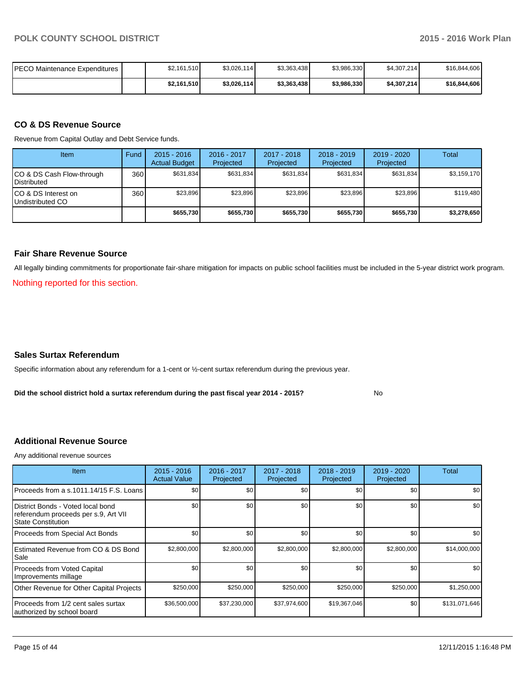| IPECO Maintenance Expenditures I | \$2,161,510 | \$3,026,114] | \$3,363,438 | \$3,986,330 | \$4,307,214  | \$16,844,606 |
|----------------------------------|-------------|--------------|-------------|-------------|--------------|--------------|
|                                  | \$2,161,510 | \$3,026,114  | \$3,363,438 | \$3,986,330 | \$4,307,214] | \$16,844,606 |

#### **CO & DS Revenue Source**

Revenue from Capital Outlay and Debt Service funds.

| Item                                               | Fund             | $2015 - 2016$<br><b>Actual Budget</b> | $2016 - 2017$<br>Projected | $2017 - 2018$<br>Projected | $2018 - 2019$<br>Projected | $2019 - 2020$<br>Projected | Total       |
|----------------------------------------------------|------------------|---------------------------------------|----------------------------|----------------------------|----------------------------|----------------------------|-------------|
| ICO & DS Cash Flow-through<br><b>I</b> Distributed | 360              | \$631.834                             | \$631.834                  | \$631.834                  | \$631.834                  | \$631.834                  | \$3,159,170 |
| ICO & DS Interest on<br>Undistributed CO           | 360 <sup>I</sup> | \$23.896                              | \$23,896                   | \$23,896                   | \$23,896                   | \$23,896                   | \$119,480   |
|                                                    |                  | \$655,730                             | \$655,730                  | \$655.730                  | \$655,730                  | \$655,730                  | \$3,278,650 |

#### **Fair Share Revenue Source**

All legally binding commitments for proportionate fair-share mitigation for impacts on public school facilities must be included in the 5-year district work program.

Nothing reported for this section.

#### **Sales Surtax Referendum**

Specific information about any referendum for a 1-cent or ½-cent surtax referendum during the previous year.

**Did the school district hold a surtax referendum during the past fiscal year 2014 - 2015?**

No

#### **Additional Revenue Source**

Any additional revenue sources

| Item                                                                                            | $2015 - 2016$<br><b>Actual Value</b> | 2016 - 2017<br>Projected | 2017 - 2018<br>Projected | 2018 - 2019<br>Projected | 2019 - 2020<br>Projected | Total            |
|-------------------------------------------------------------------------------------------------|--------------------------------------|--------------------------|--------------------------|--------------------------|--------------------------|------------------|
| Proceeds from a s.1011.14/15 F.S. Loans                                                         | \$0                                  | \$0                      | \$0                      | \$0                      | \$0                      | \$0 <sub>1</sub> |
| District Bonds - Voted local bond<br>referendum proceeds per s.9, Art VII<br>State Constitution | \$0                                  | \$0                      | \$0                      | \$0                      | \$0                      | \$0              |
| Proceeds from Special Act Bonds                                                                 | \$0                                  | \$0                      | \$0                      | \$0                      | \$0                      | \$0 <sub>1</sub> |
| Estimated Revenue from CO & DS Bond<br>l Sale                                                   | \$2,800,000                          | \$2,800,000              | \$2,800,000              | \$2,800,000              | \$2,800,000              | \$14,000,000     |
| Proceeds from Voted Capital<br>Improvements millage                                             | \$0                                  | \$0                      | \$0                      | \$0                      | \$0                      | \$0 <sub>1</sub> |
| Other Revenue for Other Capital Projects                                                        | \$250,000                            | \$250,000                | \$250,000                | \$250,000                | \$250,000                | \$1,250,000      |
| Proceeds from 1/2 cent sales surtax<br>authorized by school board                               | \$36,500,000                         | \$37,230,000             | \$37,974,600             | \$19,367,046             | \$0                      | \$131,071,646    |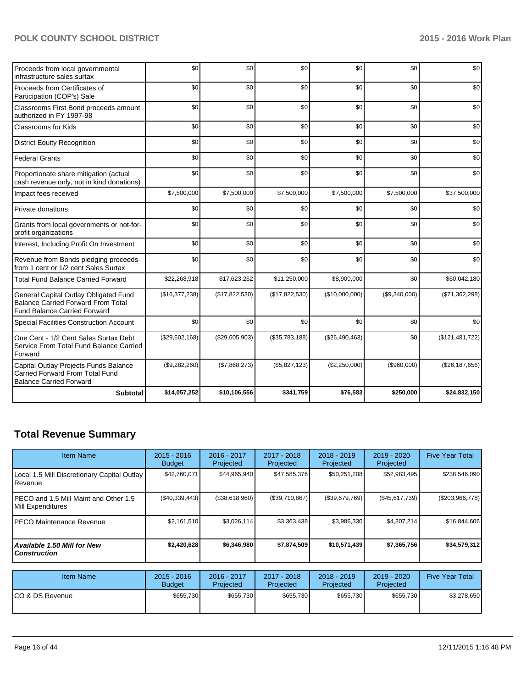| Proceeds from local governmental<br>infrastructure sales surtax                                                           | \$0            | \$0            | \$0            | \$0            | \$0           | \$0             |
|---------------------------------------------------------------------------------------------------------------------------|----------------|----------------|----------------|----------------|---------------|-----------------|
| Proceeds from Certificates of<br>Participation (COP's) Sale                                                               | \$0            | \$0            | \$0            | \$0            | \$0           | \$0             |
| Classrooms First Bond proceeds amount<br>authorized in FY 1997-98                                                         | \$0            | \$0            | \$0            | \$0            | \$0           | \$0             |
| Classrooms for Kids                                                                                                       | \$0            | \$0            | \$0            | \$0            | \$0           | \$0             |
| <b>District Equity Recognition</b>                                                                                        | \$0            | \$0            | \$0            | \$0            | \$0           | \$0             |
| <b>Federal Grants</b>                                                                                                     | \$0            | \$0            | \$0            | \$0            | \$0           | \$0             |
| Proportionate share mitigation (actual<br>cash revenue only, not in kind donations)                                       | \$0            | \$0            | \$0            | \$0            | \$0           | \$0             |
| Impact fees received                                                                                                      | \$7,500,000    | \$7,500,000    | \$7,500,000    | \$7,500,000    | \$7,500,000   | \$37,500,000    |
| Private donations                                                                                                         | \$0            | \$0            | \$0            | \$0            | \$0           | \$0             |
| Grants from local governments or not-for-<br>profit organizations                                                         | \$0            | \$0            | \$0            | \$0            | \$0           | \$0             |
| Interest, Including Profit On Investment                                                                                  | \$0            | \$0            | \$0            | \$0            | \$0           | \$0             |
| Revenue from Bonds pledging proceeds<br>from 1 cent or 1/2 cent Sales Surtax                                              | \$0            | \$0            | \$0            | \$0            | \$0           | \$0             |
| <b>Total Fund Balance Carried Forward</b>                                                                                 | \$22,268,918   | \$17,623,262   | \$11,250,000   | \$8,900,000    | \$0           | \$60,042,180    |
| General Capital Outlay Obligated Fund<br><b>Balance Carried Forward From Total</b><br><b>Fund Balance Carried Forward</b> | (\$16,377,238) | (\$17,822,530) | (\$17,822,530) | (\$10,000,000) | (\$9,340,000) | (\$71,362,298)  |
| <b>Special Facilities Construction Account</b>                                                                            | \$0            | \$0            | \$0            | \$0            | \$0           | \$0             |
| One Cent - 1/2 Cent Sales Surtax Debt<br>Service From Total Fund Balance Carried<br>Forward                               | (\$29,602,168) | (\$29,605,903) | (\$35,783,188) | (\$26,490,463) | \$0           | (\$121,481,722) |
| Capital Outlay Projects Funds Balance<br><b>Carried Forward From Total Fund</b><br><b>Balance Carried Forward</b>         | (\$9,282,260)  | (\$7,868,273)  | (\$5,827,123)  | (\$2,250,000)  | (\$960,000)   | (\$26,187,656)  |
| <b>Subtotal</b>                                                                                                           | \$14,057,252   | \$10,106,556   | \$341,759      | \$76,583       | \$250,000     | \$24,832,150    |

## **Total Revenue Summary**

| <b>Item Name</b>                                                | $2015 - 2016$<br><b>Budget</b> | $2016 - 2017$<br>Projected | $2017 - 2018$<br>Projected | $2018 - 2019$<br>Projected | $2019 - 2020$<br>Projected | <b>Five Year Total</b> |
|-----------------------------------------------------------------|--------------------------------|----------------------------|----------------------------|----------------------------|----------------------------|------------------------|
| Local 1.5 Mill Discretionary Capital Outlay<br><b>I</b> Revenue | \$42,760,071                   | \$44,965,940               | \$47,585,376               | \$50,251,208               | \$52,983,495               | \$238,546,090          |
| IPECO and 1.5 Mill Maint and Other 1.5<br>Mill Expenditures     | (S40, 339, 443)                | (\$38,618,960)             | (\$39,710,867)             | (\$39,679,769)             | (\$45,617,739)             | (\$203,966,778)        |
| IPECO Maintenance Revenue                                       | \$2,161,510                    | \$3,026,114                | \$3,363,438                | \$3,986,330                | \$4,307,214                | \$16,844,606           |
| Available 1.50 Mill for New \,<br>l Construction                | \$2,420,628                    | \$6,346,980                | \$7,874,509                | \$10,571,439               | \$7,365,756                | \$34,579,312           |

| <b>Item Name</b> | $2015 - 2016$<br><b>Budget</b> | 2016 - 2017<br>Projected | $2017 - 2018$<br>Projected | $2018 - 2019$<br>Projected | $2019 - 2020$<br>Projected | <b>Five Year Total</b> |
|------------------|--------------------------------|--------------------------|----------------------------|----------------------------|----------------------------|------------------------|
| ICO & DS Revenue | \$655.730                      | \$655,730                | \$655,730                  | \$655,730                  | \$655,730                  | \$3,278,650            |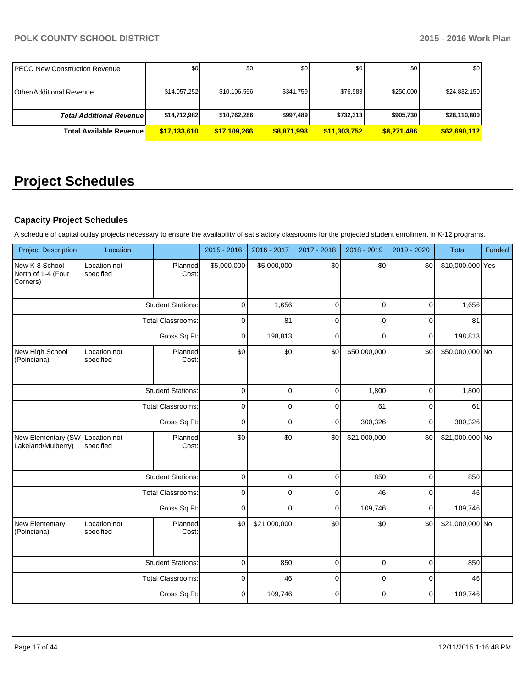| IPECO New Construction Revenue  | \$0          | \$0          | \$0         | \$0          | \$0         | \$0          |
|---------------------------------|--------------|--------------|-------------|--------------|-------------|--------------|
| <b>Other/Additional Revenue</b> | \$14,057,252 | \$10,106,556 | \$341.759   | \$76,583     | \$250,000   | \$24,832,150 |
| <b>Total Additional Revenue</b> | \$14,712,982 | \$10,762,286 | \$997,489   | \$732,313    | \$905,730   | \$28,110,800 |
| <b>Total Available Revenue</b>  | \$17,133,610 | \$17,109,266 | \$8,871,998 | \$11,303,752 | \$8,271,486 | \$62,690,112 |

## **Project Schedules**

## **Capacity Project Schedules**

A schedule of capital outlay projects necessary to ensure the availability of satisfactory classrooms for the projected student enrollment in K-12 programs.

| <b>Project Description</b>                       | Location                  |                          | 2015 - 2016 | 2016 - 2017  | 2017 - 2018 | 2018 - 2019  | 2019 - 2020    | <b>Total</b>     | Funded |
|--------------------------------------------------|---------------------------|--------------------------|-------------|--------------|-------------|--------------|----------------|------------------|--------|
| New K-8 School<br>North of 1-4 (Four<br>Corners) | Location not<br>specified | Planned<br>Cost:         | \$5,000,000 | \$5,000,000  | \$0         | \$0          | \$0            | \$10,000,000 Yes |        |
|                                                  |                           | <b>Student Stations:</b> | $\mathbf 0$ | 1,656        | $\mathbf 0$ | $\Omega$     | $\overline{0}$ | 1,656            |        |
|                                                  |                           | <b>Total Classrooms:</b> | $\mathbf 0$ | 81           | $\mathbf 0$ | $\Omega$     | $\Omega$       | 81               |        |
|                                                  |                           | Gross Sq Ft:             | $\mathbf 0$ | 198,813      | $\mathbf 0$ | $\Omega$     | $\mathbf 0$    | 198,813          |        |
| New High School<br>(Poinciana)                   | Location not<br>specified | Planned<br>Cost:         | \$0         | \$0          | \$0         | \$50,000,000 | \$0            | \$50,000,000 No  |        |
|                                                  |                           | <b>Student Stations:</b> | $\pmb{0}$   | $\mathbf 0$  | $\pmb{0}$   | 1,800        | $\overline{0}$ | 1,800            |        |
|                                                  |                           | <b>Total Classrooms:</b> | $\Omega$    | $\Omega$     | $\Omega$    | 61           | $\Omega$       | 61               |        |
|                                                  |                           | Gross Sq Ft:             | $\mathbf 0$ | $\Omega$     | 0           | 300,326      | 0              | 300,326          |        |
| New Elementary (SW<br>Lakeland/Mulberry)         | Location not<br>specified | Planned<br>Cost:         | \$0         | \$0          | \$0         | \$21,000,000 | \$0            | \$21,000,000 No  |        |
|                                                  |                           | <b>Student Stations:</b> | $\pmb{0}$   | $\mathbf 0$  | $\pmb{0}$   | 850          | $\mathbf 0$    | 850              |        |
|                                                  |                           | <b>Total Classrooms:</b> | $\pmb{0}$   | $\mathbf 0$  | $\mathbf 0$ | 46           | $\mathbf 0$    | 46               |        |
|                                                  |                           | Gross Sq Ft:             | 0           | $\mathbf 0$  | $\mathbf 0$ | 109,746      | $\mathbf 0$    | 109,746          |        |
| New Elementary<br>(Poinciana)                    | Location not<br>specified | Planned<br>Cost:         | \$0         | \$21,000,000 | \$0         | \$0          | \$0            | \$21,000,000 No  |        |
|                                                  |                           | <b>Student Stations:</b> | $\mathbf 0$ | 850          | $\mathbf 0$ | $\mathbf 0$  | $\overline{0}$ | 850              |        |
|                                                  |                           | <b>Total Classrooms:</b> | $\mathbf 0$ | 46           | $\mathbf 0$ | $\Omega$     | $\Omega$       | 46               |        |
|                                                  |                           | Gross Sq Ft:             | $\mathbf 0$ | 109,746      | $\mathbf 0$ | $\Omega$     | $\mathbf 0$    | 109,746          |        |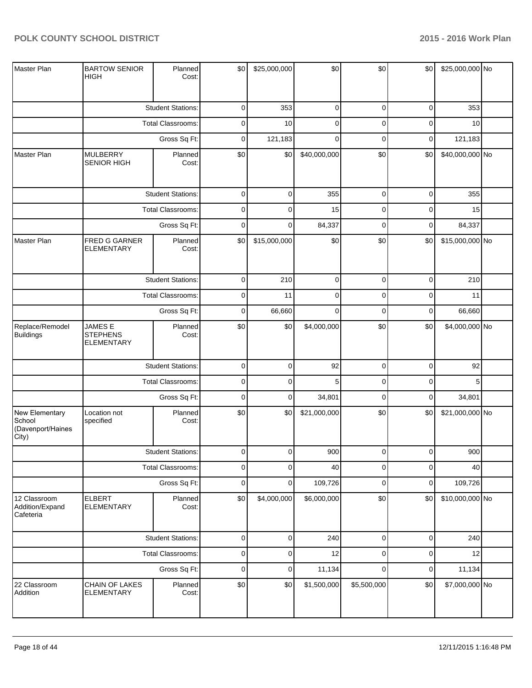| Master Plan                                            | <b>BARTOW SENIOR</b><br><b>HIGH</b>             | Planned<br>Cost:         | \$0         | \$25,000,000 | \$0          | \$0            | \$0                                                                                                                                | \$25,000,000 No |  |
|--------------------------------------------------------|-------------------------------------------------|--------------------------|-------------|--------------|--------------|----------------|------------------------------------------------------------------------------------------------------------------------------------|-----------------|--|
|                                                        |                                                 | <b>Student Stations:</b> | 0           | 353          | $\mathbf 0$  | $\mathbf 0$    | 0                                                                                                                                  | 353             |  |
|                                                        |                                                 | Total Classrooms:        | 0           | 10           | $\mathbf 0$  | $\mathbf 0$    | 0                                                                                                                                  | 10              |  |
|                                                        |                                                 | Gross Sq Ft:             | 0           | 121,183      | $\mathbf 0$  | $\mathbf 0$    | 0                                                                                                                                  | 121,183         |  |
| Master Plan                                            | <b>MULBERRY</b><br><b>SENIOR HIGH</b>           | Planned<br>Cost:         | \$0         | \$0          | \$40,000,000 | \$0            | \$0                                                                                                                                | \$40,000,000 No |  |
|                                                        |                                                 | <b>Student Stations:</b> | 0           | $\mathbf 0$  | 355          | $\overline{0}$ | $\overline{0}$                                                                                                                     | 355             |  |
|                                                        |                                                 | Total Classrooms:        | 0           | $\mathbf 0$  | 15           | $\mathbf 0$    | 0                                                                                                                                  | 15              |  |
|                                                        |                                                 | Gross Sq Ft:             | 0           | $\mathbf 0$  | 84,337       | $\mathbf 0$    | 0                                                                                                                                  | 84,337          |  |
| Master Plan                                            | FRED G GARNER<br><b>ELEMENTARY</b>              | Planned<br>Cost:         | \$0         | \$15,000,000 | \$0          | \$0            | \$0                                                                                                                                |                 |  |
|                                                        |                                                 | <b>Student Stations:</b> | 0           | 210          | $\mathbf 0$  | $\mathbf 0$    | 0                                                                                                                                  | 210             |  |
|                                                        |                                                 | <b>Total Classrooms:</b> | $\pmb{0}$   | 11           | $\mathbf 0$  | $\mathbf 0$    | 0                                                                                                                                  | 11              |  |
|                                                        |                                                 | Gross Sq Ft:             | 0           | 66,660       | $\mathbf 0$  | $\mathbf 0$    | \$15,000,000 No<br>66,660<br>0<br>\$0<br>\$4,000,000 No<br>$\overline{0}$<br>92<br>0<br>5<br>0<br>34,801<br>\$0<br>\$21,000,000 No |                 |  |
| Replace/Remodel<br><b>Buildings</b>                    | JAMES E<br><b>STEPHENS</b><br><b>ELEMENTARY</b> | Planned<br>Cost:         | \$0         | \$0          | \$4,000,000  | \$0            |                                                                                                                                    |                 |  |
|                                                        |                                                 | <b>Student Stations:</b> | 0           | $\pmb{0}$    | 92           | $\overline{0}$ |                                                                                                                                    |                 |  |
|                                                        |                                                 | Total Classrooms:        | 0           | $\mathbf 0$  | 5            | $\mathbf 0$    |                                                                                                                                    |                 |  |
|                                                        |                                                 | Gross Sq Ft:             | $\mathbf 0$ | $\pmb{0}$    | 34,801       | $\mathbf 0$    |                                                                                                                                    |                 |  |
| New Elementary<br>School<br>(Davenport/Haines<br>City) | Location not<br>specified                       | Planned<br>Cost:         | \$0         | \$0          | \$21,000,000 | \$0            |                                                                                                                                    |                 |  |
|                                                        |                                                 | <b>Student Stations:</b> | $\Omega$    | $\Omega$     | 900          | $\Omega$       | $\Omega$                                                                                                                           | 900             |  |
|                                                        |                                                 | Total Classrooms:        | 0           | $\mathbf 0$  | 40           | $\mathbf 0$    | 0                                                                                                                                  | 40              |  |
|                                                        |                                                 | Gross Sq Ft:             | $\pmb{0}$   | $\mathbf 0$  | 109,726      | $\mathbf 0$    | 0                                                                                                                                  | 109,726         |  |
| 12 Classroom<br>Addition/Expand<br>Cafeteria           | <b>ELBERT</b><br><b>ELEMENTARY</b>              | Planned<br>Cost:         | \$0         | \$4,000,000  | \$6,000,000  | \$0            | \$0                                                                                                                                | \$10,000,000 No |  |
|                                                        |                                                 | <b>Student Stations:</b> | 0           | $\pmb{0}$    | 240          | $\overline{0}$ | $\overline{0}$                                                                                                                     | 240             |  |
|                                                        |                                                 | Total Classrooms:        | 0           | $\pmb{0}$    | 12           | $\mathbf 0$    | $\overline{0}$                                                                                                                     | 12              |  |
|                                                        |                                                 | Gross Sq Ft:             | 0           | 0            | 11,134       | $\mathbf 0$    | 0                                                                                                                                  | 11,134          |  |
| 22 Classroom<br>Addition                               | CHAIN OF LAKES<br><b>ELEMENTARY</b>             | Planned<br>Cost:         | \$0         | \$0          | \$1,500,000  | \$5,500,000    | \$0                                                                                                                                | \$7,000,000 No  |  |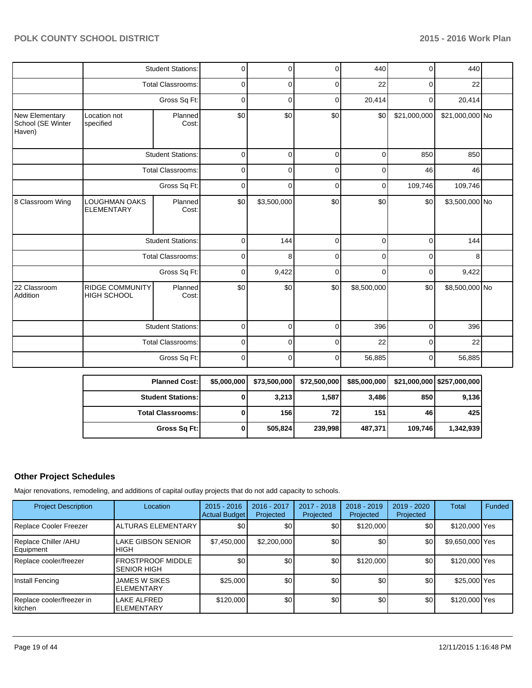|                                                      |                                              | <b>Student Stations:</b> | 0           | $\Omega$    | $\mathbf 0$ | 440         | 0              | 440             |  |
|------------------------------------------------------|----------------------------------------------|--------------------------|-------------|-------------|-------------|-------------|----------------|-----------------|--|
|                                                      |                                              | <b>Total Classrooms:</b> | $\mathbf 0$ | $\Omega$    | $\mathbf 0$ | 22          | 0              | 22              |  |
|                                                      |                                              | Gross Sq Ft:             | $\mathbf 0$ | 0           | $\mathbf 0$ | 20,414      | $\overline{0}$ | 20,414          |  |
| <b>New Elementary</b><br>School (SE Winter<br>Haven) | Location not<br>specified                    | Planned<br>Cost:         | \$0         | \$0         | \$0         | \$0         | \$21,000,000   | \$21,000,000 No |  |
|                                                      |                                              | <b>Student Stations:</b> | $\mathbf 0$ | $\Omega$    | $\mathbf 0$ | $\mathbf 0$ | 850            | 850             |  |
|                                                      |                                              | <b>Total Classrooms:</b> | $\mathbf 0$ | $\mathbf 0$ | $\mathbf 0$ | 0           | 46             | 46              |  |
|                                                      |                                              | Gross Sq Ft:             | 0           | 0           | $\mathbf 0$ | 0           | 109,746        | 109,746         |  |
| 8 Classroom Wing                                     | LOUGHMAN OAKS<br><b>ELEMENTARY</b>           | Planned<br>Cost:         | \$0         | \$3,500,000 | \$0         | \$0         | \$0            | \$3,500,000 No  |  |
|                                                      |                                              | <b>Student Stations:</b> | $\mathbf 0$ | 144         | $\mathbf 0$ | 0           | 0              | 144             |  |
|                                                      |                                              | <b>Total Classrooms:</b> | 0           | 8           | $\mathbf 0$ | 0           | 0              | 8               |  |
|                                                      |                                              | Gross Sq Ft:             | $\mathbf 0$ | 9,422       | $\mathbf 0$ | 0           | 0              | 9,422           |  |
| 22 Classroom<br>Addition                             | <b>RIDGE COMMUNITY</b><br><b>HIGH SCHOOL</b> | Planned<br>Cost:         | \$0         | \$0         | \$0         | \$8,500,000 | \$0            | \$8,500,000 No  |  |
|                                                      |                                              | <b>Student Stations:</b> | $\mathbf 0$ | $\Omega$    | $\Omega$    | 396         | $\Omega$       | 396             |  |
|                                                      |                                              | <b>Total Classrooms:</b> | $\mathbf 0$ | 0           | $\mathbf 0$ | 22          | 0              | 22              |  |
|                                                      |                                              | Gross Sq Ft:             | $\mathbf 0$ | 0           | $\mathbf 0$ | 56,885      | 0              | 56,885          |  |

| <b>Planned Cost:</b>       | \$5,000,000 | \$73,500,000 | \$72,500,000    | \$85,000,000 |         | \$21,000,000   \$257,000,000 |
|----------------------------|-------------|--------------|-----------------|--------------|---------|------------------------------|
| <b>Student Stations:</b>   |             | 3,213        | 1,587           | 3,486        | 850     | 9,136                        |
| <b>Total Classrooms: I</b> |             | 156          | 72 <sub>1</sub> | 151          | 46      | 425                          |
| Gross Sq Ft:               |             | 505,824      | 239,998         | 487,371      | 109,746 | 1,342,939                    |

## **Other Project Schedules**

Major renovations, remodeling, and additions of capital outlay projects that do not add capacity to schools.

| <b>Project Description</b>             | Location                                       | $2015 - 2016$<br><b>Actual Budget</b> | 2016 - 2017<br>Projected | 2017 - 2018<br>Projected | 2018 - 2019<br>Projected | 2019 - 2020<br>Projected | <b>Total</b>    | Funded |
|----------------------------------------|------------------------------------------------|---------------------------------------|--------------------------|--------------------------|--------------------------|--------------------------|-----------------|--------|
| Replace Cooler Freezer                 | <b>ALTURAS ELEMENTARY</b>                      | \$0                                   | \$0                      | \$0                      | \$120,000                | \$0                      | \$120,000 Yes   |        |
| Replace Chiller /AHU<br>Equipment      | <b>LAKE GIBSON SENIOR</b><br><b>HIGH</b>       | \$7,450,000                           | \$2,200,000              | \$0                      | \$0                      | \$0                      | \$9,650,000 Yes |        |
| Replace cooler/freezer                 | <b>FROSTPROOF MIDDLE</b><br><b>SENIOR HIGH</b> | \$0                                   | \$0                      | \$0                      | \$120,000                | \$0 <sub>1</sub>         | \$120,000 Yes   |        |
| Install Fencing                        | JAMES W SIKES<br><b>ELEMENTARY</b>             | \$25,000                              | \$0                      | \$0                      | \$0                      | \$0                      | \$25,000 Yes    |        |
| Replace cooler/freezer in<br>l kitchen | LAKE ALFRED<br><b>ELEMENTARY</b>               | \$120,000                             | \$0                      | \$0                      | \$0                      | \$0                      | \$120,000 Yes   |        |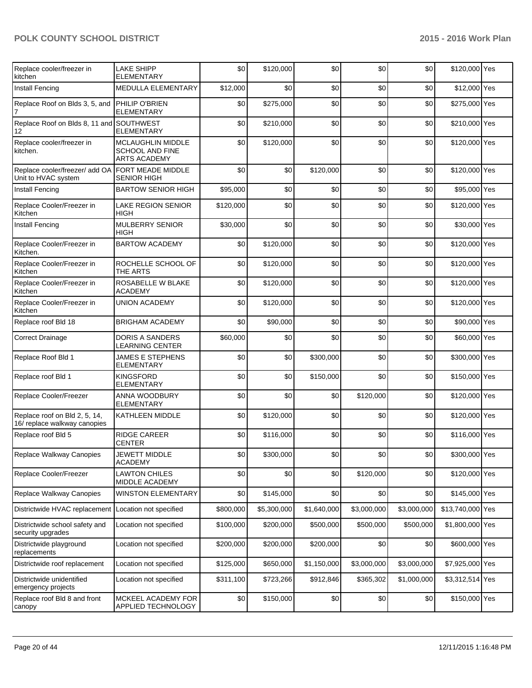| Replace cooler/freezer in<br>kitchen                          | <b>LAKE SHIPP</b><br><b>ELEMENTARY</b>                             | \$0       | \$120,000   | \$0         | \$0         | \$0         | \$120,000 Yes    |  |
|---------------------------------------------------------------|--------------------------------------------------------------------|-----------|-------------|-------------|-------------|-------------|------------------|--|
| Install Fencing                                               | MEDULLA ELEMENTARY                                                 | \$12,000  | \$0         | \$0         | \$0         | \$0         | \$12,000 Yes     |  |
| Replace Roof on Blds 3, 5, and                                | PHILIP O'BRIEN<br><b>ELEMENTARY</b>                                | \$0       | \$275,000   | \$0         | \$0         | \$0         | \$275,000 Yes    |  |
| Replace Roof on Blds 8, 11 and SOUTHWEST<br>12                | <b>ELEMENTARY</b>                                                  | \$0       | \$210,000   | \$0         | \$0         | \$0         | \$210,000 Yes    |  |
| Replace cooler/freezer in<br>kitchen.                         | MCLAUGHLIN MIDDLE<br><b>SCHOOL AND FINE</b><br><b>ARTS ACADEMY</b> | \$0       | \$120,000   | \$0         | \$0         | \$0         | \$120,000 Yes    |  |
| Replace cooler/freezer/ add OA<br>Unit to HVAC system         | <b>FORT MEADE MIDDLE</b><br><b>SENIOR HIGH</b>                     | \$0       | \$0         | \$120,000   | \$0         | \$0         | \$120,000 Yes    |  |
| Install Fencing                                               | <b>BARTOW SENIOR HIGH</b>                                          | \$95,000  | \$0         | \$0         | \$0         | \$0         | \$95,000 Yes     |  |
| Replace Cooler/Freezer in<br>Kitchen                          | <b>LAKE REGION SENIOR</b><br>HIGH                                  | \$120,000 | \$0         | \$0         | \$0         | \$0         | \$120,000 Yes    |  |
| Install Fencing                                               | <b>MULBERRY SENIOR</b><br><b>HIGH</b>                              | \$30,000  | \$0         | \$0         | \$0         | \$0         | \$30,000 Yes     |  |
| Replace Cooler/Freezer in<br>Kitchen.                         | <b>BARTOW ACADEMY</b>                                              | \$0       | \$120,000   | \$0         | \$0         | \$0         | \$120,000 Yes    |  |
| Replace Cooler/Freezer in<br>Kitchen                          | ROCHELLE SCHOOL OF<br>THE ARTS                                     | \$0       | \$120,000   | \$0         | \$0         | \$0         | \$120,000 Yes    |  |
| Replace Cooler/Freezer in<br>Kitchen                          | ROSABELLE W BLAKE<br><b>ACADEMY</b>                                | \$0       | \$120,000   | \$0         | \$0         | \$0         | \$120,000 Yes    |  |
| Replace Cooler/Freezer in<br>Kitchen                          | <b>UNION ACADEMY</b>                                               | \$0       | \$120,000   | \$0         | \$0         | \$0         | \$120,000 Yes    |  |
| Replace roof Bld 18                                           | <b>BRIGHAM ACADEMY</b>                                             | \$0       | \$90,000    | \$0         | \$0         | \$0         | \$90,000 Yes     |  |
| <b>Correct Drainage</b>                                       | <b>DORIS A SANDERS</b><br><b>LEARNING CENTER</b>                   | \$60,000  | \$0         | \$0         | \$0         | \$0         | \$60,000 Yes     |  |
| Replace Roof Bld 1                                            | JAMES E STEPHENS<br>ELEMENTARY                                     | \$0       | \$0         | \$300,000   | \$0         | \$0         | \$300,000 Yes    |  |
| Replace roof Bld 1                                            | <b>KINGSFORD</b><br><b>ELEMENTARY</b>                              | \$0       | \$0         | \$150,000   | \$0         | \$0         | \$150,000 Yes    |  |
| Replace Cooler/Freezer                                        | ANNA WOODBURY<br><b>ELEMENTARY</b>                                 | \$0       | \$0         | \$0         | \$120,000   | \$0         | \$120,000 Yes    |  |
| Replace roof on Bld 2, 5, 14,<br>16/ replace walkway canopies | <b>KATHLEEN MIDDLE</b>                                             | \$0       | \$120,000   | \$0         | \$0         | \$0         | \$120,000 Yes    |  |
| Replace roof Bld 5                                            | RIDGE CAREER<br>CENTER                                             | \$0       | \$116,000   | \$0         | \$0         | \$0         | \$116,000 Yes    |  |
| Replace Walkway Canopies                                      | <b>JEWETT MIDDLE</b><br><b>ACADEMY</b>                             | \$0       | \$300,000   | \$0]        | \$0]        | \$0         | \$300,000 Yes    |  |
| Replace Cooler/Freezer                                        | <b>LAWTON CHILES</b><br>MIDDLE ACADEMY                             | \$0       | \$0         | \$0         | \$120,000   | \$0         | \$120,000 Yes    |  |
| Replace Walkway Canopies                                      | <b>WINSTON ELEMENTARY</b>                                          | \$0       | \$145,000   | \$0         | \$0         | \$0         | \$145,000 Yes    |  |
| Districtwide HVAC replacement                                 | Location not specified                                             | \$800,000 | \$5,300,000 | \$1,640,000 | \$3,000,000 | \$3,000,000 | \$13,740,000 Yes |  |
| Districtwide school safety and<br>security upgrades           | Location not specified                                             | \$100,000 | \$200,000   | \$500,000   | \$500,000   | \$500,000   | \$1,800,000 Yes  |  |
| Districtwide playground<br>replacements                       | Location not specified                                             | \$200,000 | \$200,000   | \$200,000   | \$0         | \$0         | \$600,000 Yes    |  |
| Districtwide roof replacement                                 | Location not specified                                             | \$125,000 | \$650,000   | \$1,150,000 | \$3,000,000 | \$3,000,000 | \$7,925,000 Yes  |  |
| Districtwide unidentified<br>emergency projects               | Location not specified                                             | \$311,100 | \$723,266   | \$912,846   | \$365,302   | \$1,000,000 | \$3,312,514 Yes  |  |
| Replace roof Bld 8 and front<br>canopy                        | MCKEEL ACADEMY FOR<br>APPLIED TECHNOLOGY                           | \$0       | \$150,000   | \$0         | \$0         | \$0         | \$150,000 Yes    |  |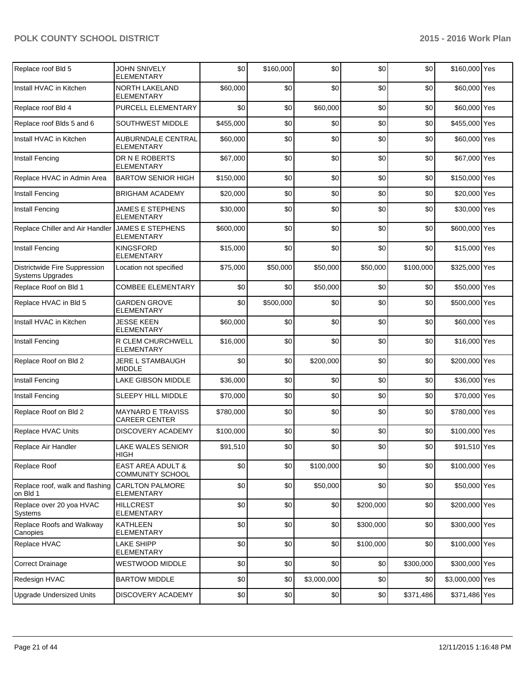| Replace roof Bld 5                                       | JOHN SNIVELY<br>ELEMENTARY                       | \$0       | \$160,000 | \$0         | \$0       | \$0       | \$160,000 Yes   |  |
|----------------------------------------------------------|--------------------------------------------------|-----------|-----------|-------------|-----------|-----------|-----------------|--|
| Install HVAC in Kitchen                                  | NORTH LAKELAND<br><b>ELEMENTARY</b>              | \$60,000  | \$0       | \$0         | \$0       | \$0       | \$60,000 Yes    |  |
| Replace roof Bld 4                                       | PURCELL ELEMENTARY                               | \$0       | \$0       | \$60,000    | \$0       | \$0       | \$60,000 Yes    |  |
| Replace roof Blds 5 and 6                                | SOUTHWEST MIDDLE                                 | \$455,000 | \$0       | \$0         | \$0       | \$0       | \$455,000 Yes   |  |
| Install HVAC in Kitchen                                  | AUBURNDALE CENTRAL<br><b>ELEMENTARY</b>          | \$60,000  | \$0       | \$0         | \$0       | \$0       | \$60,000 Yes    |  |
| Install Fencing                                          | DR N E ROBERTS<br><b>ELEMENTARY</b>              | \$67,000  | \$0       | \$0         | \$0       | \$0       | \$67,000 Yes    |  |
| Replace HVAC in Admin Area                               | <b>BARTOW SENIOR HIGH</b>                        | \$150,000 | \$0       | \$0         | \$0       | \$0       | \$150,000 Yes   |  |
| Install Fencing                                          | <b>BRIGHAM ACADEMY</b>                           | \$20,000  | \$0       | \$0         | \$0       | \$0       | \$20,000 Yes    |  |
| Install Fencing                                          | <b>JAMES E STEPHENS</b><br>ELEMENTARY            | \$30,000  | \$0       | \$0         | \$0       | \$0       | \$30,000 Yes    |  |
| Replace Chiller and Air Handler                          | <b>JAMES E STEPHENS</b><br>ELEMENTARY            | \$600,000 | \$0       | \$0         | \$0       | \$0       | \$600,000 Yes   |  |
| Install Fencing                                          | <b>KINGSFORD</b><br>ELEMENTARY                   | \$15,000  | \$0       | \$0         | \$0       | \$0       | \$15,000 Yes    |  |
| Districtwide Fire Suppression<br><b>Systems Upgrades</b> | Location not specified                           | \$75,000  | \$50,000  | \$50,000    | \$50,000  | \$100,000 | \$325,000 Yes   |  |
| Replace Roof on Bld 1                                    | <b>COMBEE ELEMENTARY</b>                         | \$0       | \$0       | \$50,000    | \$0       | \$0       | \$50,000 Yes    |  |
| Replace HVAC in Bld 5                                    | <b>GARDEN GROVE</b><br>ELEMENTARY                | \$0       | \$500,000 | \$0         | \$0       | \$0       | \$500,000 Yes   |  |
| Install HVAC in Kitchen                                  | <b>JESSE KEEN</b><br><b>ELEMENTARY</b>           | \$60,000  | \$0       | \$0         | \$0       | \$0       | \$60,000 Yes    |  |
| Install Fencing                                          | R CLEM CHURCHWELL<br>ELEMENTARY                  | \$16,000  | \$0       | \$0         | \$0       | \$0       | \$16,000 Yes    |  |
| Replace Roof on Bld 2                                    | JERE L STAMBAUGH<br>MIDDLE                       | \$0       | \$0       | \$200,000   | \$0       | \$0       | \$200,000 Yes   |  |
| Install Fencing                                          | LAKE GIBSON MIDDLE                               | \$36,000  | \$0       | \$0         | \$0       | \$0       | \$36,000 Yes    |  |
| Install Fencing                                          | SLEEPY HILL MIDDLE                               | \$70,000  | \$0       | \$0         | \$0       | \$0       | \$70,000 Yes    |  |
| Replace Roof on Bld 2                                    | <b>MAYNARD E TRAVISS</b><br><b>CAREER CENTER</b> | \$780,000 | \$0       | \$0         | \$0       | \$0       | \$780,000 Yes   |  |
| Replace HVAC Units                                       | DISCOVERY ACADEMY                                | \$100,000 | \$0       | \$0         | \$0       | \$0       | \$100,000 Yes   |  |
| Replace Air Handler                                      | <b>LAKE WALES SENIOR</b><br><b>HIGH</b>          | \$91,510  | \$0       | \$0         | \$0       | \$0       | \$91.510 Yes    |  |
| Replace Roof                                             | <b>EAST AREA ADULT &amp;</b><br>COMMUNITY SCHOOL | \$0       | \$0       | \$100,000   | \$0       | \$0       | \$100,000 Yes   |  |
| Replace roof, walk and flashing<br>on Bld 1              | <b>CARLTON PALMORE</b><br>ELEMENTARY             | \$0       | \$0       | \$50,000    | \$0       | \$0       | \$50,000 Yes    |  |
| Replace over 20 yoa HVAC<br>Systems                      | <b>HILLCREST</b><br><b>ELEMENTARY</b>            | \$0       | \$0       | \$0         | \$200,000 | \$0       | \$200,000 Yes   |  |
| Replace Roofs and Walkway<br>Canopies                    | KATHLEEN<br>ELEMENTARY                           | \$0       | \$0       | \$0         | \$300,000 | \$0       | \$300,000 Yes   |  |
| Replace HVAC                                             | <b>LAKE SHIPP</b><br><b>ELEMENTARY</b>           | \$0       | \$0       | \$0         | \$100,000 | \$0       | \$100,000 Yes   |  |
| <b>Correct Drainage</b>                                  | WESTWOOD MIDDLE                                  | \$0       | \$0       | \$0         | \$0       | \$300,000 | \$300,000 Yes   |  |
| Redesign HVAC                                            | <b>BARTOW MIDDLE</b>                             | \$0       | \$0       | \$3,000,000 | \$0       | \$0       | \$3,000,000 Yes |  |
| <b>Upgrade Undersized Units</b>                          | DISCOVERY ACADEMY                                | \$0       | \$0       | \$0         | \$0       | \$371,486 | \$371,486 Yes   |  |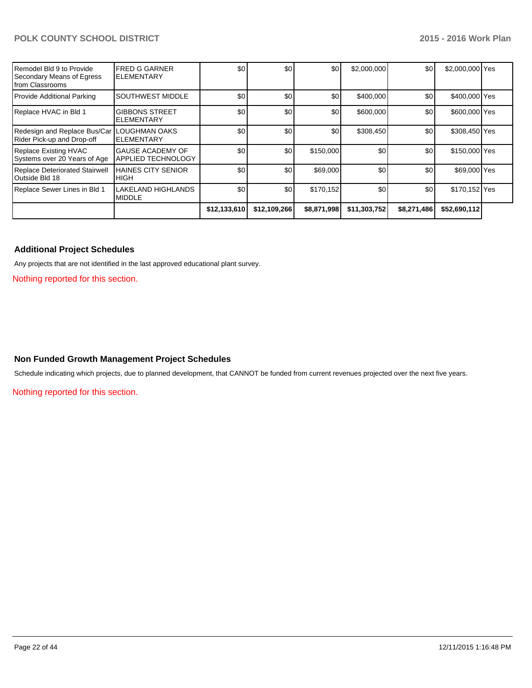| Remodel Bld 9 to Provide<br>Secondary Means of Egress<br>Ifrom Classrooms | <b>FRED G GARNER</b><br>ELEMENTARY                   | \$0          | \$0          | \$0         | \$2,000,000  | \$0         | \$2,000,000 Yes |  |
|---------------------------------------------------------------------------|------------------------------------------------------|--------------|--------------|-------------|--------------|-------------|-----------------|--|
| Provide Additional Parking                                                | <b>SOUTHWEST MIDDLE</b>                              | \$0          | \$0          | \$0         | \$400,000    | \$0         | \$400,000 Yes   |  |
| Replace HVAC in Bld 1                                                     | <b>GIBBONS STREET</b><br><b>ELEMENTARY</b>           | \$0          | \$0          | \$0         | \$600,000    | \$0         | \$600,000 Yes   |  |
| Redesign and Replace Bus/Car<br>Rider Pick-up and Drop-off                | LOUGHMAN OAKS<br><b>ELEMENTARY</b>                   | \$0          | \$0          | \$0         | \$308,450    | \$0         | \$308,450 Yes   |  |
| Replace Existing HVAC<br>Systems over 20 Years of Age                     | <b>GAUSE ACADEMY OF</b><br><b>APPLIED TECHNOLOGY</b> | \$0          | \$0          | \$150,000   | \$0          | \$0         | \$150,000 Yes   |  |
| Replace Deteriorated Stairwell<br><b>Outside Bld 18</b>                   | <b>HAINES CITY SENIOR</b><br><b>HIGH</b>             | \$0          | \$0          | \$69,000    | \$0          | \$0         | \$69,000 Yes    |  |
| Replace Sewer Lines in Bld 1                                              | <b>LAKELAND HIGHLANDS</b><br><b>MIDDLE</b>           | \$0          | \$0          | \$170,152   | \$0          | \$0         | \$170,152 Yes   |  |
|                                                                           |                                                      | \$12,133,610 | \$12,109,266 | \$8,871,998 | \$11,303,752 | \$8,271,486 | \$52,690,112    |  |

### **Additional Project Schedules**

Any projects that are not identified in the last approved educational plant survey.

Nothing reported for this section.

#### **Non Funded Growth Management Project Schedules**

Schedule indicating which projects, due to planned development, that CANNOT be funded from current revenues projected over the next five years.

Nothing reported for this section.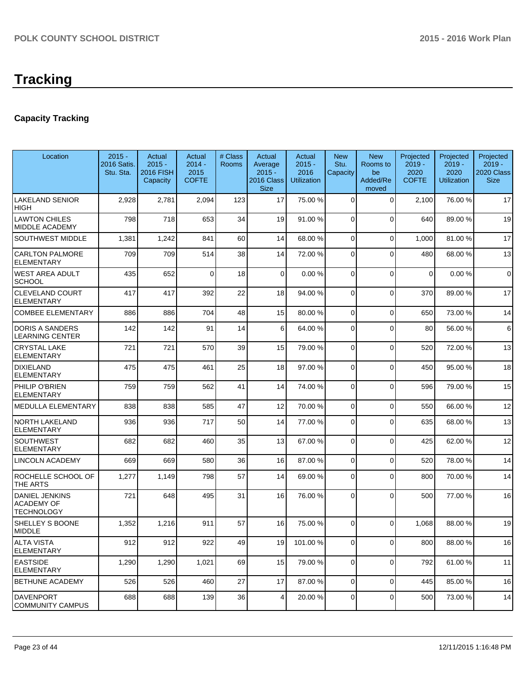## **Capacity Tracking**

| Location                                                 | $2015 -$<br>2016 Satis.<br>Stu. Sta. | Actual<br>$2015 -$<br><b>2016 FISH</b><br>Capacity | Actual<br>$2014 -$<br>2015<br><b>COFTE</b> | # Class<br>Rooms | Actual<br>Average<br>$2015 -$<br>2016 Class<br><b>Size</b> | Actual<br>$2015 -$<br>2016<br><b>Utilization</b> | <b>New</b><br>Stu.<br>Capacity | <b>New</b><br>Rooms to<br>be<br>Added/Re<br>moved | Projected<br>$2019 -$<br>2020<br><b>COFTE</b> | Projected<br>$2019 -$<br>2020<br><b>Utilization</b> | Projected<br>$2019 -$<br>2020 Class<br><b>Size</b> |
|----------------------------------------------------------|--------------------------------------|----------------------------------------------------|--------------------------------------------|------------------|------------------------------------------------------------|--------------------------------------------------|--------------------------------|---------------------------------------------------|-----------------------------------------------|-----------------------------------------------------|----------------------------------------------------|
| LAKELAND SENIOR<br>HIGH                                  | 2,928                                | 2,781                                              | 2,094                                      | 123              | 17                                                         | 75.00 %                                          | 0                              | $\Omega$                                          | 2,100                                         | 76.00 %                                             | 17                                                 |
| LAWTON CHILES<br>MIDDLE ACADEMY                          | 798                                  | 718                                                | 653                                        | 34               | 19                                                         | 91.00 %                                          | $\overline{0}$                 | $\Omega$                                          | 640                                           | 89.00 %                                             | 19                                                 |
| SOUTHWEST MIDDLE                                         | 1,381                                | 1,242                                              | 841                                        | 60               | 14                                                         | 68.00 %                                          | 0                              | $\Omega$                                          | 1,000                                         | 81.00%                                              | 17                                                 |
| <b>CARLTON PALMORE</b><br>ELEMENTARY                     | 709                                  | 709                                                | 514                                        | 38               | 14                                                         | 72.00 %                                          | 0                              | $\Omega$                                          | 480                                           | 68.00%                                              | 13                                                 |
| WEST AREA ADULT<br>SCHOOL                                | 435                                  | 652                                                | $\Omega$                                   | 18               | $\Omega$                                                   | 0.00%                                            | 0                              | $\Omega$                                          | $\mathbf 0$                                   | 0.00%                                               | $\mathbf 0$                                        |
| CLEVELAND COURT<br><b>ELEMENTARY</b>                     | 417                                  | 417                                                | 392                                        | 22               | 18                                                         | 94.00 %                                          | 0                              | $\Omega$                                          | 370                                           | 89.00 %                                             | 17                                                 |
| COMBEE ELEMENTARY                                        | 886                                  | 886                                                | 704                                        | 48               | 15                                                         | 80.00 %                                          | 0                              | $\Omega$                                          | 650                                           | 73.00 %                                             | 14                                                 |
| <b>DORIS A SANDERS</b><br>LEARNING CENTER                | 142                                  | 142                                                | 91                                         | 14               | 6 <sup>1</sup>                                             | 64.00 %                                          | 0                              | $\Omega$                                          | 80                                            | 56.00 %                                             | 6                                                  |
| <b>CRYSTAL LAKE</b><br><b>ELEMENTARY</b>                 | 721                                  | 721                                                | 570                                        | 39               | 15                                                         | 79.00 %                                          | 0                              | $\Omega$                                          | 520                                           | 72.00 %                                             | 13                                                 |
| DIXIELAND<br><b>ELEMENTARY</b>                           | 475                                  | 475                                                | 461                                        | 25               | 18                                                         | 97.00 %                                          | 0                              | $\Omega$                                          | 450                                           | 95.00 %                                             | 18                                                 |
| PHILIP O'BRIEN<br><b>ELEMENTARY</b>                      | 759                                  | 759                                                | 562                                        | 41               | 14                                                         | 74.00 %                                          | 0                              | $\Omega$                                          | 596                                           | 79.00 %                                             | 15                                                 |
| MEDULLA ELEMENTARY                                       | 838                                  | 838                                                | 585                                        | 47               | 12                                                         | 70.00 %                                          | 0                              | $\Omega$                                          | 550                                           | 66.00 %                                             | 12                                                 |
| <b>NORTH LAKELAND</b><br><b>ELEMENTARY</b>               | 936                                  | 936                                                | 717                                        | 50               | 14                                                         | 77.00 %                                          | 0                              | $\Omega$                                          | 635                                           | 68.00 %                                             | 13                                                 |
| SOUTHWEST<br>ELEMENTARY                                  | 682                                  | 682                                                | 460                                        | 35               | 13                                                         | 67.00 %                                          | 0                              | $\Omega$                                          | 425                                           | 62.00%                                              | 12                                                 |
| LINCOLN ACADEMY                                          | 669                                  | 669                                                | 580                                        | 36               | 16                                                         | 87.00 %                                          | 0                              | $\Omega$                                          | 520                                           | 78.00 %                                             | 14                                                 |
| ROCHELLE SCHOOL OF<br>THE ARTS                           | 1,277                                | 1,149                                              | 798                                        | 57               | 14                                                         | 69.00 %                                          | 0                              | $\Omega$                                          | 800                                           | 70.00%                                              | 14                                                 |
| <b>DANIEL JENKINS</b><br><b>ACADEMY OF</b><br>TECHNOLOGY | 721                                  | 648                                                | 495                                        | 31               | 16                                                         | 76.00 %                                          | $\Omega$                       | $\Omega$                                          | 500                                           | 77.00 %                                             | 16                                                 |
| SHELLEY S BOONE<br><b>MIDDLE</b>                         | 1,352                                | 1,216                                              | 911                                        | 57               | 16                                                         | 75.00 %                                          | $\Omega$                       | $\Omega$                                          | 1,068                                         | 88.00 %                                             | 19                                                 |
| <b>ALTA VISTA</b><br><b>ELEMENTARY</b>                   | 912                                  | 912                                                | 922                                        | 49               | 19                                                         | 101.00%                                          | $\overline{0}$                 | $\overline{0}$                                    | 800                                           | 88.00%                                              | 16                                                 |
| <b>EASTSIDE</b><br><b>ELEMENTARY</b>                     | 1,290                                | 1,290                                              | 1,021                                      | 69               | 15                                                         | 79.00 %                                          | 0                              | $\Omega$                                          | 792                                           | 61.00%                                              | 11                                                 |
| BETHUNE ACADEMY                                          | 526                                  | 526                                                | 460                                        | 27               | 17                                                         | 87.00 %                                          | 0                              | $\Omega$                                          | 445                                           | 85.00 %                                             | 16                                                 |
| <b>DAVENPORT</b><br><b>COMMUNITY CAMPUS</b>              | 688                                  | 688                                                | 139                                        | 36               | 4                                                          | 20.00 %                                          | 0                              | 0                                                 | 500                                           | 73.00 %                                             | 14                                                 |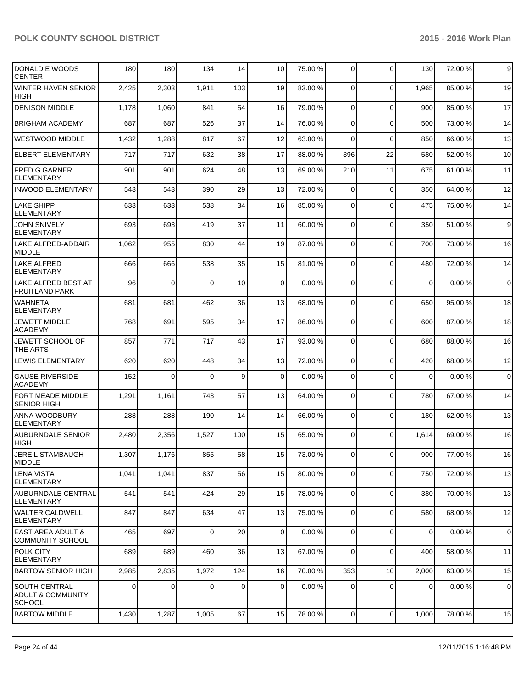| IDONALD E WOODS<br>ICENTER                          | 180   | 180      | 134      | 14  | 10 <sup>1</sup> | 75.00 % | $\overline{0}$ | 0               | 130            | 72.00%  | 9              |
|-----------------------------------------------------|-------|----------|----------|-----|-----------------|---------|----------------|-----------------|----------------|---------|----------------|
| <b>WINTER HAVEN SENIOR</b><br><b>HIGH</b>           | 2,425 | 2,303    | 1,911    | 103 | 19              | 83.00 % | $\Omega$       | $\mathbf 0$     | 1,965          | 85.00 % | 19             |
| <b>DENISON MIDDLE</b>                               | 1,178 | 1,060    | 841      | 54  | 16              | 79.00 % | $\Omega$       | 0               | 900            | 85.00 % | 17             |
| <b>BRIGHAM ACADEMY</b>                              | 687   | 687      | 526      | 37  | 14              | 76.00 % | $\overline{0}$ | 0               | 500            | 73.00 % | 14             |
| WESTWOOD MIDDLE                                     | 1,432 | 1,288    | 817      | 67  | 12              | 63.00 % | $\Omega$       | $\mathbf 0$     | 850            | 66.00 % | 13             |
| <b>ELBERT ELEMENTARY</b>                            | 717   | 717      | 632      | 38  | 17              | 88.00 % | 396            | 22              | 580            | 52.00 % | 10             |
| <b>FRED G GARNER</b><br>ELEMENTARY                  | 901   | 901      | 624      | 48  | 13              | 69.00 % | 210            | 11              | 675            | 61.00%  | 11             |
| <b>INWOOD ELEMENTARY</b>                            | 543   | 543      | 390      | 29  | 13              | 72.00 % | $\mathbf 0$    | $\mathbf 0$     | 350            | 64.00%  | 12             |
| <b>LAKE SHIPP</b><br><b>ELEMENTARY</b>              | 633   | 633      | 538      | 34  | 16              | 85.00 % | 0              | $\mathbf 0$     | 475            | 75.00 % | 14             |
| <b>JOHN SNIVELY</b><br>ELEMENTARY                   | 693   | 693      | 419      | 37  | 11              | 60.00 % | $\overline{0}$ | 0               | 350            | 51.00%  | 9              |
| LAKE ALFRED-ADDAIR<br>MIDDLE                        | 1,062 | 955      | 830      | 44  | 19              | 87.00 % | $\overline{0}$ | $\mathbf 0$     | 700            | 73.00 % | 16             |
| LAKE ALFRED<br>ELEMENTARY                           | 666   | 666      | 538      | 35  | 15              | 81.00 % | $\Omega$       | 0               | 480            | 72.00 % | 14             |
| LAKE ALFRED BEST AT<br><b>FRUITLAND PARK</b>        | 96    | $\Omega$ | $\Omega$ | 10  | $\overline{0}$  | 0.00%   | $\mathbf 0$    | $\overline{0}$  | $\mathbf 0$    | 0.00%   | $\overline{0}$ |
| <b>WAHNETA</b><br>ELEMENTARY                        | 681   | 681      | 462      | 36  | 13              | 68.00 % | $\Omega$       | 0               | 650            | 95.00 % | 18             |
| <b>JEWETT MIDDLE</b><br>ACADEMY                     | 768   | 691      | 595      | 34  | 17              | 86.00 % | $\Omega$       | 0               | 600            | 87.00 % | 18             |
| <b>JEWETT SCHOOL OF</b><br><b>THE ARTS</b>          | 857   | 771      | 717      | 43  | 17              | 93.00 % | $\Omega$       | $\Omega$        | 680            | 88.00 % | 16             |
| <b>LEWIS ELEMENTARY</b>                             | 620   | 620      | 448      | 34  | 13              | 72.00 % | $\overline{0}$ | 0               | 420            | 68.00%  | 12             |
| <b>GAUSE RIVERSIDE</b><br><b>ACADEMY</b>            | 152   | 0        | $\Omega$ | 9   | $\overline{0}$  | 0.00%   | $\Omega$       | $\Omega$        | $\mathbf 0$    | 0.00%   | $\overline{0}$ |
| <b>FORT MEADE MIDDLE</b><br><b>SENIOR HIGH</b>      | 1,291 | 1,161    | 743      | 57  | 13              | 64.00 % | $\Omega$       | $\mathbf 0$     | 780            | 67.00%  | 14             |
| ANNA WOODBURY<br>ELEMENTARY                         | 288   | 288      | 190      | 14  | 14              | 66.00 % | $\Omega$       | 0               | 180            | 62.00%  | 13             |
| <b>AUBURNDALE SENIOR</b><br>HIGH                    | 2,480 | 2,356    | 1,527    | 100 | 15              | 65.00 % | $\overline{0}$ | 0               | 1,614          | 69.00 % | 16             |
| <b>JERE L STAMBAUGH</b><br>MIDDLE                   | 1,307 | 1,176    | 855      | 58  | 15              | 73.00 % | 0              | $\overline{0}$  | 900            | 77.00%  | 16             |
| LENA VISTA<br>ELEMENTARY                            | 1,041 | 1,041    | 837      | 56  | 15              | 80.00 % | $\overline{0}$ | 0               | 750            | 72.00 % | 13             |
| <b>AUBURNDALE CENTRAL</b><br><b>ELEMENTARY</b>      | 541   | 541      | 424      | 29  | 15              | 78.00 % | $\overline{0}$ | 0               | 380            | 70.00 % | 13             |
| <b>WALTER CALDWELL</b><br>ELEMENTARY                | 847   | 847      | 634      | 47  | 13              | 75.00 % | $\overline{0}$ | $\mathbf 0$     | 580            | 68.00%  | 12             |
| <b>LEAST AREA ADULT &amp;</b><br>COMMUNITY SCHOOL   | 465   | 697      | $\Omega$ | 20  | $\overline{0}$  | 0.00%   | $\overline{0}$ | $\mathbf 0$     | $\mathbf 0$    | 0.00%   | $\mathbf 0$    |
| <b>POLK CITY</b><br>ELEMENTARY                      | 689   | 689      | 460      | 36  | 13              | 67.00 % | $\overline{0}$ | $\mathbf 0$     | 400            | 58.00 % | 11             |
| <b>BARTOW SENIOR HIGH</b>                           | 2,985 | 2,835    | 1,972    | 124 | 16              | 70.00 % | 353            | 10 <sup>1</sup> | 2,000          | 63.00 % | 15             |
| SOUTH CENTRAL<br>ADULT & COMMUNITY<br><b>SCHOOL</b> | 0     | 0        | $\Omega$ | 0   | $\overline{0}$  | 0.00 %  | 0              | 0               | $\overline{0}$ | 0.00%   | $\mathbf 0$    |
| <b>BARTOW MIDDLE</b>                                | 1,430 | 1,287    | 1,005    | 67  | 15              | 78.00 % | $\overline{0}$ | $\pmb{0}$       | 1,000          | 78.00 % | 15             |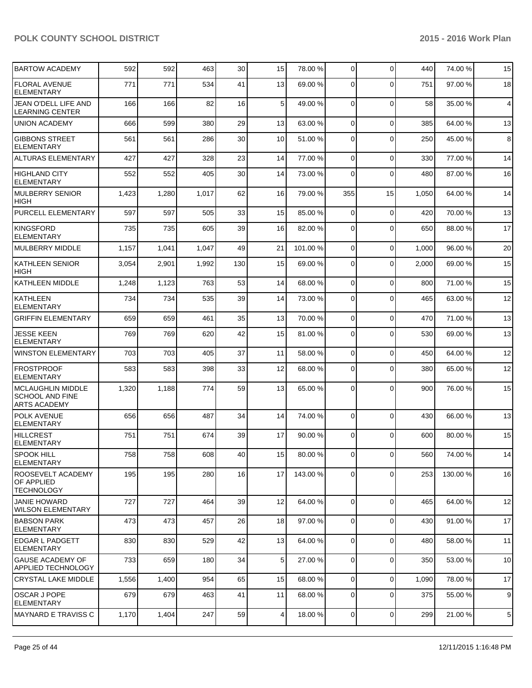| <b>BARTOW ACADEMY</b>                                              | 592   | 592   | 463   | 30 <sup>2</sup> | 15              | 78.00 % | $\overline{0}$ | $\Omega$       | 440   | 74.00 % | 15              |
|--------------------------------------------------------------------|-------|-------|-------|-----------------|-----------------|---------|----------------|----------------|-------|---------|-----------------|
| <b>FLORAL AVENUE</b><br><b>ELEMENTARY</b>                          | 771   | 771   | 534   | 41              | 13              | 69.00 % | $\Omega$       | $\Omega$       | 751   | 97.00 % | 18              |
| JEAN O'DELL LIFE AND<br><b>LEARNING CENTER</b>                     | 166   | 166   | 82    | 16              | 5 <sup>1</sup>  | 49.00 % | $\Omega$       | $\Omega$       | 58    | 35.00 % | $\overline{4}$  |
| <b>UNION ACADEMY</b>                                               | 666   | 599   | 380   | 29              | 13              | 63.00 % | $\overline{0}$ | $\Omega$       | 385   | 64.00%  | 13              |
| <b>GIBBONS STREET</b><br><b>ELEMENTARY</b>                         | 561   | 561   | 286   | 30              | 10 <sup>1</sup> | 51.00 % | $\overline{0}$ | $\Omega$       | 250   | 45.00 % | 8               |
| ALTURAS ELEMENTARY                                                 | 427   | 427   | 328   | 23              | 14              | 77.00 % | 0              | $\Omega$       | 330   | 77.00 % | 14              |
| <b>HIGHLAND CITY</b><br><b>ELEMENTARY</b>                          | 552   | 552   | 405   | 30              | 14              | 73.00 % | 0              | $\Omega$       | 480   | 87.00 % | 16              |
| <b>MULBERRY SENIOR</b><br>HIGH                                     | 1,423 | 1,280 | 1,017 | 62              | 16              | 79.00 % | 355            | 15             | 1,050 | 64.00 % | 14              |
| PURCELL ELEMENTARY                                                 | 597   | 597   | 505   | 33              | 15              | 85.00 % | $\overline{0}$ | $\mathbf 0$    | 420   | 70.00%  | 13              |
| <b>KINGSFORD</b><br><b>ELEMENTARY</b>                              | 735   | 735   | 605   | 39              | 16              | 82.00 % | $\overline{0}$ | $\mathbf 0$    | 650   | 88.00 % | 17              |
| <b>MULBERRY MIDDLE</b>                                             | 1,157 | 1,041 | 1,047 | 49              | 21              | 101.00% | $\Omega$       | $\Omega$       | 1,000 | 96.00%  | 20              |
| IKATHLEEN SENIOR<br><b>HIGH</b>                                    | 3,054 | 2,901 | 1,992 | 130             | 15              | 69.00 % | $\Omega$       | $\Omega$       | 2,000 | 69.00%  | 15              |
| KATHLEEN MIDDLE                                                    | 1,248 | 1,123 | 763   | 53              | 14              | 68.00 % | $\Omega$       | $\Omega$       | 800   | 71.00%  | 15              |
| <b>KATHLEEN</b><br><b>ELEMENTARY</b>                               | 734   | 734   | 535   | 39              | 14              | 73.00 % | $\Omega$       | $\Omega$       | 465   | 63.00%  | 12              |
| <b>GRIFFIN ELEMENTARY</b>                                          | 659   | 659   | 461   | 35              | 13              | 70.00 % | $\Omega$       | $\Omega$       | 470   | 71.00%  | 13              |
| <b>JESSE KEEN</b><br><b>ELEMENTARY</b>                             | 769   | 769   | 620   | 42              | 15              | 81.00 % | $\Omega$       | $\Omega$       | 530   | 69.00%  | 13              |
| <b>WINSTON ELEMENTARY</b>                                          | 703   | 703   | 405   | 37              | 11              | 58.00 % | $\overline{0}$ | $\mathbf 0$    | 450   | 64.00%  | 12              |
| <b>FROSTPROOF</b><br><b>ELEMENTARY</b>                             | 583   | 583   | 398   | 33              | 12              | 68.00 % | $\Omega$       | $\Omega$       | 380   | 65.00 % | 12              |
| MCLAUGHLIN MIDDLE<br><b>SCHOOL AND FINE</b><br><b>ARTS ACADEMY</b> | 1,320 | 1,188 | 774   | 59              | 13              | 65.00 % | $\Omega$       | $\Omega$       | 900   | 76.00 % | 15              |
| <b>POLK AVENUE</b><br><b>ELEMENTARY</b>                            | 656   | 656   | 487   | 34              | 14              | 74.00 % | $\Omega$       | $\Omega$       | 430   | 66.00 % | 13              |
| <b>HILLCREST</b><br><b>ELEMENTARY</b>                              | 751   | 751   | 674   | 39              | 17              | 90.00 % | $\Omega$       | $\Omega$       | 600   | 80.00%  | 15              |
| <b>SPOOK HILL</b><br><b>ELEMENTARY</b>                             | 758   | 758   | 608   | 40              | 15 <sup>1</sup> | 80.00 % | 0              | $\overline{0}$ | 560   | 74.00 % | 14              |
| ROOSEVELT ACADEMY<br><b>OF APPLIED</b><br><b>TECHNOLOGY</b>        | 195   | 195   | 280   | 16              | 17              | 143.00% | $\Omega$       | $\Omega$       | 253   | 130.00% | 16              |
| <b>JANIE HOWARD</b><br><b>WILSON ELEMENTARY</b>                    | 727   | 727   | 464   | 39              | 12              | 64.00 % | $\overline{0}$ | $\mathbf 0$    | 465   | 64.00%  | 12              |
| <b>BABSON PARK</b><br><b>ELEMENTARY</b>                            | 473   | 473   | 457   | 26              | 18              | 97.00 % | $\Omega$       | $\mathbf 0$    | 430   | 91.00%  | 17              |
| EDGAR L PADGETT<br>ELEMENTARY                                      | 830   | 830   | 529   | 42              | 13              | 64.00 % | $\overline{0}$ | $\mathbf 0$    | 480   | 58.00 % | 11              |
| <b>GAUSE ACADEMY OF</b><br><b>APPLIED TECHNOLOGY</b>               | 733   | 659   | 180   | 34              | 5 <sup>1</sup>  | 27.00 % | $\Omega$       | $\mathbf 0$    | 350   | 53.00 % | 10              |
| <b>CRYSTAL LAKE MIDDLE</b>                                         | 1,556 | 1,400 | 954   | 65              | 15              | 68.00 % | $\overline{0}$ | $\Omega$       | 1,090 | 78.00 % | 17              |
| OSCAR J POPE<br><b>ELEMENTARY</b>                                  | 679   | 679   | 463   | 41              | 11              | 68.00 % | $\overline{0}$ | $\Omega$       | 375   | 55.00 % | 9               |
| MAYNARD E TRAVISS C                                                | 1,170 | 1,404 | 247   | 59              | $\vert 4 \vert$ | 18.00 % | $\overline{0}$ | $\mathbf 0$    | 299   | 21.00 % | $5\phantom{.0}$ |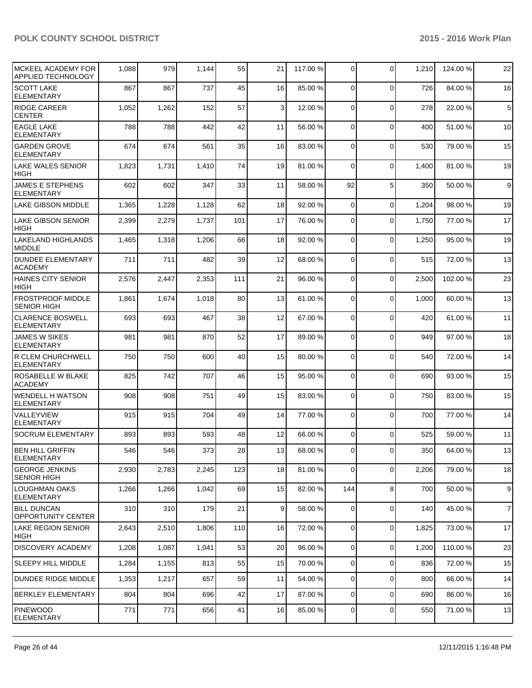| MCKEEL ACADEMY FOR<br><b>APPLIED TECHNOLOGY</b> | 1,088 | 979   | 1,144 | 55  | 21              | 117.00 % | $\overline{0}$ | $\mathbf{0}$ | 1,210 | 124.00%  | 22             |
|-------------------------------------------------|-------|-------|-------|-----|-----------------|----------|----------------|--------------|-------|----------|----------------|
| <b>SCOTT LAKE</b><br><b>ELEMENTARY</b>          | 867   | 867   | 737   | 45  | 16              | 85.00 %  | $\Omega$       | $\Omega$     | 726   | 84.00%   | 16             |
| <b>RIDGE CAREER</b><br>ICENTER                  | 1,052 | 1,262 | 152   | 57  | $\overline{3}$  | 12.00 %  | $\Omega$       | $\mathbf{0}$ | 278   | 22.00 %  | 5              |
| <b>LEAGLE LAKE</b><br><b>ELEMENTARY</b>         | 788   | 788   | 442   | 42  | 11              | 56.00 %  | $\Omega$       | $\mathbf{0}$ | 400   | 51.00%   | 10             |
| <b>GARDEN GROVE</b><br><b>ELEMENTARY</b>        | 674   | 674   | 561   | 35  | 16              | 83.00 %  | $\Omega$       | $\Omega$     | 530   | 79.00 %  | 15             |
| LAKE WALES SENIOR<br><b>HIGH</b>                | 1,823 | 1,731 | 1,410 | 74  | 19              | 81.00 %  | $\Omega$       | $\Omega$     | 1,400 | 81.00%   | 19             |
| <b>JAMES E STEPHENS</b><br><b>ELEMENTARY</b>    | 602   | 602   | 347   | 33  | 11              | 58.00 %  | 92             | 5            | 350   | 50.00 %  | 9 <sup>°</sup> |
| <b>LAKE GIBSON MIDDLE</b>                       | 1,365 | 1,228 | 1,128 | 62  | 18              | 92.00 %  | $\Omega$       | $\mathbf{0}$ | 1,204 | 98.00%   | 19             |
| <b>LAKE GIBSON SENIOR</b><br><b>HIGH</b>        | 2,399 | 2,279 | 1,737 | 101 | 17              | 76.00 %  | $\overline{0}$ | $\mathbf{0}$ | 1,750 | 77.00 %  | 17             |
| <b>LAKELAND HIGHLANDS</b><br><b>MIDDLE</b>      | 1,465 | 1,318 | 1,206 | 66  | 18              | 92.00 %  | $\Omega$       | $\Omega$     | 1,250 | 95.00 %  | 19             |
| <b>DUNDEE ELEMENTARY</b><br><b>ACADEMY</b>      | 711   | 711   | 482   | 39  | 12              | 68.00 %  | $\Omega$       | 0            | 515   | 72.00 %  | 13             |
| <b>HAINES CITY SENIOR</b><br><b>HIGH</b>        | 2,576 | 2,447 | 2,353 | 111 | 21              | 96.00 %  | $\Omega$       | 0            | 2,500 | 102.00%  | 23             |
| <b>FROSTPROOF MIDDLE</b><br><b>SENIOR HIGH</b>  | 1,861 | 1,674 | 1,018 | 80  | 13              | 61.00%   | 0              | $\mathbf 0$  | 1,000 | 60.00%   | 13             |
| <b>CLARENCE BOSWELL</b><br><b>ELEMENTARY</b>    | 693   | 693   | 467   | 38  | 12              | 67.00 %  | $\Omega$       | 0            | 420   | 61.00%   | 11             |
| <b>JAMES W SIKES</b><br>ELEMENTARY              | 981   | 981   | 870   | 52  | 17              | 89.00 %  | $\Omega$       | 0            | 949   | 97.00 %  | 18             |
| R CLEM CHURCHWELL<br>ELEMENTARY                 | 750   | 750   | 600   | 40  | 15              | 80.00 %  | $\Omega$       | $\Omega$     | 540   | 72.00 %  | 14             |
| ROSABELLE W BLAKE<br><b>ACADEMY</b>             | 825   | 742   | 707   | 46  | 15              | 95.00 %  | $\Omega$       | $\mathbf 0$  | 690   | 93.00 %  | 15             |
| <b>WENDELL H WATSON</b><br><b>ELEMENTARY</b>    | 908   | 908   | 751   | 49  | 15              | 83.00 %  | $\Omega$       | $\mathbf 0$  | 750   | 83.00 %  | 15             |
| VALLEYVIEW<br><b>ELEMENTARY</b>                 | 915   | 915   | 704   | 49  | 14              | 77.00 %  | $\Omega$       | $\Omega$     | 700   | 77.00 %  | 14             |
| <b>SOCRUM ELEMENTARY</b>                        | 893   | 893   | 593   | 48  | 12              | 66.00 %  | $\Omega$       | $\Omega$     | 525   | 59.00 %  | 11             |
| <b>BEN HILL GRIFFIN</b><br><b>ELEMENTARY</b>    | 546   | 546   | 373   | 28  | 13              | 68.00 %  | $\Omega$       | $\Omega$     | 350   | 64.00%   | 13             |
| <b>GEORGE JENKINS</b><br><b>SENIOR HIGH</b>     | 2,930 | 2,783 | 2,245 | 123 | 18              | 81.00%   | $\Omega$       | 0            | 2,206 | 79.00 %  | 18             |
| LOUGHMAN OAKS<br><b>ELEMENTARY</b>              | 1,266 | 1,266 | 1,042 | 69  | 15              | 82.00 %  | 144            | 8            | 700   | 50.00 %  | 9              |
| <b>BILL DUNCAN</b><br><b>OPPORTUNITY CENTER</b> | 310   | 310   | 179   | 21  | 9 <sub>l</sub>  | 58.00 %  | $\overline{0}$ | 0            | 140   | 45.00 %  | $\overline{7}$ |
| <b>LAKE REGION SENIOR</b><br> HIGH              | 2,643 | 2,510 | 1,806 | 110 | 16              | 72.00 %  | $\overline{0}$ | 0            | 1,825 | 73.00 %  | 17             |
| <b>DISCOVERY ACADEMY</b>                        | 1,208 | 1,087 | 1,041 | 53  | 20 <sub>2</sub> | 96.00 %  | $\overline{0}$ | $\Omega$     | 1,200 | 110.00 % | 23             |
| <b>SLEEPY HILL MIDDLE</b>                       | 1,284 | 1,155 | 813   | 55  | 15              | 70.00 %  | $\overline{0}$ | 0            | 836   | 72.00 %  | 15             |
| DUNDEE RIDGE MIDDLE                             | 1,353 | 1,217 | 657   | 59  | 11              | 54.00 %  | $\overline{0}$ | 0            | 800   | 66.00 %  | 14             |
| <b>BERKLEY ELEMENTARY</b>                       | 804   | 804   | 696   | 42  | 17              | 87.00 %  | $\overline{0}$ | 0            | 690   | 86.00 %  | 16             |
| <b>PINEWOOD</b><br><b>ELEMENTARY</b>            | 771   | 771   | 656   | 41  | 16              | 85.00 %  | $\overline{0}$ | 0            | 550   | 71.00 %  | 13             |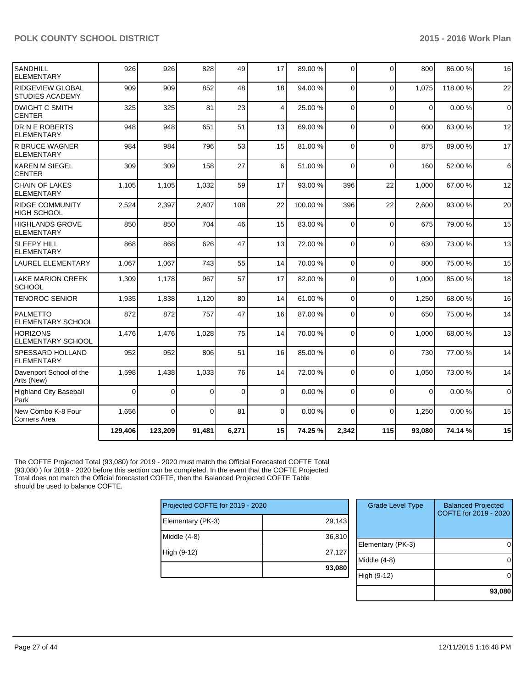| SANDHILL<br><b>ELEMENTARY</b>                     | 926      | 926      | 828      | 49       | 17       | 89.00 % | $\Omega$       | $\Omega$       | 800      | 86.00%  | 16             |
|---------------------------------------------------|----------|----------|----------|----------|----------|---------|----------------|----------------|----------|---------|----------------|
| <b>RIDGEVIEW GLOBAL</b><br><b>STUDIES ACADEMY</b> | 909      | 909      | 852      | 48       | 18       | 94.00 % | $\Omega$       | $\Omega$       | 1.075    | 118.00% | 22             |
| <b>DWIGHT C SMITH</b><br>ICENTER                  | 325      | 325      | 81       | 23       | 4        | 25.00 % | $\Omega$       | $\Omega$       | $\Omega$ | 0.00%   | $\overline{0}$ |
| <b>DR N E ROBERTS</b><br>IELEMENTARY              | 948      | 948      | 651      | 51       | 13       | 69.00 % | $\Omega$       | 0              | 600      | 63.00 % | 12             |
| <b>R BRUCE WAGNER</b><br><b>IELEMENTARY</b>       | 984      | 984      | 796      | 53       | 15       | 81.00 % | $\Omega$       | $\overline{0}$ | 875      | 89.00 % | 17             |
| KAREN M SIEGEL<br><b>CENTER</b>                   | 309      | 309      | 158      | 27       | 6        | 51.00 % | $\overline{0}$ | 0              | 160      | 52.00 % | $\,6$          |
| <b>CHAIN OF LAKES</b><br><b>ELEMENTARY</b>        | 1,105    | 1,105    | 1.032    | 59       | 17       | 93.00 % | 396            | 22             | 1.000    | 67.00%  | 12             |
| <b>RIDGE COMMUNITY</b><br><b>HIGH SCHOOL</b>      | 2,524    | 2,397    | 2,407    | 108      | 22       | 100.00% | 396            | 22             | 2,600    | 93.00 % | 20             |
| <b>HIGHLANDS GROVE</b><br>ELEMENTARY              | 850      | 850      | 704      | 46       | 15       | 83.00 % | $\Omega$       | $\Omega$       | 675      | 79.00 % | 15             |
| <b>SLEEPY HILL</b><br><b>ELEMENTARY</b>           | 868      | 868      | 626      | 47       | 13       | 72.00 % | $\Omega$       | $\Omega$       | 630      | 73.00 % | 13             |
| <b>LAUREL ELEMENTARY</b>                          | 1,067    | 1,067    | 743      | 55       | 14       | 70.00 % | $\Omega$       | $\mathbf 0$    | 800      | 75.00 % | 15             |
| <b>LAKE MARION CREEK</b><br><b>SCHOOL</b>         | 1,309    | 1,178    | 967      | 57       | 17       | 82.00 % | $\Omega$       | $\Omega$       | 1.000    | 85.00 % | 18             |
| <b>TENOROC SENIOR</b>                             | 1,935    | 1,838    | 1,120    | 80       | 14       | 61.00%  | $\Omega$       | $\mathbf 0$    | 1,250    | 68.00%  | 16             |
| <b>PALMETTO</b><br><b>ELEMENTARY SCHOOL</b>       | 872      | 872      | 757      | 47       | 16       | 87.00 % | $\Omega$       | $\Omega$       | 650      | 75.00 % | 14             |
| IHORIZONS<br>IELEMENTARY SCHOOL                   | 1,476    | 1,476    | 1,028    | 75       | 14       | 70.00 % | $\Omega$       | 0              | 1,000    | 68.00 % | 13             |
| <b>SPESSARD HOLLAND</b><br><b>ELEMENTARY</b>      | 952      | 952      | 806      | 51       | 16       | 85.00 % | $\Omega$       | 0              | 730      | 77.00 % | 14             |
| Davenport School of the<br>Arts (New)             | 1,598    | 1,438    | 1,033    | 76       | 14       | 72.00 % | $\overline{0}$ | $\overline{0}$ | 1,050    | 73.00 % | 14             |
| Highland City Baseball<br>Park                    | $\Omega$ | $\Omega$ | $\Omega$ | $\Omega$ | $\Omega$ | 0.00%   | $\Omega$       | $\Omega$       | $\Omega$ | 0.00%   | $\mathbf 0$    |
| New Combo K-8 Four<br><b>Corners Area</b>         | 1,656    | $\Omega$ | $\Omega$ | 81       | $\Omega$ | 0.00%   | $\Omega$       | $\Omega$       | 1,250    | 0.00%   | 15             |
|                                                   | 129,406  | 123,209  | 91,481   | 6,271    | 15       | 74.25 % | 2,342          | 115            | 93,080   | 74.14 % | 15             |

The COFTE Projected Total (93,080) for 2019 - 2020 must match the Official Forecasted COFTE Total (93,080 ) for 2019 - 2020 before this section can be completed. In the event that the COFTE Projected Total does not match the Official forecasted COFTE, then the Balanced Projected COFTE Table should be used to balance COFTE.

| Projected COFTE for 2019 - 2020 |        |
|---------------------------------|--------|
| Elementary (PK-3)               | 29,143 |
| Middle $(4-8)$                  | 36,810 |
| High (9-12)                     | 27,127 |
|                                 | 93,080 |

| <b>Grade Level Type</b> | <b>Balanced Projected</b><br>COFTE for 2019 - 2020 |
|-------------------------|----------------------------------------------------|
| Elementary (PK-3)       |                                                    |
| Middle $(4-8)$          |                                                    |
| High (9-12)             |                                                    |
|                         | 93,080                                             |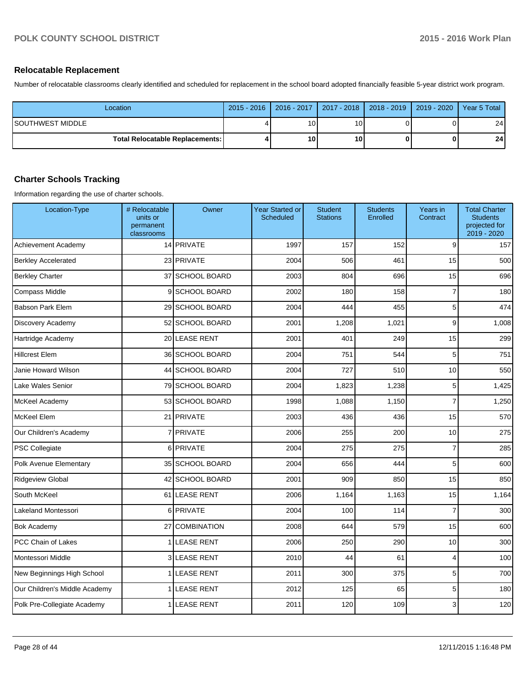#### **Relocatable Replacement**

Number of relocatable classrooms clearly identified and scheduled for replacement in the school board adopted financially feasible 5-year district work program.

| Location                                 |   | 2015 - 2016   2016 - 2017   2017 - 2018   2018 - 2019   2019 - 2020   Year 5 Total |                 |  |                 |
|------------------------------------------|---|------------------------------------------------------------------------------------|-----------------|--|-----------------|
| ISOUTHWEST MIDDLE                        | д | 10 <sup>1</sup>                                                                    | 10.             |  | 24 <sub>l</sub> |
| <b>Total Relocatable Replacements: I</b> |   | 10                                                                                 | 10 <sub>1</sub> |  | 24 <sup>1</sup> |

### **Charter Schools Tracking**

Information regarding the use of charter schools.

| Location-Type                 | # Relocatable<br>units or<br>permanent<br>classrooms | Owner               | Year Started or<br>Scheduled | <b>Student</b><br><b>Stations</b> | <b>Students</b><br>Enrolled | Years in<br>Contract | <b>Total Charter</b><br><b>Students</b><br>projected for<br>2019 - 2020 |
|-------------------------------|------------------------------------------------------|---------------------|------------------------------|-----------------------------------|-----------------------------|----------------------|-------------------------------------------------------------------------|
| Achievement Academy           |                                                      | 14 PRIVATE          | 1997                         | 157                               | 152                         | 9                    | 157                                                                     |
| <b>Berkley Accelerated</b>    |                                                      | 23 PRIVATE          | 2004                         | 506                               | 461                         | 15                   | 500                                                                     |
| <b>Berkley Charter</b>        | 37                                                   | <b>SCHOOL BOARD</b> | 2003                         | 804                               | 696                         | 15                   | 696                                                                     |
| <b>Compass Middle</b>         | 9                                                    | <b>SCHOOL BOARD</b> | 2002                         | 180                               | 158                         | $\overline{7}$       | 180                                                                     |
| <b>Babson Park Elem</b>       |                                                      | 29 SCHOOL BOARD     | 2004                         | 444                               | 455                         | 5                    | 474                                                                     |
| Discovery Academy             |                                                      | 52 SCHOOL BOARD     | 2001                         | 1,208                             | 1,021                       | 9                    | 1,008                                                                   |
| Hartridge Academy             |                                                      | 20 LEASE RENT       | 2001                         | 401                               | 249                         | 15                   | 299                                                                     |
| <b>Hillcrest Elem</b>         |                                                      | 36 SCHOOL BOARD     | 2004                         | 751                               | 544                         | 5                    | 751                                                                     |
| Janie Howard Wilson           |                                                      | 44 SCHOOL BOARD     | 2004                         | 727                               | 510                         | 10                   | 550                                                                     |
| Lake Wales Senior             |                                                      | 79 SCHOOL BOARD     | 2004                         | 1,823                             | 1,238                       | 5                    | 1,425                                                                   |
| McKeel Academy                |                                                      | 53 SCHOOL BOARD     | 1998                         | 1,088                             | 1,150                       | $\overline{7}$       | 1,250                                                                   |
| McKeel Elem                   | 21                                                   | <b>PRIVATE</b>      | 2003                         | 436                               | 436                         | 15                   | 570                                                                     |
| Our Children's Academy        |                                                      | 7 PRIVATE           | 2006                         | 255                               | 200                         | 10                   | 275                                                                     |
| <b>PSC Collegiate</b>         | 6                                                    | <b>PRIVATE</b>      | 2004                         | 275                               | 275                         | $\boldsymbol{7}$     | 285                                                                     |
| Polk Avenue Elementary        |                                                      | 35 SCHOOL BOARD     | 2004                         | 656                               | 444                         | 5                    | 600                                                                     |
| Ridgeview Global              |                                                      | 42 SCHOOL BOARD     | 2001                         | 909                               | 850                         | 15                   | 850                                                                     |
| South McKeel                  |                                                      | 61 LEASE RENT       | 2006                         | 1,164                             | 1,163                       | 15                   | 1,164                                                                   |
| Lakeland Montessori           | 6                                                    | PRIVATE             | 2004                         | 100                               | 114                         | $\overline{7}$       | 300                                                                     |
| <b>Bok Academy</b>            | 27                                                   | <b>COMBINATION</b>  | 2008                         | 644                               | 579                         | 15                   | 600                                                                     |
| PCC Chain of Lakes            |                                                      | 1 LEASE RENT        | 2006                         | 250                               | 290                         | 10                   | 300                                                                     |
| Montessori Middle             |                                                      | 3 LEASE RENT        | 2010                         | 44                                | 61                          | 4                    | 100                                                                     |
| New Beginnings High School    |                                                      | <b>LEASE RENT</b>   | 2011                         | 300                               | 375                         | 5                    | 700                                                                     |
| Our Children's Middle Academy |                                                      | <b>LEASE RENT</b>   | 2012                         | 125                               | 65                          | 5                    | 180                                                                     |
| Polk Pre-Collegiate Academy   |                                                      | <b>LEASE RENT</b>   | 2011                         | 120                               | 109                         | 3                    | 120                                                                     |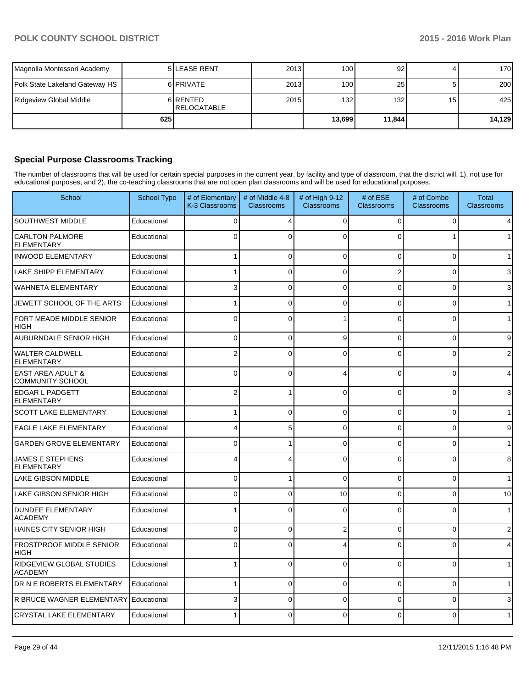| Magnolia Montessori Academy    |     | <b>5ILEASE RENT</b>             | 2013 | 100 <sub>l</sub> | 92     |                 | 170    |
|--------------------------------|-----|---------------------------------|------|------------------|--------|-----------------|--------|
| Polk State Lakeland Gateway HS |     | 6 <b>PRIVATE</b>                | 2013 | 100 <sup>1</sup> | 25     |                 | 200    |
| Ridgeview Global Middle        |     | 6 RENTED<br><b>IRELOCATABLE</b> | 2015 | 132 <sub>l</sub> | 132    | 15 <sup>1</sup> | 425    |
|                                | 625 |                                 |      | 13.6991          | 11,844 |                 | 14,129 |

## **Special Purpose Classrooms Tracking**

The number of classrooms that will be used for certain special purposes in the current year, by facility and type of classroom, that the district will, 1), not use for educational purposes, and 2), the co-teaching classrooms that are not open plan classrooms and will be used for educational purposes.

| School                                                  | <b>School Type</b> | # of Elementary<br>K-3 Classrooms | # of Middle 4-8<br><b>Classrooms</b> | # of High 9-12<br>Classrooms | # of ESE<br><b>Classrooms</b> | # of Combo<br><b>Classrooms</b> | Total<br>Classrooms |
|---------------------------------------------------------|--------------------|-----------------------------------|--------------------------------------|------------------------------|-------------------------------|---------------------------------|---------------------|
| SOUTHWEST MIDDLE                                        | Educational        | 0                                 | 4                                    | 0                            | $\Omega$                      | $\Omega$                        | 4                   |
| <b>CARLTON PALMORE</b><br><b>ELEMENTARY</b>             | Educational        | $\Omega$                          | $\Omega$                             | C                            | $\Omega$                      |                                 |                     |
| <b>INWOOD ELEMENTARY</b>                                | Educational        |                                   | $\Omega$                             | $\Omega$                     | $\Omega$                      | $\Omega$                        | 1                   |
| LAKE SHIPP ELEMENTARY                                   | Educational        |                                   | $\Omega$                             | 0                            | 2                             | $\Omega$                        | 3                   |
| <b>WAHNETA ELEMENTARY</b>                               | Educational        | 3                                 | $\overline{0}$                       | $\Omega$                     | $\Omega$                      | $\overline{0}$                  | 3                   |
| JEWETT SCHOOL OF THE ARTS                               | Educational        |                                   | $\overline{0}$                       | $\Omega$                     | $\Omega$                      | $\Omega$                        |                     |
| FORT MEADE MIDDLE SENIOR<br><b>HIGH</b>                 | Educational        | $\mathbf{0}$                      | $\Omega$                             |                              | $\mathbf{0}$                  | $\Omega$                        |                     |
| AUBURNDALE SENIOR HIGH                                  | Educational        | $\Omega$                          | $\Omega$                             | 9                            | $\Omega$                      | $\Omega$                        | 9                   |
| <b>WALTER CALDWELL</b><br><b>ELEMENTARY</b>             | Educational        | 2                                 | 0                                    | C                            | 0                             | ŋ                               | 2                   |
| <b>EAST AREA ADULT &amp;</b><br><b>COMMUNITY SCHOOL</b> | Educational        | $\Omega$                          | $\Omega$                             | 4                            | $\Omega$                      | $\Omega$                        | 4                   |
| <b>EDGAR L PADGETT</b><br><b>ELEMENTARY</b>             | Educational        | 2                                 |                                      | $\Omega$                     | $\Omega$                      | $\Omega$                        | 3                   |
| <b>SCOTT LAKE ELEMENTARY</b>                            | Educational        |                                   | $\Omega$                             | 0                            | $\Omega$                      | $\Omega$                        |                     |
| <b>EAGLE LAKE ELEMENTARY</b>                            | Educational        |                                   | 5                                    | 0                            | $\Omega$                      | $\Omega$                        | 9                   |
| <b>GARDEN GROVE ELEMENTARY</b>                          | Educational        | $\Omega$                          |                                      | $\Omega$                     | $\Omega$                      | $\Omega$                        |                     |
| <b>JAMES E STEPHENS</b><br><b>ELEMENTARY</b>            | Educational        |                                   |                                      | C                            | $\Omega$                      | $\Omega$                        | 8                   |
| <b>LAKE GIBSON MIDDLE</b>                               | Educational        | $\Omega$                          |                                      | $\Omega$                     | $\Omega$                      | $\Omega$                        | 1                   |
| <b>LAKE GIBSON SENIOR HIGH</b>                          | Educational        | $\Omega$                          | 0                                    | 10                           | 0                             | 0                               | 10                  |
| <b>DUNDEE ELEMENTARY</b><br><b>ACADEMY</b>              | Educational        |                                   | $\Omega$                             | $\Omega$                     | $\Omega$                      | $\Omega$                        | 1                   |
| HAINES CITY SENIOR HIGH                                 | Educational        | 0                                 | 0                                    | 2                            | $\Omega$                      | 0                               | 2                   |
| <b>FROSTPROOF MIDDLE SENIOR</b><br><b>HIGH</b>          | Educational        | $\Omega$                          | $\overline{0}$                       |                              | $\Omega$                      | $\Omega$                        | 4                   |
| <b>RIDGEVIEW GLOBAL STUDIES</b><br><b>ACADEMY</b>       | Educational        |                                   | $\Omega$                             | $\Omega$                     | $\Omega$                      | $\Omega$                        | 1                   |
| DR N E ROBERTS ELEMENTARY                               | Educational        |                                   | $\overline{0}$                       | 0                            | $\Omega$                      | $\overline{0}$                  |                     |
| R BRUCE WAGNER ELEMENTARY                               | Educational        | 3                                 | 0                                    | 0                            | $\Omega$                      | $\Omega$                        | 3                   |
| <b>CRYSTAL LAKE ELEMENTARY</b>                          | Educational        |                                   | 0                                    | C                            | U                             | $\Omega$                        | 1                   |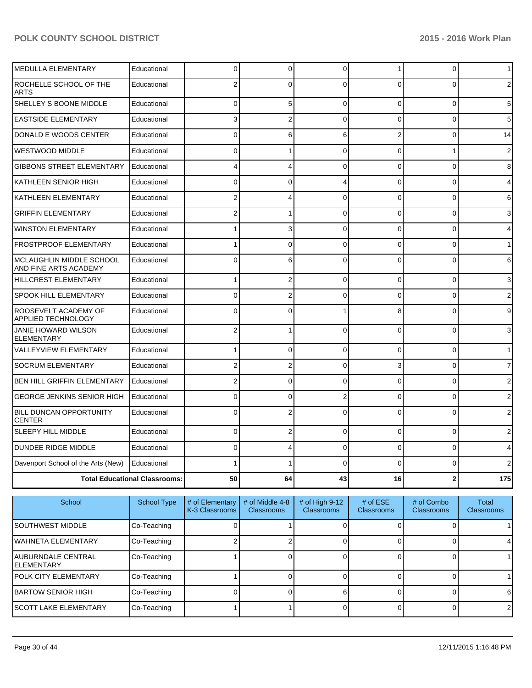| <b>MEDULLA ELEMENTARY</b>                         | Educational                          | 0              | 0              | $\mathbf 0$    |                | $\mathbf 0$    | 1                       |
|---------------------------------------------------|--------------------------------------|----------------|----------------|----------------|----------------|----------------|-------------------------|
| ROCHELLE SCHOOL OF THE<br><b>ARTS</b>             | Educational                          | 2              | $\Omega$       | $\Omega$       | 0              | 0              | 2                       |
| SHELLEY S BOONE MIDDLE                            | Educational                          | 0              | 5              | $\Omega$       | 0              | $\overline{0}$ | 5                       |
| <b>EASTSIDE ELEMENTARY</b>                        | Educational                          | 3              | 2              | $\Omega$       | 0              | 0              | 5                       |
| DONALD E WOODS CENTER                             | Educational                          | 0              | 6              | 6              | 2              | 0              | 14                      |
| <b>WESTWOOD MIDDLE</b>                            | Educational                          | 0              |                | $\Omega$       | 0              | $\mathbf{1}$   | $\overline{\mathbf{c}}$ |
| <b>GIBBONS STREET ELEMENTARY</b>                  | Educational                          | 4              | 4              | $\Omega$       | 0              | 0              | 8                       |
| KATHLEEN SENIOR HIGH                              | Educational                          | 0              | $\Omega$       |                | $\Omega$       | $\mathbf 0$    | 4                       |
| KATHLEEN ELEMENTARY                               | Educational                          | 2              | 4              | $\Omega$       | 0              | $\mathbf{0}$   | 6                       |
| <b>GRIFFIN ELEMENTARY</b>                         | Educational                          | $\overline{2}$ |                | $\Omega$       | 0              | $\Omega$       | $\overline{3}$          |
| <b>WINSTON ELEMENTARY</b>                         | Educational                          |                | 3              | $\Omega$       | 0              | 0              | 4                       |
| <b>FROSTPROOF ELEMENTARY</b>                      | Educational                          |                | 0              | $\Omega$       | $\Omega$       | $\mathbf{0}$   | $\mathbf{1}$            |
| MCLAUGHLIN MIDDLE SCHOOL<br>AND FINE ARTS ACADEMY | Educational                          | $\mathbf{0}$   | 6              | $\Omega$       | 0              | 0              | 6                       |
| <b>HILLCREST ELEMENTARY</b>                       | Educational                          | 1              | $\overline{2}$ | $\Omega$       | $\Omega$       | $\Omega$       | 3                       |
| <b>SPOOK HILL ELEMENTARY</b>                      | Educational                          | $\Omega$       | $\overline{2}$ | $\Omega$       | 0              | $\Omega$       | $\overline{2}$          |
| ROOSEVELT ACADEMY OF<br>APPLIED TECHNOLOGY        | Educational                          | $\mathbf{0}$   | $\mathbf{0}$   |                | 8              | 0              | $\overline{9}$          |
| JANIE HOWARD WILSON<br><b>ELEMENTARY</b>          | Educational                          | 2              |                | $\Omega$       | 0              | 0              | 3                       |
| <b>VALLEYVIEW ELEMENTARY</b>                      | Educational                          | 1              | $\Omega$       | $\Omega$       | $\Omega$       | $\mathbf{0}$   | $\mathbf{1}$            |
| <b>SOCRUM ELEMENTARY</b>                          | Educational                          | 2              | 2              | $\Omega$       | 3              | 0              | $\overline{7}$          |
| BEN HILL GRIFFIN ELEMENTARY                       | Educational                          | 2              | 0              | $\Omega$       | 0              | 0              | $\overline{2}$          |
| GEORGE JENKINS SENIOR HIGH                        | Educational                          | 0              | 0              | $\overline{2}$ | $\overline{0}$ | 0              | $\overline{2}$          |
| <b>BILL DUNCAN OPPORTUNITY</b><br><b>CENTER</b>   | Educational                          | $\Omega$       | 2              | $\Omega$       | 0              | $\overline{0}$ | $\overline{2}$          |
| SLEEPY HILL MIDDLE                                | Educational                          | 0              | 2              | $\Omega$       | 0              | 0              | 2                       |
| <b>DUNDEE RIDGE MIDDLE</b>                        | Educational                          | 0              | 4              | $\Omega$       | $\overline{0}$ | 0              | 4                       |
| Davenport School of the Arts (New)                | Educational                          |                |                | $\Omega$       | $\Omega$       | $\overline{0}$ | $\overline{2}$          |
|                                                   | <b>Total Educational Classrooms:</b> | 50             | 64             | 43             | 16             | $\mathbf 2$    | 175                     |

| School                                           | <b>School Type</b> | # of Elementary<br>K-3 Classrooms | # of Middle 4-8<br><b>Classrooms</b> | # of High $9-12$<br><b>Classrooms</b> | $#$ of ESE<br><b>Classrooms</b> | # of Combo<br><b>Classrooms</b> | Total<br><b>Classrooms</b> |
|--------------------------------------------------|--------------------|-----------------------------------|--------------------------------------|---------------------------------------|---------------------------------|---------------------------------|----------------------------|
| <b>ISOUTHWEST MIDDLE</b>                         | Co-Teaching        |                                   |                                      |                                       |                                 |                                 |                            |
| <b>IWAHNETA ELEMENTARY</b>                       | Co-Teaching        |                                   |                                      |                                       |                                 |                                 |                            |
| <b>IAUBURNDALE CENTRAL</b><br><b>IELEMENTARY</b> | Co-Teaching        |                                   |                                      |                                       |                                 |                                 |                            |
| <b>IPOLK CITY ELEMENTARY</b>                     | Co-Teaching        |                                   |                                      |                                       |                                 |                                 |                            |
| <b>IBARTOW SENIOR HIGH</b>                       | Co-Teaching        |                                   |                                      |                                       |                                 |                                 | 6                          |
| ISCOTT LAKE ELEMENTARY                           | Co-Teaching        |                                   |                                      |                                       |                                 |                                 | $\overline{2}$             |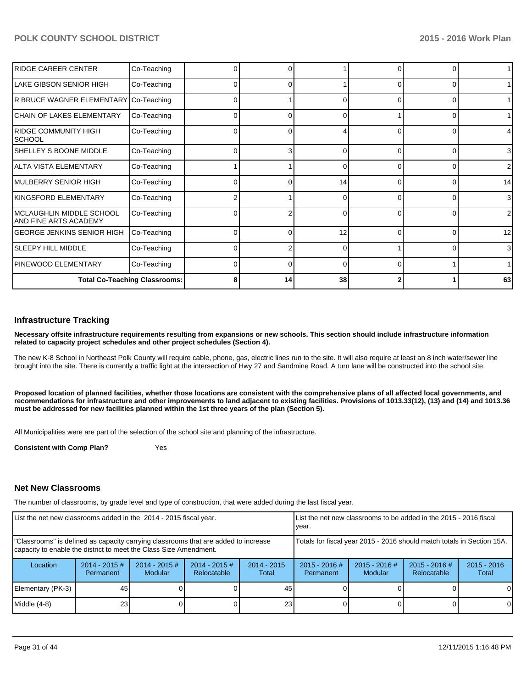| <b>IRIDGE CAREER CENTER</b>                       | Co-Teaching                          |   |    |    |          |          |                |
|---------------------------------------------------|--------------------------------------|---|----|----|----------|----------|----------------|
| LAKE GIBSON SENIOR HIGH                           | Co-Teaching                          |   |    |    | 0        |          |                |
| R BRUCE WAGNER ELEMENTARY Co-Teaching             |                                      |   |    | U  | $\Omega$ | 0        | 1              |
| ICHAIN OF LAKES ELEMENTARY                        | Co-Teaching                          |   |    | 0  |          |          |                |
| RIDGE COMMUNITY HIGH<br>Ischool                   | Co-Teaching                          |   |    |    | ∩        |          | 4              |
| ISHELLEY S BOONE MIDDLE                           | Co-Teaching                          | 0 |    | O  | 0        |          | 3 <sup>1</sup> |
| lalta vista elementary                            | Co-Teaching                          |   |    | U  | $\Omega$ | $\Omega$ | $\overline{2}$ |
| IMULBERRY SENIOR HIGH                             | Co-Teaching                          |   |    | 14 | $\Omega$ |          | 14             |
| KINGSFORD ELEMENTARY                              | Co-Teaching                          |   |    |    |          |          | $\overline{3}$ |
| MCLAUGHLIN MIDDLE SCHOOL<br>AND FINE ARTS ACADEMY | Co-Teaching                          |   |    | 0  | $\Omega$ |          | $\overline{2}$ |
| GEORGE JENKINS SENIOR HIGH                        | Co-Teaching                          |   | ∩  | 12 | $\Omega$ | $\Omega$ | 12             |
| <b>SLEEPY HILL MIDDLE</b>                         | Co-Teaching                          |   |    | 0  |          |          | 3 <sup>l</sup> |
| <b>PINEWOOD ELEMENTARY</b>                        | Co-Teaching                          |   |    | ∩  |          |          |                |
|                                                   | <b>Total Co-Teaching Classrooms:</b> | Я | 14 | 38 |          |          | 63             |

#### **Infrastructure Tracking**

**Necessary offsite infrastructure requirements resulting from expansions or new schools. This section should include infrastructure information related to capacity project schedules and other project schedules (Section 4).**

The new K-8 School in Northeast Polk County will require cable, phone, gas, electric lines run to the site. It will also require at least an 8 inch water/sewer line brought into the site. There is currently a traffic light at the intersection of Hwy 27 and Sandmine Road. A turn lane will be constructed into the school site.

**Proposed location of planned facilities, whether those locations are consistent with the comprehensive plans of all affected local governments, and recommendations for infrastructure and other improvements to land adjacent to existing facilities. Provisions of 1013.33(12), (13) and (14) and 1013.36 must be addressed for new facilities planned within the 1st three years of the plan (Section 5).**

All Municipalities were are part of the selection of the school site and planning of the infrastructure.

**Consistent with Comp Plan?** Yes

#### **Net New Classrooms**

The number of classrooms, by grade level and type of construction, that were added during the last fiscal year.

| List the net new classrooms added in the 2014 - 2015 fiscal year.                                                                                       |                               |                                   |                                                                        | Llist the net new classrooms to be added in the 2015 - 2016 fiscal<br>Ivear. |                              |                            |                                       |                        |
|---------------------------------------------------------------------------------------------------------------------------------------------------------|-------------------------------|-----------------------------------|------------------------------------------------------------------------|------------------------------------------------------------------------------|------------------------------|----------------------------|---------------------------------------|------------------------|
| "Classrooms" is defined as capacity carrying classrooms that are added to increase<br>capacity to enable the district to meet the Class Size Amendment. |                               |                                   | Totals for fiscal year 2015 - 2016 should match totals in Section 15A. |                                                                              |                              |                            |                                       |                        |
| Location                                                                                                                                                | $2014 - 2015 \#$<br>Permanent | $2014 - 2015$ #<br><b>Modular</b> | $2014 - 2015$ #<br>Relocatable                                         | $2014 - 2015$<br>Total                                                       | $2015 - 2016$ #<br>Permanent | $2015 - 2016$ #<br>Modular | $2015 - 2016$ #<br><b>Relocatable</b> | $2015 - 2016$<br>Total |
| Elementary (PK-3)                                                                                                                                       | 45                            |                                   |                                                                        | 45                                                                           |                              |                            |                                       | $\Omega$               |
| Middle (4-8)                                                                                                                                            | 23                            |                                   |                                                                        | 23                                                                           |                              |                            |                                       | $\overline{0}$         |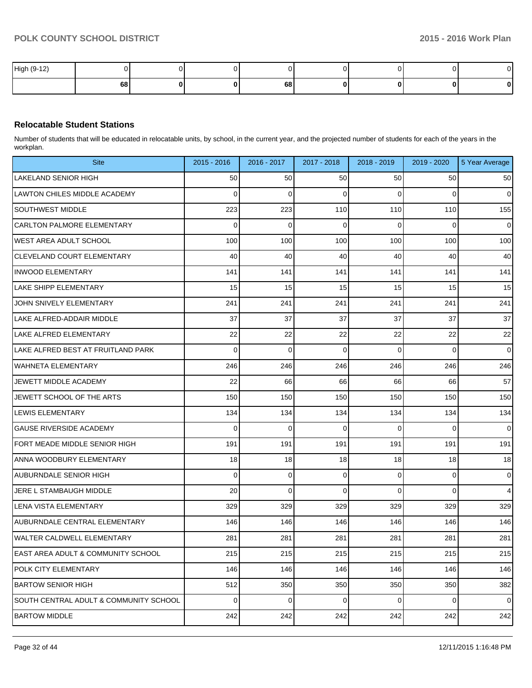| High (9-12) |    |  |    |  | $\sim$ |
|-------------|----|--|----|--|--------|
|             | 68 |  | 68 |  | 0      |

## **Relocatable Student Stations**

Number of students that will be educated in relocatable units, by school, in the current year, and the projected number of students for each of the years in the workplan.

| <b>Site</b>                            | $2015 - 2016$  | 2016 - 2017 | 2017 - 2018 | 2018 - 2019    | 2019 - 2020    | 5 Year Average |
|----------------------------------------|----------------|-------------|-------------|----------------|----------------|----------------|
| <b>LAKELAND SENIOR HIGH</b>            | 50             | 50          | 50          | 50             | 50             | 50             |
| <b>LAWTON CHILES MIDDLE ACADEMY</b>    | 0              | 0           | 0           | 0              | 0              | $\overline{0}$ |
| <b>SOUTHWEST MIDDLE</b>                | 223            | 223         | 110         | 110            | 110            | 155            |
| <b>CARLTON PALMORE ELEMENTARY</b>      | $\mathbf 0$    | 0           | 0           | $\Omega$       | 0              | $\overline{0}$ |
| <b>WEST AREA ADULT SCHOOL</b>          | 100            | 100         | 100         | 100            | 100            | 100            |
| <b>CLEVELAND COURT ELEMENTARY</b>      | 40             | 40          | 40          | 40             | 40             | 40             |
| <b>INWOOD ELEMENTARY</b>               | 141            | 141         | 141         | 141            | 141            | 141            |
| <b>LAKE SHIPP ELEMENTARY</b>           | 15             | 15          | 15          | 15             | 15             | 15             |
| JOHN SNIVELY ELEMENTARY                | 241            | 241         | 241         | 241            | 241            | 241            |
| LAKE ALFRED-ADDAIR MIDDLE              | 37             | 37          | 37          | 37             | 37             | 37             |
| LAKE ALFRED ELEMENTARY                 | 22             | 22          | 22          | 22             | 22             | 22             |
| LAKE ALFRED BEST AT FRUITLAND PARK     | $\mathbf 0$    | $\mathbf 0$ | $\mathbf 0$ | 0              | 0              | $\overline{0}$ |
| <b>WAHNETA ELEMENTARY</b>              | 246            | 246         | 246         | 246            | 246            | 246            |
| JEWETT MIDDLE ACADEMY                  | 22             | 66          | 66          | 66             | 66             | 57             |
| JEWETT SCHOOL OF THE ARTS              | 150            | 150         | 150         | 150            | 150            | 150            |
| <b>LEWIS ELEMENTARY</b>                | 134            | 134         | 134         | 134            | 134            | 134            |
| <b>GAUSE RIVERSIDE ACADEMY</b>         | $\mathbf 0$    | 0           | 0           | 0              | 0              | $\overline{0}$ |
| FORT MEADE MIDDLE SENIOR HIGH          | 191            | 191         | 191         | 191            | 191            | 191            |
| ANNA WOODBURY ELEMENTARY               | 18             | 18          | 18          | 18             | 18             | 18             |
| <b>AUBURNDALE SENIOR HIGH</b>          | $\mathbf 0$    | 0           | 0           | 0              | 0              | $\mathbf 0$    |
| JERE L STAMBAUGH MIDDLE                | 20             | 0           | $\Omega$    | 0              | 0              | 4              |
| LENA VISTA ELEMENTARY                  | 329            | 329         | 329         | 329            | 329            | 329            |
| <b>AUBURNDALE CENTRAL ELEMENTARY</b>   | 146            | 146         | 146         | 146            | 146            | 146            |
| <b>WALTER CALDWELL ELEMENTARY</b>      | 281            | 281         | 281         | 281            | 281            | 281            |
| EAST AREA ADULT & COMMUNITY SCHOOL     | 215            | 215         | 215         | 215            | 215            | 215            |
| POLK CITY ELEMENTARY                   | 146            | 146         | 146         | 146            | 146            | 146            |
| <b>BARTOW SENIOR HIGH</b>              | 512            | 350         | 350         | 350            | 350            | 382            |
| SOUTH CENTRAL ADULT & COMMUNITY SCHOOL | $\overline{0}$ | 0           | $\mathbf 0$ | $\overline{0}$ | $\overline{0}$ | $\mathbf 0$    |
| <b>BARTOW MIDDLE</b>                   | 242            | 242         | 242         | 242            | 242            | 242            |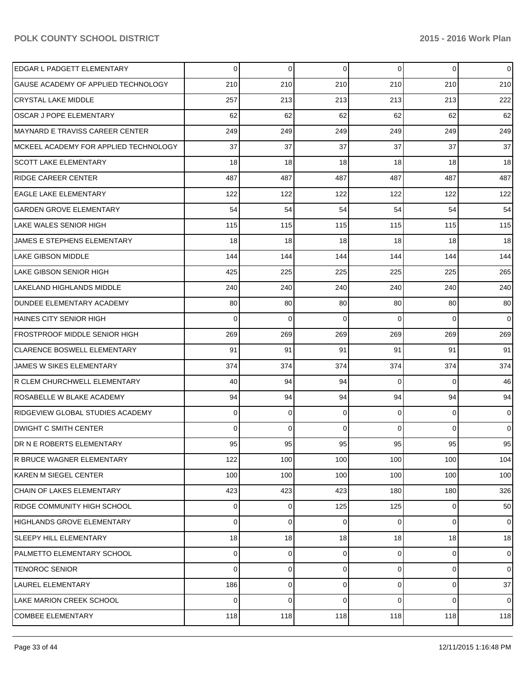| EDGAR L PADGETT ELEMENTARY             | 0   | 0   | $\mathbf 0$ | 0              | $\overline{0}$ | $\overline{0}$ |
|----------------------------------------|-----|-----|-------------|----------------|----------------|----------------|
| GAUSE ACADEMY OF APPLIED TECHNOLOGY    | 210 | 210 | 210         | 210            | 210            | 210            |
| <b>CRYSTAL LAKE MIDDLE</b>             | 257 | 213 | 213         | 213            | 213            | 222            |
| <b>OSCAR J POPE ELEMENTARY</b>         | 62  | 62  | 62          | 62             | 62             | 62             |
| <b>MAYNARD E TRAVISS CAREER CENTER</b> | 249 | 249 | 249         | 249            | 249            | 249            |
| MCKEEL ACADEMY FOR APPLIED TECHNOLOGY  | 37  | 37  | 37          | 37             | 37             | 37             |
| <b>SCOTT LAKE ELEMENTARY</b>           | 18  | 18  | 18          | 18             | 18             | 18             |
| <b>RIDGE CAREER CENTER</b>             | 487 | 487 | 487         | 487            | 487            | 487            |
| <b>EAGLE LAKE ELEMENTARY</b>           | 122 | 122 | 122         | 122            | 122            | 122            |
| <b>GARDEN GROVE ELEMENTARY</b>         | 54  | 54  | 54          | 54             | 54             | 54             |
| LAKE WALES SENIOR HIGH                 | 115 | 115 | 115         | 115            | 115            | 115            |
| JAMES E STEPHENS ELEMENTARY            | 18  | 18  | 18          | 18             | 18             | 18             |
| LAKE GIBSON MIDDLE                     | 144 | 144 | 144         | 144            | 144            | 144            |
| LAKE GIBSON SENIOR HIGH                | 425 | 225 | 225         | 225            | 225            | 265            |
| LAKELAND HIGHLANDS MIDDLE              | 240 | 240 | 240         | 240            | 240            | 240            |
| DUNDEE ELEMENTARY ACADEMY              | 80  | 80  | 80          | 80             | 80             | 80             |
| <b>HAINES CITY SENIOR HIGH</b>         | 0   | 0   | $\mathbf 0$ | $\Omega$       | 0              | $\overline{0}$ |
| <b>FROSTPROOF MIDDLE SENIOR HIGH</b>   | 269 | 269 | 269         | 269            | 269            | 269            |
| <b>CLARENCE BOSWELL ELEMENTARY</b>     | 91  | 91  | 91          | 91             | 91             | 91             |
| JAMES W SIKES ELEMENTARY               | 374 | 374 | 374         | 374            | 374            | 374            |
| R CLEM CHURCHWELL ELEMENTARY           | 40  | 94  | 94          | 0              | 0              | 46             |
| ROSABELLE W BLAKE ACADEMY              | 94  | 94  | 94          | 94             | 94             | 94             |
| RIDGEVIEW GLOBAL STUDIES ACADEMY       | 0   | 0   | 0           | 0              | 0              | $\overline{0}$ |
| DWIGHT C SMITH CENTER                  | 0   | 0   | $\Omega$    | $\Omega$       | $\overline{0}$ | $\overline{0}$ |
| DR N E ROBERTS ELEMENTARY              | 95  | 95  | 95          | 95             | 95             | 95             |
| R BRUCE WAGNER ELEMENTARY              | 122 | 100 | 100         | 100            | 100            | 104            |
| <b>KAREN M SIEGEL CENTER</b>           | 100 | 100 | 100         | 100            | 100            | 100            |
| CHAIN OF LAKES ELEMENTARY              | 423 | 423 | 423         | 180            | 180            | 326            |
| <b>RIDGE COMMUNITY HIGH SCHOOL</b>     | 0   | 0   | 125         | 125            | $\overline{0}$ | 50             |
| <b>HIGHLANDS GROVE ELEMENTARY</b>      | 0   | 0   | 0           | 0              | $\overline{0}$ | $\overline{0}$ |
| <b>SLEEPY HILL ELEMENTARY</b>          | 18  | 18  | 18          | 18             | 18             | 18             |
| PALMETTO ELEMENTARY SCHOOL             | 0   | 0   | $\mathbf 0$ | 0              | 0              | $\mathbf 0$    |
| <b>TENOROC SENIOR</b>                  | 0   | 0   | 0           | $\overline{0}$ | $\overline{0}$ | $\overline{0}$ |
| LAUREL ELEMENTARY                      | 186 | 0   | $\mathbf 0$ | $\overline{0}$ | $\overline{0}$ | 37             |
| LAKE MARION CREEK SCHOOL               | 0   | 0   | $\mathbf 0$ | 0              | $\overline{0}$ | $\overline{0}$ |
| <b>COMBEE ELEMENTARY</b>               | 118 | 118 | 118         | 118            | 118            | 118            |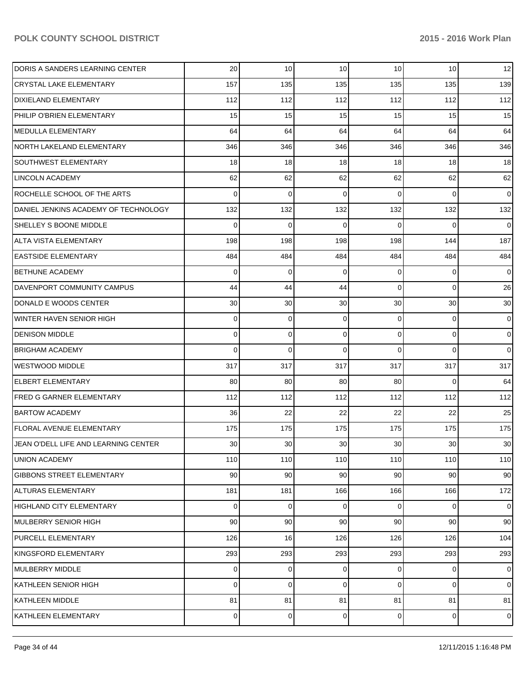| DORIS A SANDERS LEARNING CENTER      | 20              | 10  | 10  | 10              | 10             | 12              |
|--------------------------------------|-----------------|-----|-----|-----------------|----------------|-----------------|
| <b>CRYSTAL LAKE ELEMENTARY</b>       | 157             | 135 | 135 | 135             | 135            | 139             |
| DIXIELAND ELEMENTARY                 | 112             | 112 | 112 | 112             | 112            | 112             |
| PHILIP O'BRIEN ELEMENTARY            | 15              | 15  | 15  | 15              | 15             | 15              |
| MEDULLA ELEMENTARY                   | 64              | 64  | 64  | 64              | 64             | 64              |
| NORTH LAKELAND ELEMENTARY            | 346             | 346 | 346 | 346             | 346            | 346             |
| SOUTHWEST ELEMENTARY                 | 18              | 18  | 18  | 18              | 18             | 18              |
| LINCOLN ACADEMY                      | 62              | 62  | 62  | 62              | 62             | 62              |
| ROCHELLE SCHOOL OF THE ARTS          | 0               | 0   | 0   | $\Omega$        | $\Omega$       | $\overline{0}$  |
| DANIEL JENKINS ACADEMY OF TECHNOLOGY | 132             | 132 | 132 | 132             | 132            | 132             |
| SHELLEY S BOONE MIDDLE               | 0               | 0   | 0   | 0               | $\Omega$       | $\overline{0}$  |
| ALTA VISTA ELEMENTARY                | 198             | 198 | 198 | 198             | 144            | 187             |
| <b>EASTSIDE ELEMENTARY</b>           | 484             | 484 | 484 | 484             | 484            | 484             |
| <b>BETHUNE ACADEMY</b>               | 0               | 0   | 0   | 0               | 0              | $\overline{0}$  |
| DAVENPORT COMMUNITY CAMPUS           | 44              | 44  | 44  | $\Omega$        | 0              | 26              |
| DONALD E WOODS CENTER                | 30              | 30  | 30  | 30 <sup>°</sup> | 30             | 30 <sub>l</sub> |
| WINTER HAVEN SENIOR HIGH             | 0               | 0   | 0   | 0               | 0              | $\overline{0}$  |
| <b>DENISON MIDDLE</b>                | 0               | 0   | 0   | $\overline{0}$  | $\overline{0}$ | $\overline{0}$  |
| <b>BRIGHAM ACADEMY</b>               | 0               | 0   | 0   | $\Omega$        | $\Omega$       | $\overline{0}$  |
| <b>WESTWOOD MIDDLE</b>               | 317             | 317 | 317 | 317             | 317            | 317             |
| <b>ELBERT ELEMENTARY</b>             | 80              | 80  | 80  | 80              | $\Omega$       | 64              |
| <b>FRED G GARNER ELEMENTARY</b>      | 112             | 112 | 112 | 112             | 112            | 112             |
| <b>BARTOW ACADEMY</b>                | 36              | 22  | 22  | 22              | 22             | 25              |
| <b>FLORAL AVENUE ELEMENTARY</b>      | 175             | 175 | 175 | 175             | 175            | 175             |
| JEAN O'DELL LIFE AND LEARNING CENTER | 30              | 30  | 30  | 30 <sup>°</sup> | 30             | 30              |
| <b>UNION ACADEMY</b>                 | 110             | 110 | 110 | 110             | 110            | 110             |
| <b>GIBBONS STREET ELEMENTARY</b>     | 90 <sub>0</sub> | 90  | 90  | 90 <sub>1</sub> | 90             | 90 <sup>°</sup> |
| ALTURAS ELEMENTARY                   | 181             | 181 | 166 | 166             | 166            | 172             |
| HIGHLAND CITY ELEMENTARY             | $\overline{0}$  | 0   | 0   | $\overline{0}$  | $\overline{0}$ | $\overline{0}$  |
| MULBERRY SENIOR HIGH                 | 90              | 90  | 90  | 90              | 90             | 90 <sub>1</sub> |
| PURCELL ELEMENTARY                   | 126             | 16  | 126 | 126             | 126            | 104             |
| KINGSFORD ELEMENTARY                 | 293             | 293 | 293 | 293             | 293            | 293             |
| MULBERRY MIDDLE                      | 0               | 0   | 0   | $\overline{0}$  | $\overline{0}$ | $\overline{0}$  |
| KATHLEEN SENIOR HIGH                 | 0               | 0   | 0   | $\overline{0}$  | $\overline{0}$ | $\overline{0}$  |
| KATHLEEN MIDDLE                      | 81              | 81  | 81  | 81              | 81             | 81              |
| KATHLEEN ELEMENTARY                  | 0               | 0   | 0   | $\overline{0}$  | $\mathbf 0$    | $\overline{0}$  |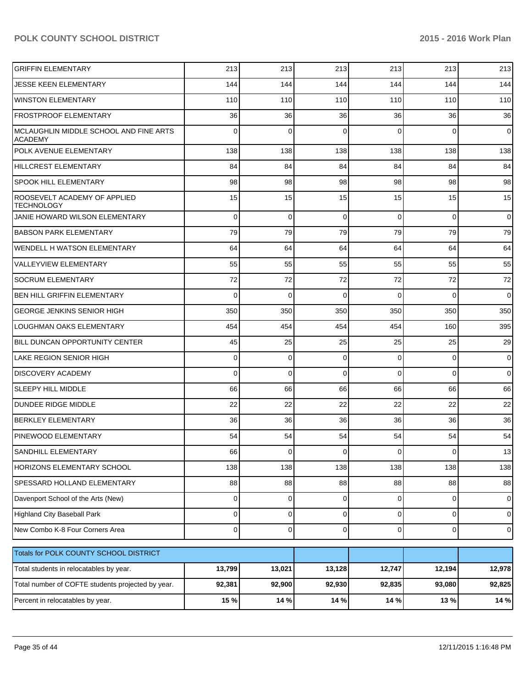| <b>GRIFFIN ELEMENTARY</b>                                | 213            | 213         | 213         | 213            | 213         | 213            |
|----------------------------------------------------------|----------------|-------------|-------------|----------------|-------------|----------------|
| <b>JESSE KEEN ELEMENTARY</b>                             | 144            | 144         | 144         | 144            | 144         | 144            |
| <b>WINSTON ELEMENTARY</b>                                | 110            | 110         | 110         | 110            | 110         | 110            |
| <b>FROSTPROOF ELEMENTARY</b>                             | 36             | 36          | 36          | 36             | 36          | 36             |
| MCLAUGHLIN MIDDLE SCHOOL AND FINE ARTS<br><b>ACADEMY</b> | $\Omega$       | $\Omega$    | 0           | $\Omega$       | $\Omega$    | $\overline{0}$ |
| POLK AVENUE ELEMENTARY                                   | 138            | 138         | 138         | 138            | 138         | 138            |
| <b>HILLCREST ELEMENTARY</b>                              | 84             | 84          | 84          | 84             | 84          | 84             |
| <b>SPOOK HILL ELEMENTARY</b>                             | 98             | 98          | 98          | 98             | 98          | 98             |
| ROOSEVELT ACADEMY OF APPLIED<br><b>TECHNOLOGY</b>        | 15             | 15          | 15          | 15             | 15          | 15             |
| JANIE HOWARD WILSON ELEMENTARY                           | $\Omega$       | $\Omega$    | $\mathbf 0$ | $\Omega$       | $\Omega$    | $\overline{0}$ |
| <b>BABSON PARK ELEMENTARY</b>                            | 79             | 79          | 79          | 79             | 79          | 79             |
| WENDELL H WATSON ELEMENTARY                              | 64             | 64          | 64          | 64             | 64          | 64             |
| <b>VALLEYVIEW ELEMENTARY</b>                             | 55             | 55          | 55          | 55             | 55          | 55             |
| <b>SOCRUM ELEMENTARY</b>                                 | 72             | 72          | 72          | 72             | 72          | 72             |
| <b>BEN HILL GRIFFIN ELEMENTARY</b>                       | 0              | 0           | $\Omega$    | $\Omega$       | $\Omega$    | $\overline{0}$ |
| <b>GEORGE JENKINS SENIOR HIGH</b>                        | 350            | 350         | 350         | 350            | 350         | 350            |
| LOUGHMAN OAKS ELEMENTARY                                 | 454            | 454         | 454         | 454            | 160         | 395            |
| BILL DUNCAN OPPORTUNITY CENTER                           | 45             | 25          | 25          | 25             | 25          | 29             |
| <b>LAKE REGION SENIOR HIGH</b>                           | 0              | 0           | 0           | $\Omega$       | $\mathbf 0$ | $\overline{0}$ |
| <b>DISCOVERY ACADEMY</b>                                 | $\Omega$       | $\mathbf 0$ | 0           | $\Omega$       | $\Omega$    | $\overline{0}$ |
| <b>SLEEPY HILL MIDDLE</b>                                | 66             | 66          | 66          | 66             | 66          | 66             |
| <b>DUNDEE RIDGE MIDDLE</b>                               | 22             | 22          | 22          | 22             | 22          | 22             |
| <b>BERKLEY ELEMENTARY</b>                                | 36             | 36          | 36          | 36             | 36          | 36             |
| PINEWOOD ELEMENTARY                                      | 54             | 54          | 54          | 54             | 54          | 54             |
| SANDHILL ELEMENTARY                                      | 66             | $\mathbf 0$ |             | $\overline{0}$ | 0           | 13             |
| HORIZONS ELEMENTARY SCHOOL                               | 138            | 138         | 138         | 138            | 138         | 138            |
| SPESSARD HOLLAND ELEMENTARY                              | 88             | 88          | 88          | 88             | 88          | 88             |
| Davenport School of the Arts (New)                       | $\overline{0}$ | $\mathbf 0$ | 0           | $\overline{0}$ | $\mathbf 0$ | $\overline{0}$ |
| Highland City Baseball Park                              | 0              | $\mathbf 0$ | 0           | $\overline{0}$ | $\mathbf 0$ | $\overline{0}$ |
| New Combo K-8 Four Corners Area                          | $\Omega$       | $\mathbf 0$ | 0           | $\overline{0}$ | $\mathbf 0$ | $\overline{0}$ |
| Totals for POLK COUNTY SCHOOL DISTRICT                   |                |             |             |                |             |                |
| Total students in relocatables by year.                  | 13,799         | 13,021      | 13,128      | 12,747         | 12,194      | 12,978         |
| Total number of COFTE students projected by year.        | 92,381         | 92,900      | 92,930      | 92,835         | 93,080      | 92,825         |
| Percent in relocatables by year.                         | 15 %           | 14 %        | 14 %        | 14 %           | 13%         | 14 %           |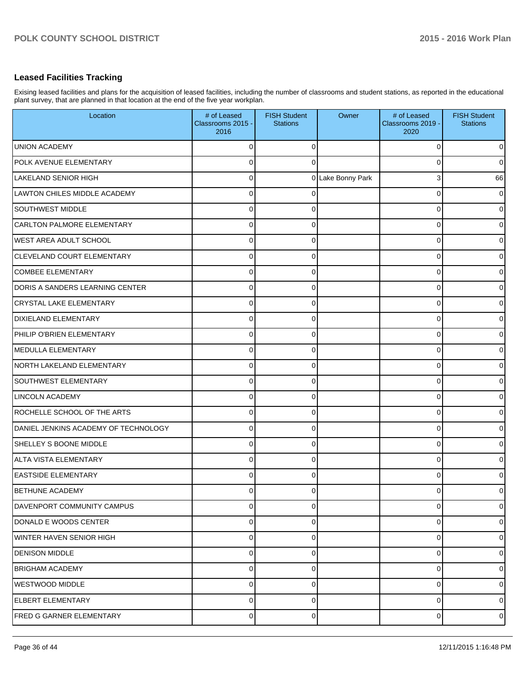## **Leased Facilities Tracking**

Exising leased facilities and plans for the acquisition of leased facilities, including the number of classrooms and student stations, as reported in the educational plant survey, that are planned in that location at the end of the five year workplan.

| Location                             | # of Leased<br>Classrooms 2015 -<br>2016 | <b>FISH Student</b><br><b>Stations</b> | Owner             | # of Leased<br>Classrooms 2019 -<br>2020 | <b>FISH Student</b><br><b>Stations</b> |
|--------------------------------------|------------------------------------------|----------------------------------------|-------------------|------------------------------------------|----------------------------------------|
| <b>UNION ACADEMY</b>                 | $\Omega$                                 | $\Omega$                               |                   | 0                                        | $\mathbf 0$                            |
| POLK AVENUE ELEMENTARY               | $\Omega$                                 | $\Omega$                               |                   | 0                                        | $\overline{0}$                         |
| LAKELAND SENIOR HIGH                 | $\Omega$                                 |                                        | 0 Lake Bonny Park | 3                                        | 66                                     |
| LAWTON CHILES MIDDLE ACADEMY         | $\Omega$                                 | $\Omega$                               |                   | 0                                        | $\overline{0}$                         |
| SOUTHWEST MIDDLE                     | $\Omega$                                 | $\Omega$                               |                   | 0                                        | $\overline{0}$                         |
| CARLTON PALMORE ELEMENTARY           | $\Omega$                                 | $\Omega$                               |                   | 0                                        | $\overline{0}$                         |
| WEST AREA ADULT SCHOOL               | 0                                        | $\Omega$                               |                   | 0                                        | $\overline{0}$                         |
| CLEVELAND COURT ELEMENTARY           | 0                                        | $\Omega$                               |                   | 0                                        | $\overline{0}$                         |
| <b>COMBEE ELEMENTARY</b>             | 0                                        | 0                                      |                   | 0                                        | $\overline{0}$                         |
| DORIS A SANDERS LEARNING CENTER      | 0                                        | $\Omega$                               |                   | 0                                        | $\overline{0}$                         |
| <b>CRYSTAL LAKE ELEMENTARY</b>       | 0                                        | $\Omega$                               |                   | 0                                        | $\overline{0}$                         |
| <b>DIXIELAND ELEMENTARY</b>          | 0                                        | $\Omega$                               |                   | 0                                        | $\overline{0}$                         |
| PHILIP O'BRIEN ELEMENTARY            | 0                                        | $\Omega$                               |                   | 0                                        | $\overline{0}$                         |
| MEDULLA ELEMENTARY                   | 0                                        | $\Omega$                               |                   | 0                                        | $\overline{0}$                         |
| NORTH LAKELAND ELEMENTARY            | 0                                        | $\Omega$                               |                   | 0                                        | $\mathbf 0$                            |
| <b>SOUTHWEST ELEMENTARY</b>          | 0                                        | $\Omega$                               |                   | 0                                        | $\overline{0}$                         |
| <b>LINCOLN ACADEMY</b>               | 0                                        | $\Omega$                               |                   | 0                                        | $\overline{0}$                         |
| ROCHELLE SCHOOL OF THE ARTS          | 0                                        | $\Omega$                               |                   | 0                                        | $\overline{0}$                         |
| DANIEL JENKINS ACADEMY OF TECHNOLOGY | 0                                        | 0                                      |                   | 0                                        | $\overline{0}$                         |
| SHELLEY S BOONE MIDDLE               | 0                                        | $\Omega$                               |                   | 0                                        | $\overline{0}$                         |
| ALTA VISTA ELEMENTARY                | 0                                        | $\Omega$                               |                   | 0                                        | $\overline{0}$                         |
| <b>EASTSIDE ELEMENTARY</b>           | 0                                        | 0                                      |                   | 0                                        | $\overline{0}$                         |
| <b>BETHUNE ACADEMY</b>               | 0                                        | 0                                      |                   | 0                                        | $\overline{0}$                         |
| DAVENPORT COMMUNITY CAMPUS           | 0                                        | $\mathbf 0$                            |                   | 0                                        | $\mathbf 0$                            |
| DONALD E WOODS CENTER                | 0                                        | 0                                      |                   | 0                                        | $\mathbf 0$                            |
| WINTER HAVEN SENIOR HIGH             | 0                                        | $\Omega$                               |                   | 0                                        | $\overline{0}$                         |
| <b>DENISON MIDDLE</b>                | 0                                        | 0                                      |                   | 0                                        | $\overline{0}$                         |
| <b>BRIGHAM ACADEMY</b>               | 0                                        | $\Omega$                               |                   | 0                                        | $\overline{0}$                         |
| <b>WESTWOOD MIDDLE</b>               | 0                                        | 0                                      |                   | 0                                        | $\overline{0}$                         |
| <b>ELBERT ELEMENTARY</b>             | 0                                        | 0                                      |                   | 0                                        | $\overline{0}$                         |
| <b>FRED G GARNER ELEMENTARY</b>      | 0                                        | $\mathbf 0$                            |                   | 0                                        | $\overline{0}$                         |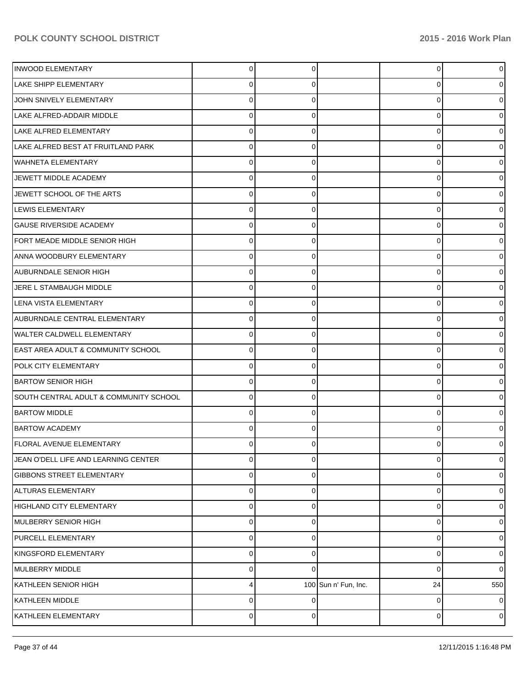| <b>INWOOD ELEMENTARY</b>               | 0              |   |                      | $\overline{0}$ |                |
|----------------------------------------|----------------|---|----------------------|----------------|----------------|
| <b>LAKE SHIPP ELEMENTARY</b>           | 0              |   |                      | 0              |                |
| JOHN SNIVELY ELEMENTARY                | 0              |   |                      | 0              |                |
| LAKE ALFRED-ADDAIR MIDDLE              | 0              |   |                      | 0              |                |
| LAKE ALFRED ELEMENTARY                 | 0              |   |                      | 0              |                |
| LAKE ALFRED BEST AT FRUITLAND PARK     | 0              |   |                      | 0              |                |
| <b>WAHNETA ELEMENTARY</b>              | 0              |   |                      | 0              |                |
| JEWETT MIDDLE ACADEMY                  | 0              |   |                      | 0              |                |
| JEWETT SCHOOL OF THE ARTS              | 0              |   |                      | 0              |                |
| LEWIS ELEMENTARY                       | 0              |   |                      | 0              |                |
| <b>GAUSE RIVERSIDE ACADEMY</b>         | 0              |   |                      | 0              |                |
| FORT MEADE MIDDLE SENIOR HIGH          | 0              |   |                      | 0              |                |
| <b>ANNA WOODBURY ELEMENTARY</b>        | 0              |   |                      | 0              |                |
| AUBURNDALE SENIOR HIGH                 | 0              |   |                      | 0              |                |
| JERE L STAMBAUGH MIDDLE                | 0              |   |                      | 0              |                |
| LENA VISTA ELEMENTARY                  | 0              |   |                      | 0              |                |
| AUBURNDALE CENTRAL ELEMENTARY          | 0              |   |                      | 0              |                |
| <b>WALTER CALDWELL ELEMENTARY</b>      | 0              |   |                      | 0              |                |
| EAST AREA ADULT & COMMUNITY SCHOOL     | 0              |   |                      | 0              |                |
| POLK CITY ELEMENTARY                   | 0              |   |                      | 0              |                |
| <b>BARTOW SENIOR HIGH</b>              | 0              |   |                      | 0              |                |
| SOUTH CENTRAL ADULT & COMMUNITY SCHOOL | 0              |   |                      | 0              |                |
| <b>BARTOW MIDDLE</b>                   | C              |   |                      | 0              |                |
| <b>BARTOW ACADEMY</b>                  | 0              |   |                      | 0              |                |
| <b>FLORAL AVENUE ELEMENTARY</b>        | 0              |   |                      | 0              |                |
| JEAN O'DELL LIFE AND LEARNING CENTER   | 0              | 0 |                      | 0              | 0              |
| <b>GIBBONS STREET ELEMENTARY</b>       | 0              | 0 |                      | 0              | 0              |
| ALTURAS ELEMENTARY                     | 0              |   |                      | 0              | 0              |
| HIGHLAND CITY ELEMENTARY               | 0              | 0 |                      | 0              | 0              |
| MULBERRY SENIOR HIGH                   | 0              | C |                      | 0              | 0              |
| PURCELL ELEMENTARY                     | 0              | 0 |                      | 0              | 0              |
| KINGSFORD ELEMENTARY                   | 0              | C |                      | 0              | 0              |
| MULBERRY MIDDLE                        | 0              | O |                      | 0              | 0              |
| KATHLEEN SENIOR HIGH                   | 4              |   | 100 Sun n' Fun, Inc. | 24             | 550            |
| KATHLEEN MIDDLE                        | 0              | C |                      | 0              | 0              |
| KATHLEEN ELEMENTARY                    | $\overline{0}$ | 0 |                      | 0              | $\overline{0}$ |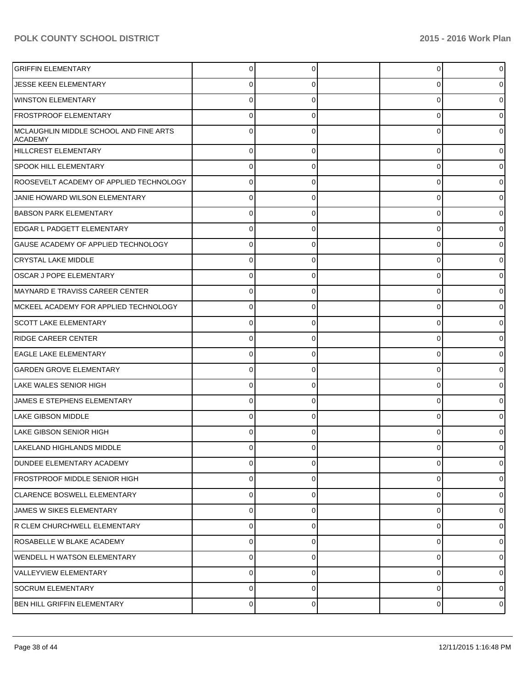| <b>GRIFFIN ELEMENTARY</b>                                | 0           | 0        |   | $\overline{0}$ |
|----------------------------------------------------------|-------------|----------|---|----------------|
| <b>JESSE KEEN ELEMENTARY</b>                             | 0           |          |   | 0              |
| WINSTON ELEMENTARY                                       | $\Omega$    |          |   | $\overline{0}$ |
| <b>FROSTPROOF ELEMENTARY</b>                             | $\Omega$    |          | O | 0              |
| MCLAUGHLIN MIDDLE SCHOOL AND FINE ARTS<br><b>ACADEMY</b> | O           |          |   | $\overline{0}$ |
| <b>HILLCREST ELEMENTARY</b>                              | $\Omega$    | $\Omega$ | 0 | $\overline{0}$ |
| <b>SPOOK HILL ELEMENTARY</b>                             | $\Omega$    | 0        | 0 | $\overline{0}$ |
| ROOSEVELT ACADEMY OF APPLIED TECHNOLOGY                  | $\Omega$    | $\Omega$ | 0 | $\overline{0}$ |
| JANIE HOWARD WILSON ELEMENTARY                           | $\Omega$    | 0        | 0 | $\overline{0}$ |
| <b>BABSON PARK ELEMENTARY</b>                            | $\Omega$    | 0        | 0 | $\overline{0}$ |
| EDGAR L PADGETT ELEMENTARY                               | $\Omega$    | 0        | 0 | $\overline{0}$ |
| GAUSE ACADEMY OF APPLIED TECHNOLOGY                      | $\Omega$    | $\Omega$ | 0 | $\overline{0}$ |
| <b>CRYSTAL LAKE MIDDLE</b>                               | $\Omega$    | 0        | 0 | $\overline{0}$ |
| <b>OSCAR J POPE ELEMENTARY</b>                           | $\Omega$    | $\Omega$ | 0 | $\overline{0}$ |
| IMAYNARD E TRAVISS CAREER CENTER                         | $\Omega$    | 0        | 0 | $\overline{0}$ |
| IMCKEEL ACADEMY FOR APPLIED TECHNOLOGY                   | $\Omega$    | $\Omega$ | 0 | $\overline{0}$ |
| <b>SCOTT LAKE ELEMENTARY</b>                             | $\Omega$    | 0        | 0 | $\overline{0}$ |
| <b>RIDGE CAREER CENTER</b>                               | $\Omega$    | $\Omega$ | 0 | $\overline{0}$ |
| <b>EAGLE LAKE ELEMENTARY</b>                             | $\Omega$    | 0        | 0 | $\overline{0}$ |
| <b>GARDEN GROVE ELEMENTARY</b>                           | $\Omega$    | $\Omega$ | 0 | $\overline{0}$ |
| LAKE WALES SENIOR HIGH                                   | $\Omega$    | 0        | 0 | $\overline{0}$ |
| JAMES E STEPHENS ELEMENTARY                              | $\Omega$    | 0        | 0 | $\overline{0}$ |
| LAKE GIBSON MIDDLE                                       | $\Omega$    | 0        | 0 | $\overline{0}$ |
| LAKE GIBSON SENIOR HIGH                                  | 0           | 0        | n | $\overline{0}$ |
| LAKELAND HIGHLANDS MIDDLE                                | 0           | 0        |   | 0              |
| <b>DUNDEE ELEMENTARY ACADEMY</b>                         | $\mathbf 0$ | $\Omega$ | 0 | $\overline{0}$ |
| FROSTPROOF MIDDLE SENIOR HIGH                            | $\mathbf 0$ | $\Omega$ | 0 | $\overline{0}$ |
| <b>CLARENCE BOSWELL ELEMENTARY</b>                       | $\mathbf 0$ | 0        | 0 | $\overline{0}$ |
| JAMES W SIKES ELEMENTARY                                 | $\mathbf 0$ | $\Omega$ | 0 | $\overline{0}$ |
| R CLEM CHURCHWELL ELEMENTARY                             | $\mathbf 0$ | $\Omega$ | 0 | $\overline{0}$ |
| ROSABELLE W BLAKE ACADEMY                                | $\mathbf 0$ | $\Omega$ | 0 | $\overline{0}$ |
| WENDELL H WATSON ELEMENTARY                              | $\mathbf 0$ | 0        | 0 | $\overline{0}$ |
| <b>VALLEYVIEW ELEMENTARY</b>                             | $\mathbf 0$ | $\Omega$ | 0 | $\overline{0}$ |
| <b>SOCRUM ELEMENTARY</b>                                 | $\mathbf 0$ | 0        | 0 | $\overline{0}$ |
| BEN HILL GRIFFIN ELEMENTARY                              | $\mathbf 0$ | 0        | 0 | $\overline{0}$ |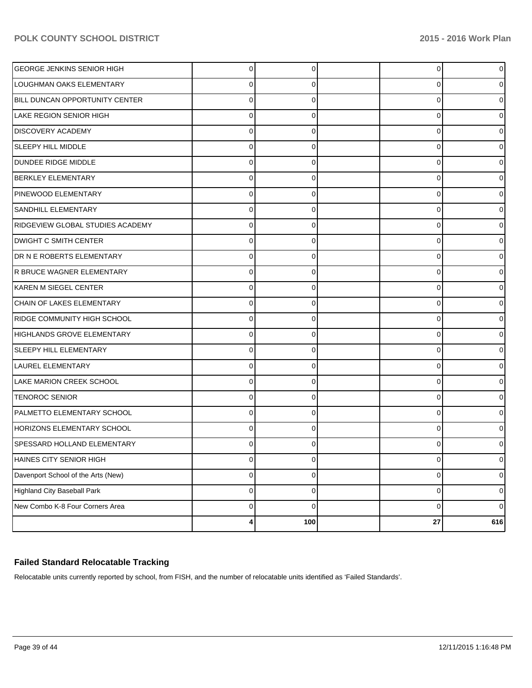| GEORGE JENKINS SENIOR HIGH         | $\Omega$  | 0           | $\overline{0}$ | 0   |
|------------------------------------|-----------|-------------|----------------|-----|
| LOUGHMAN OAKS ELEMENTARY           | 0         | 0           | 0              |     |
| BILL DUNCAN OPPORTUNITY CENTER     | 0         | 0           | 0              |     |
| <b>LAKE REGION SENIOR HIGH</b>     | 0         | 0           | 0              |     |
| <b>DISCOVERY ACADEMY</b>           | 0         | 0           | 0              |     |
| <b>SLEEPY HILL MIDDLE</b>          | 0         | 0           | 0              |     |
| <b>DUNDEE RIDGE MIDDLE</b>         | 0         | 0           | 0              |     |
| <b>BERKLEY ELEMENTARY</b>          | 0         | 0           | 0              |     |
| PINEWOOD ELEMENTARY                | 0         |             | 0              |     |
| <b>SANDHILL ELEMENTARY</b>         | $\Omega$  | 0           | 0              |     |
| RIDGEVIEW GLOBAL STUDIES ACADEMY   | 0         | 0           | 0              |     |
| <b>DWIGHT C SMITH CENTER</b>       | 0         | 0           | 0              |     |
| DR N E ROBERTS ELEMENTARY          | 0         | 0           | 0              |     |
| R BRUCE WAGNER ELEMENTARY          | $\Omega$  | 0           | 0              |     |
| IKAREN M SIEGEL CENTER             | 0         |             | 0              |     |
| CHAIN OF LAKES ELEMENTARY          | $\Omega$  | 0           | 0              |     |
| RIDGE COMMUNITY HIGH SCHOOL        | 0         | 0           | 0              |     |
| <b>HIGHLANDS GROVE ELEMENTARY</b>  | $\Omega$  | 0           | 0              |     |
| <b>SLEEPY HILL ELEMENTARY</b>      | 0         |             | 0              |     |
| LAUREL ELEMENTARY                  | $\Omega$  | 0           | 0              |     |
| LAKE MARION CREEK SCHOOL           | 0         | 0           | 0              |     |
| <b>TENOROC SENIOR</b>              | $\Omega$  | 0           | 0              |     |
| PALMETTO ELEMENTARY SCHOOL         | 0         |             | 0              |     |
| HORIZONS ELEMENTARY SCHOOL         | 0         | 0           | 0              |     |
| SPESSARD HOLLAND ELEMENTARY        |           |             | 0              |     |
| HAINES CITY SENIOR HIGH            | $\pmb{0}$ | $\mathbf 0$ | 0              | 0   |
| Davenport School of the Arts (New) | $\pmb{0}$ | $\mathbf 0$ | $\mathbf 0$    | 0   |
| <b>Highland City Baseball Park</b> | $\pmb{0}$ | 0           | 0              | 0   |
| New Combo K-8 Four Corners Area    | $\pmb{0}$ | $\mathbf 0$ | 0              | 0   |
|                                    | 4         | 100         | ${\bf 27}$     | 616 |

## **Failed Standard Relocatable Tracking**

Relocatable units currently reported by school, from FISH, and the number of relocatable units identified as 'Failed Standards'.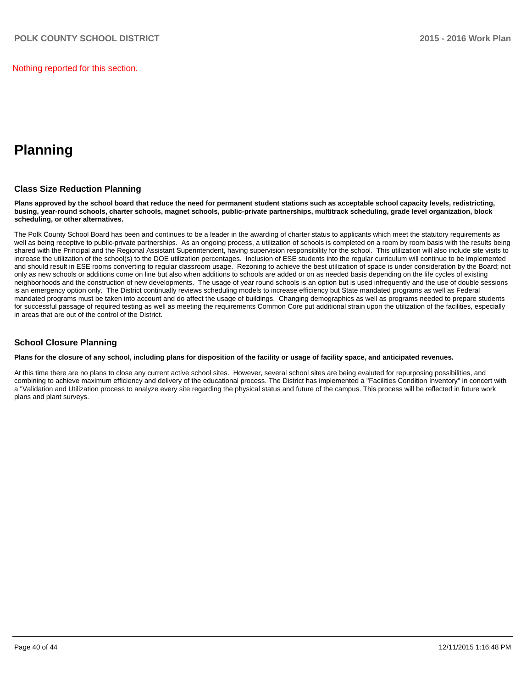Nothing reported for this section.

# **Planning**

#### **Class Size Reduction Planning**

**Plans approved by the school board that reduce the need for permanent student stations such as acceptable school capacity levels, redistricting, busing, year-round schools, charter schools, magnet schools, public-private partnerships, multitrack scheduling, grade level organization, block scheduling, or other alternatives.**

The Polk County School Board has been and continues to be a leader in the awarding of charter status to applicants which meet the statutory requirements as well as being receptive to public-private partnerships. As an ongoing process, a utilization of schools is completed on a room by room basis with the results being shared with the Principal and the Regional Assistant Superintendent, having supervision responsibility for the school. This utilization will also include site visits to increase the utilization of the school(s) to the DOE utilization percentages. Inclusion of ESE students into the regular curriculum will continue to be implemented and should result in ESE rooms converting to regular classroom usage. Rezoning to achieve the best utilization of space is under consideration by the Board; not only as new schools or additions come on line but also when additions to schools are added or on as needed basis depending on the life cycles of existing neighborhoods and the construction of new developments. The usage of year round schools is an option but is used infrequently and the use of double sessions is an emergency option only. The District continually reviews scheduling models to increase efficiency but State mandated programs as well as Federal mandated programs must be taken into account and do affect the usage of buildings. Changing demographics as well as programs needed to prepare students for successful passage of required testing as well as meeting the requirements Common Core put additional strain upon the utilization of the facilities, especially in areas that are out of the control of the District.

### **School Closure Planning**

#### **Plans for the closure of any school, including plans for disposition of the facility or usage of facility space, and anticipated revenues.**

At this time there are no plans to close any current active school sites. However, several school sites are being evaluted for repurposing possibilities, and combining to achieve maximum efficiency and delivery of the educational process. The District has implemented a "Facilities Condition Inventory" in concert with a "Validation and Utilization process to analyze every site regarding the physical status and future of the campus. This process will be reflected in future work plans and plant surveys.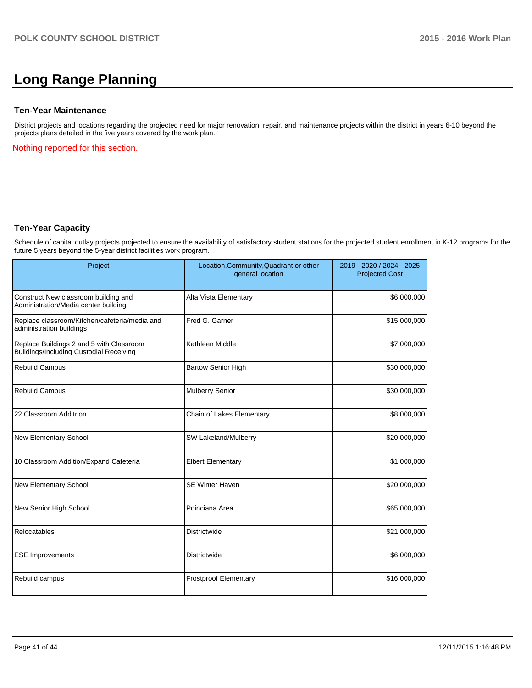## **Long Range Planning**

#### **Ten-Year Maintenance**

District projects and locations regarding the projected need for major renovation, repair, and maintenance projects within the district in years 6-10 beyond the projects plans detailed in the five years covered by the work plan.

Nothing reported for this section.

#### **Ten-Year Capacity**

Schedule of capital outlay projects projected to ensure the availability of satisfactory student stations for the projected student enrollment in K-12 programs for the future 5 years beyond the 5-year district facilities work program.

| Project                                                                             | Location, Community, Quadrant or other<br>general location | 2019 - 2020 / 2024 - 2025<br><b>Projected Cost</b> |
|-------------------------------------------------------------------------------------|------------------------------------------------------------|----------------------------------------------------|
| Construct New classroom building and<br>Administration/Media center building        | Alta Vista Elementary                                      | \$6,000,000                                        |
| Replace classroom/Kitchen/cafeteria/media and<br>administration buildings           | Fred G. Garner                                             | \$15,000,000                                       |
| Replace Buildings 2 and 5 with Classroom<br>Buildings/Including Custodial Receiving | Kathleen Middle                                            | \$7,000,000                                        |
| Rebuild Campus                                                                      | <b>Bartow Senior High</b>                                  | \$30,000,000                                       |
| <b>Rebuild Campus</b>                                                               | <b>Mulberry Senior</b>                                     | \$30,000,000                                       |
| 22 Classroom Additrion                                                              | Chain of Lakes Elementary                                  | \$8,000,000                                        |
| New Elementary School                                                               | SW Lakeland/Mulberry                                       | \$20,000,000                                       |
| 10 Classroom Addition/Expand Cafeteria                                              | <b>Elbert Elementary</b>                                   | \$1,000,000                                        |
| New Elementary School                                                               | <b>SE Winter Haven</b>                                     | \$20,000,000                                       |
| New Senior High School                                                              | Poinciana Area                                             | \$65,000,000                                       |
| Relocatables                                                                        | <b>Districtwide</b>                                        | \$21,000,000                                       |
| <b>ESE Improvements</b>                                                             | <b>Districtwide</b>                                        | \$6,000,000                                        |
| Rebuild campus                                                                      | <b>Frostproof Elementary</b>                               | \$16,000,000                                       |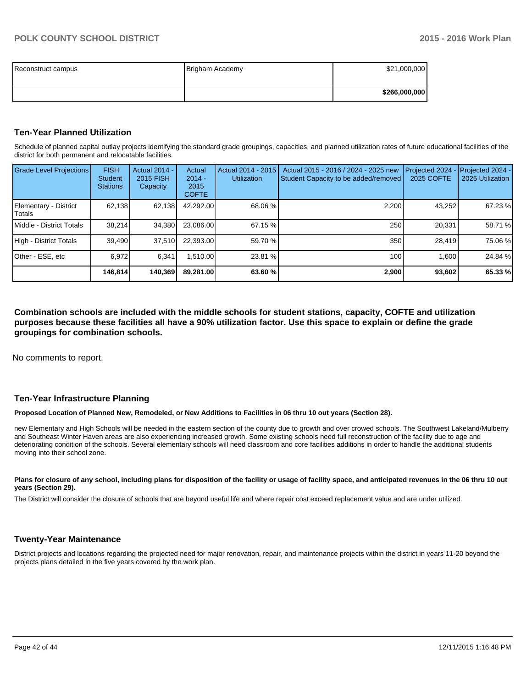| Reconstruct campus | Brigham Academy | \$21,000,000  |
|--------------------|-----------------|---------------|
|                    |                 | \$266,000,000 |

#### **Ten-Year Planned Utilization**

Schedule of planned capital outlay projects identifying the standard grade groupings, capacities, and planned utilization rates of future educational facilities of the district for both permanent and relocatable facilities.

| <b>Grade Level Projections</b>    | <b>FISH</b><br><b>Student</b><br><b>Stations</b> | <b>Actual 2014 -</b><br><b>2015 FISH</b><br>Capacity | Actual<br>$2014 -$<br>2015<br><b>COFTE</b> | Actual 2014 - 2015<br><b>Utilization</b> | Actual 2015 - 2016 / 2024 - 2025 new<br>Student Capacity to be added/removed | Projected 2024<br><b>2025 COFTE</b> | Projected 2024 -<br>2025 Utilization |
|-----------------------------------|--------------------------------------------------|------------------------------------------------------|--------------------------------------------|------------------------------------------|------------------------------------------------------------------------------|-------------------------------------|--------------------------------------|
| Elementary - District<br>l Totals | 62,138                                           | 62,138                                               | 42.292.00                                  | 68.06 %                                  | 2,200                                                                        | 43,252                              | 67.23 %                              |
| Middle - District Totals          | 38.214                                           | 34,380                                               | 23.086.00                                  | 67.15%                                   | 250                                                                          | 20.331                              | 58.71 %                              |
| High - District Totals            | 39.490                                           | 37.510                                               | 22.393.00                                  | 59.70 %                                  | 350                                                                          | 28.419                              | 75.06 %                              |
| Other - ESE, etc                  | 6.972                                            | 6.341                                                | 1.510.00                                   | 23.81 %                                  | 100 <sub>l</sub>                                                             | 1.600                               | 24.84 %                              |
|                                   | 146,814                                          | 140,369                                              | 89.281.00                                  | 63.60%                                   | 2,900                                                                        | 93,602                              | 65.33 %                              |

**Combination schools are included with the middle schools for student stations, capacity, COFTE and utilization purposes because these facilities all have a 90% utilization factor. Use this space to explain or define the grade groupings for combination schools.**

No comments to report.

#### **Ten-Year Infrastructure Planning**

#### **Proposed Location of Planned New, Remodeled, or New Additions to Facilities in 06 thru 10 out years (Section 28).**

new Elementary and High Schools will be needed in the eastern section of the county due to growth and over crowed schools. The Southwest Lakeland/Mulberry and Southeast Winter Haven areas are also experiencing increased growth. Some existing schools need full reconstruction of the facility due to age and deteriorating condition of the schools. Several elementary schools will need classroom and core facilities additions in order to handle the additional students moving into their school zone.

#### Plans for closure of any school, including plans for disposition of the facility or usage of facility space, and anticipated revenues in the 06 thru 10 out **years (Section 29).**

The District will consider the closure of schools that are beyond useful life and where repair cost exceed replacement value and are under utilized.

#### **Twenty-Year Maintenance**

District projects and locations regarding the projected need for major renovation, repair, and maintenance projects within the district in years 11-20 beyond the projects plans detailed in the five years covered by the work plan.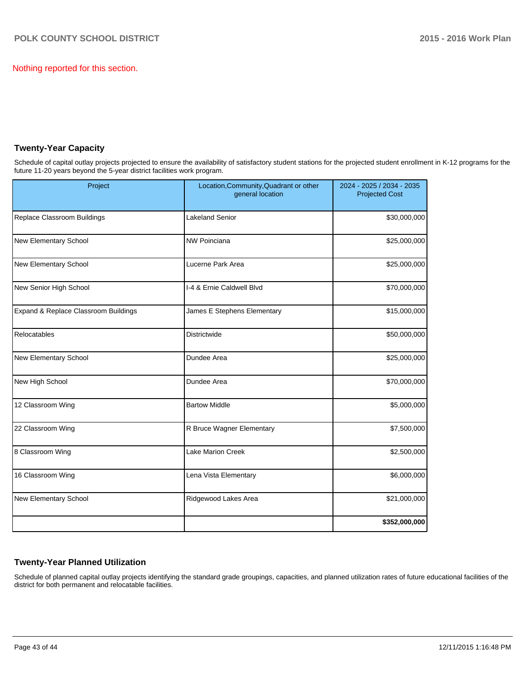Nothing reported for this section.

### **Twenty-Year Capacity**

Schedule of capital outlay projects projected to ensure the availability of satisfactory student stations for the projected student enrollment in K-12 programs for the future 11-20 years beyond the 5-year district facilities work program.

| Project                              | Location, Community, Quadrant or other<br>general location | 2024 - 2025 / 2034 - 2035<br><b>Projected Cost</b> |  |  |
|--------------------------------------|------------------------------------------------------------|----------------------------------------------------|--|--|
| Replace Classroom Buildings          | <b>Lakeland Senior</b>                                     | \$30,000,000                                       |  |  |
| New Elementary School                | <b>NW Poinciana</b>                                        | \$25,000,000                                       |  |  |
| New Elementary School                | Lucerne Park Area                                          | \$25,000,000                                       |  |  |
| New Senior High School               | I-4 & Ernie Caldwell Blvd                                  | \$70,000,000                                       |  |  |
| Expand & Replace Classroom Buildings | James E Stephens Elementary                                | \$15,000,000                                       |  |  |
| Relocatables                         | Districtwide                                               | \$50,000,000                                       |  |  |
| New Elementary School                | Dundee Area                                                | \$25,000,000                                       |  |  |
| New High School                      | Dundee Area                                                | \$70,000,000                                       |  |  |
| 12 Classroom Wing                    | <b>Bartow Middle</b>                                       | \$5,000,000                                        |  |  |
| 22 Classroom Wing                    | R Bruce Wagner Elementary                                  | \$7,500,000                                        |  |  |
| 8 Classroom Wing                     | <b>Lake Marion Creek</b>                                   | \$2,500,000                                        |  |  |
| 16 Classroom Wing                    | Lena Vista Elementary                                      | \$6,000,000                                        |  |  |
| New Elementary School                | Ridgewood Lakes Area                                       | \$21,000,000                                       |  |  |
|                                      |                                                            | \$352,000,000                                      |  |  |

## **Twenty-Year Planned Utilization**

Schedule of planned capital outlay projects identifying the standard grade groupings, capacities, and planned utilization rates of future educational facilities of the district for both permanent and relocatable facilities.